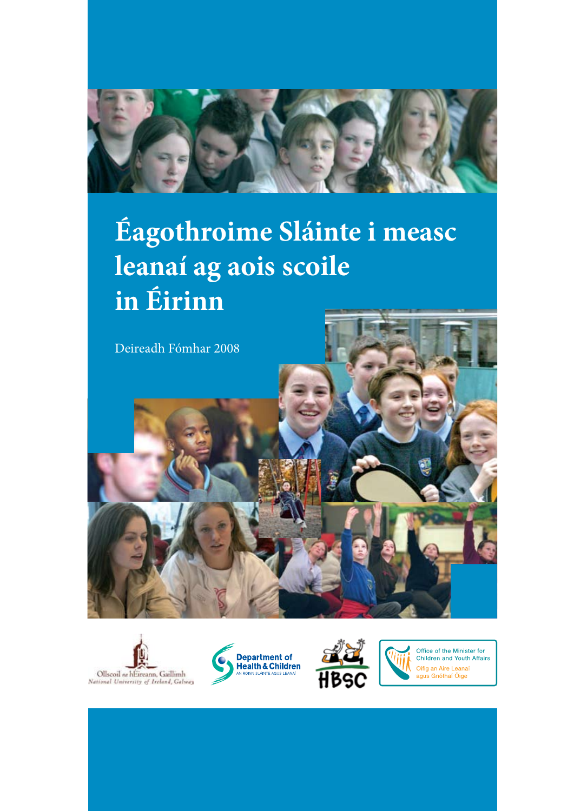

# **Éagothroime Sláinte i measc leanaí ag aois scoile in Éirinn**

Deireadh Fómhar 2008







Office of the Minister for **Children and Youth Affairs** Oifig an Aire Leanaí agus Gnóthaí Óige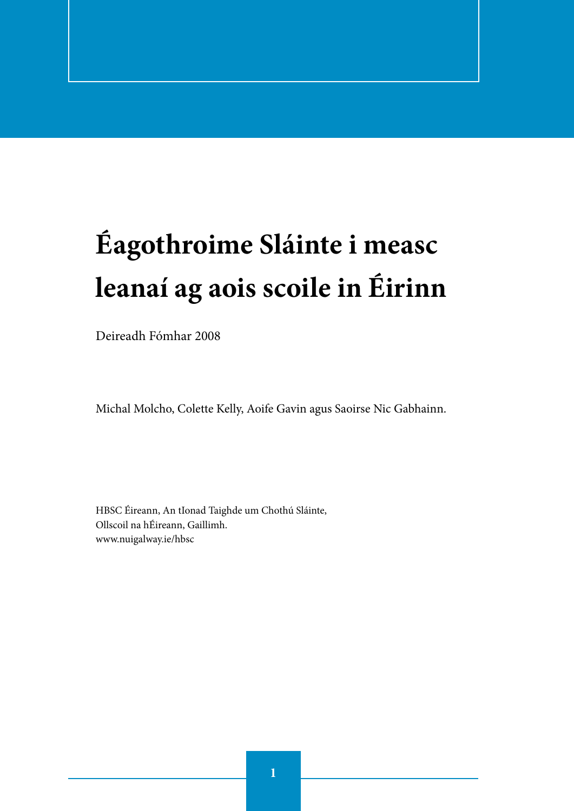# **Éagothroime Sláinte i measc leanaí ag aois scoile in Éirinn**

Deireadh Fómhar 2008

Michal Molcho, Colette Kelly, Aoife Gavin agus Saoirse Nic Gabhainn.

HBSC Éireann, An tIonad Taighde um Chothú Sláinte, Ollscoil na hÉireann, Gaillimh. www.nuigalway.ie/hbsc

**1**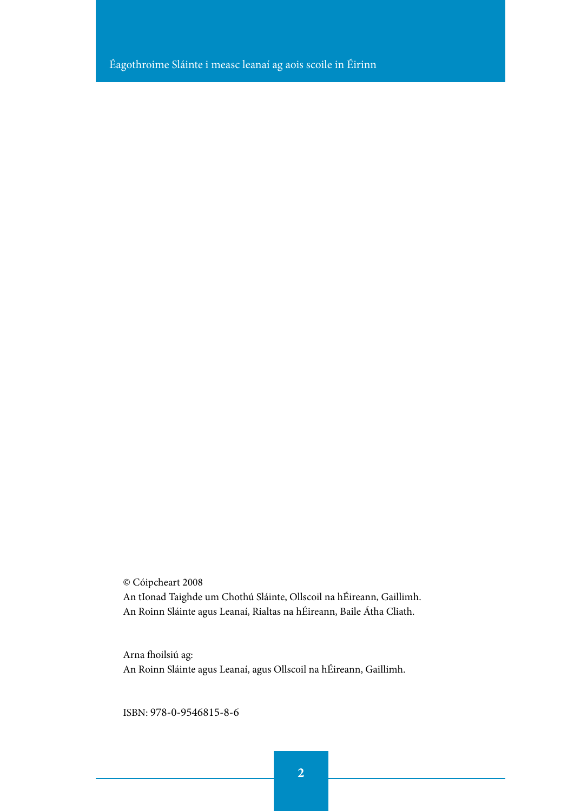© Cóipcheart 2008 An tIonad Taighde um Chothú Sláinte, Ollscoil na hÉireann, Gaillimh. An Roinn Sláinte agus Leanaí, Rialtas na hÉireann, Baile Átha Cliath.

Arna fhoilsiú ag: An Roinn Sláinte agus Leanaí, agus Ollscoil na hÉireann, Gaillimh.

ISBN: 978-0-9546815-8-6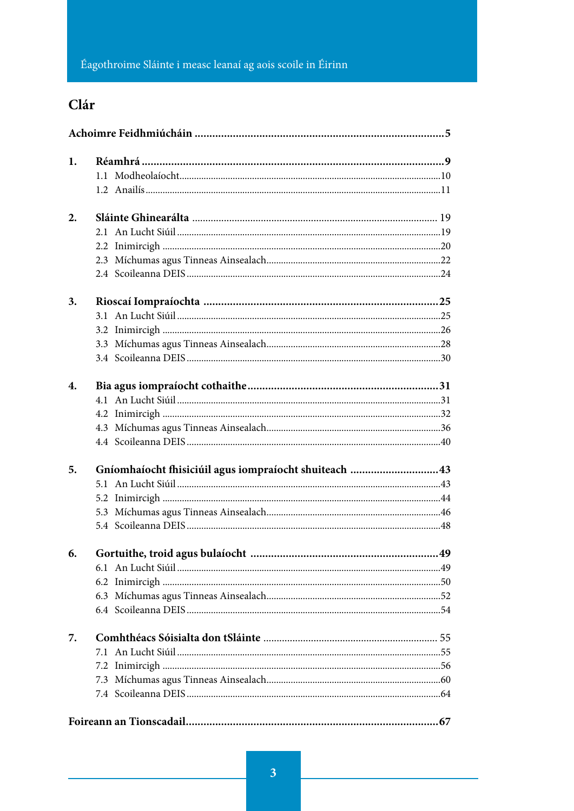# Clár

| 1. |                                                        |  |
|----|--------------------------------------------------------|--|
|    |                                                        |  |
|    |                                                        |  |
| 2. |                                                        |  |
|    |                                                        |  |
|    |                                                        |  |
|    |                                                        |  |
|    |                                                        |  |
| 3. |                                                        |  |
|    |                                                        |  |
|    |                                                        |  |
|    |                                                        |  |
|    |                                                        |  |
| 4. |                                                        |  |
|    |                                                        |  |
|    |                                                        |  |
|    |                                                        |  |
|    |                                                        |  |
| 5. | Gníomhaíocht fhisiciúil agus iompraíocht shuiteach  43 |  |
|    |                                                        |  |
|    |                                                        |  |
|    |                                                        |  |
|    |                                                        |  |
| 6. |                                                        |  |
|    |                                                        |  |
|    |                                                        |  |
|    |                                                        |  |
|    |                                                        |  |
| 7. |                                                        |  |
|    | 7.1                                                    |  |
|    |                                                        |  |
|    |                                                        |  |
|    |                                                        |  |
|    |                                                        |  |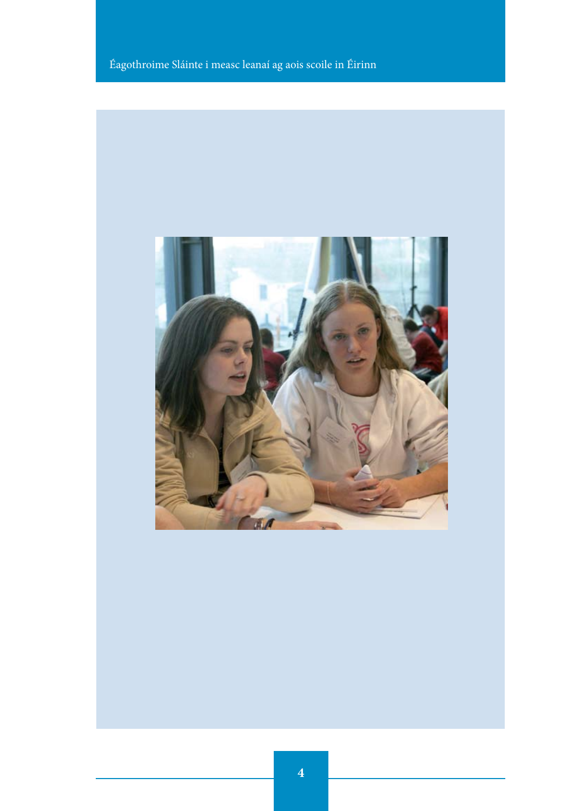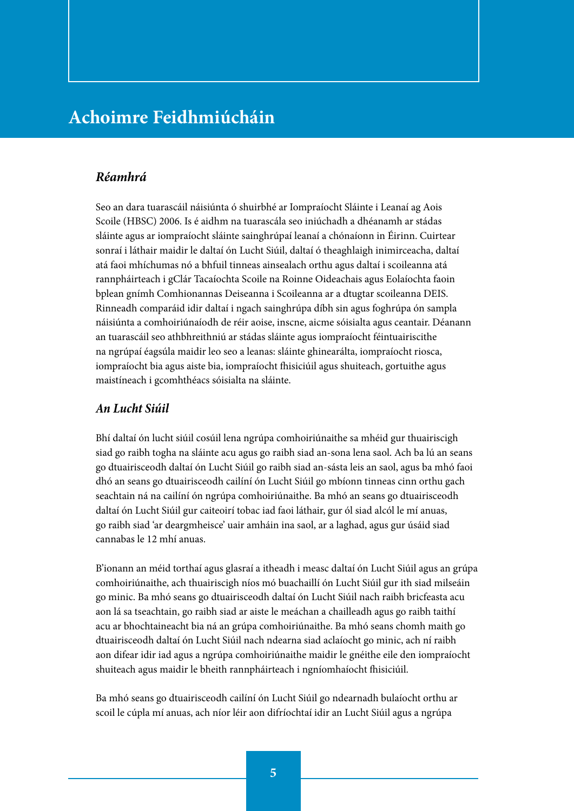# <span id="page-5-0"></span>**Achoimre Feidhmiúcháin**

#### *Réamhrá*

Seo an dara tuarascáil náisiúnta ó shuirbhé ar Iompraíocht Sláinte i Leanaí ag Aois Scoile (HBSC) 2006. Is é aidhm na tuarascála seo iniúchadh a dhéanamh ar stádas sláinte agus ar iompraíocht sláinte sainghrúpaí leanaí a chónaíonn in Éirinn. Cuirtear sonraí i láthair maidir le daltaí ón Lucht Siúil, daltaí ó theaghlaigh inimirceacha, daltaí atá faoi mhíchumas nó a bhfuil tinneas ainsealach orthu agus daltaí i scoileanna atá rannpháirteach i gClár Tacaíochta Scoile na Roinne Oideachais agus Eolaíochta faoin bplean gnímh Comhionannas Deiseanna i Scoileanna ar a dtugtar scoileanna DEIS. Rinneadh comparáid idir daltaí i ngach sainghrúpa díbh sin agus foghrúpa ón sampla náisiúnta a comhoiriúnaíodh de réir aoise, inscne, aicme sóisialta agus ceantair. Déanann an tuarascáil seo athbhreithniú ar stádas sláinte agus iompraíocht féintuairiscithe na ngrúpaí éagsúla maidir leo seo a leanas: sláinte ghinearálta, iompraíocht riosca, iompraíocht bia agus aiste bia, iompraíocht fhisiciúil agus shuiteach, gortuithe agus maistíneach i gcomhthéacs sóisialta na sláinte.

#### *An Lucht Siúil*

Bhí daltaí ón lucht siúil cosúil lena ngrúpa comhoiriúnaithe sa mhéid gur thuairiscigh siad go raibh togha na sláinte acu agus go raibh siad an-sona lena saol. Ach ba lú an seans go dtuairisceodh daltaí ón Lucht Siúil go raibh siad an-sásta leis an saol, agus ba mhó faoi dhó an seans go dtuairisceodh cailíní ón Lucht Siúil go mbíonn tinneas cinn orthu gach seachtain ná na cailíní ón ngrúpa comhoiriúnaithe. Ba mhó an seans go dtuairisceodh daltaí ón Lucht Siúil gur caiteoirí tobac iad faoi láthair, gur ól siad alcól le mí anuas, go raibh siad 'ar deargmheisce' uair amháin ina saol, ar a laghad, agus gur úsáid siad cannabas le 12 mhí anuas.

B'ionann an méid torthaí agus glasraí a itheadh i measc daltaí ón Lucht Siúil agus an grúpa comhoiriúnaithe, ach thuairiscigh níos mó buachaillí ón Lucht Siúil gur ith siad milseáin go minic. Ba mhó seans go dtuairisceodh daltaí ón Lucht Siúil nach raibh bricfeasta acu aon lá sa tseachtain, go raibh siad ar aiste le meáchan a chailleadh agus go raibh taithí acu ar bhochtaineacht bia ná an grúpa comhoiriúnaithe. Ba mhó seans chomh maith go dtuairisceodh daltaí ón Lucht Siúil nach ndearna siad aclaíocht go minic, ach ní raibh aon difear idir iad agus a ngrúpa comhoiriúnaithe maidir le gnéithe eile den iompraíocht shuiteach agus maidir le bheith rannpháirteach i ngníomhaíocht fhisiciúil.

Ba mhó seans go dtuairisceodh cailíní ón Lucht Siúil go ndearnadh bulaíocht orthu ar scoil le cúpla mí anuas, ach níor léir aon difríochtaí idir an Lucht Siúil agus a ngrúpa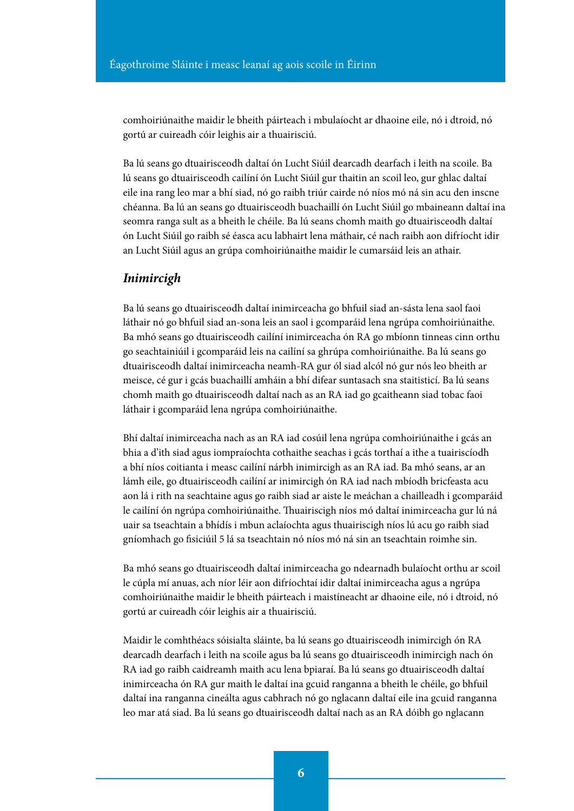comhoiriúnaithe maidir le bheith páirteach i mbulaíocht ar dhaoine eile, nó i dtroid, nó gortú ar cuireadh cóir leighis air a thuairisciú.

Ba lú seans go dtuairisceodh daltaí ón Lucht Siúil dearcadh dearfach i leith na scoile. Ba lú seans go dtuairisceodh cailíní ón Lucht Siúil gur thaitin an scoil leo, gur ghlac daltaí eile ina rang leo mar a bhí siad, nó go raibh triúr cairde nó níos mó ná sin acu den inscne chéanna. Ba lú an seans go dtuairisceodh buachaillí ón Lucht Siúil go mbaineann daltaí ina seomra ranga sult as a bheith le chéile. Ba lú seans chomh maith go dtuairisceodh daltaí ón Lucht Siúil go raibh sé éasca acu labhairt lena máthair, cé nach raibh aon difríocht idir an Lucht Siúil agus an grúpa comhoiriúnaithe maidir le cumarsáid leis an athair.

#### *Inimircigh*

Ba lú seans go dtuairisceodh daltaí inimirceacha go bhfuil siad an-sásta lena saol faoi láthair nó go bhfuil siad an-sona leis an saol i gcomparáid lena ngrúpa comhoiriúnaithe. Ba mhó seans go dtuairisceodh cailíní inimirceacha ón RA go mbíonn tinneas cinn orthu go seachtainiúil i gcomparáid leis na cailíní sa ghrúpa comhoiriúnaithe. Ba lú seans go dtuairisceodh daltaí inimirceacha neamh-RA gur ól siad alcól nó gur nós leo bheith ar meisce, cé gur i gcás buachaillí amháin a bhí difear suntasach sna staitisticí. Ba lú seans chomh maith go dtuairisceodh daltaí nach as an RA iad go gcaitheann siad tobac faoi láthair i gcomparáid lena ngrúpa comhoiriúnaithe.

Bhí daltaí inimirceacha nach as an RA iad cosúil lena ngrúpa comhoiriúnaithe i gcás an bhia a d'ith siad agus iompraíochta cothaithe seachas i gcás torthaí a ithe a tuairiscíodh a bhí níos coitianta i measc cailíní nárbh inimircigh as an RA iad. Ba mhó seans, ar an lámh eile, go dtuairisceodh cailíní ar inimircigh ón RA iad nach mbíodh bricfeasta acu aon lá i rith na seachtaine agus go raibh siad ar aiste le meáchan a chailleadh i gcomparáid le cailíní ón ngrúpa comhoiriúnaithe. Thuairiscigh níos mó daltaí inimirceacha gur lú ná uair sa tseachtain a bhídís i mbun aclaíochta agus thuairiscigh níos lú acu go raibh siad gníomhach go fisiciúil 5 lá sa tseachtain nó níos mó ná sin an tseachtain roimhe sin.

Ba mhó seans go dtuairisceodh daltaí inimirceacha go ndearnadh bulaíocht orthu ar scoil le cúpla mí anuas, ach níor léir aon difríochtaí idir daltaí inimirceacha agus a ngrúpa comhoiriúnaithe maidir le bheith páirteach i maistíneacht ar dhaoine eile, nó i dtroid, nó gortú ar cuireadh cóir leighis air a thuairisciú.

Maidir le comhthéacs sóisialta sláinte, ba lú seans go dtuairisceodh inimircigh ón RA dearcadh dearfach i leith na scoile agus ba lú seans go dtuairisceodh inimircigh nach ón RA iad go raibh caidreamh maith acu lena bpiaraí. Ba lú seans go dtuairisceodh daltaí inimirceacha ón RA gur maith le daltaí ina gcuid ranganna a bheith le chéile, go bhfuil daltaí ina ranganna cineálta agus cabhrach nó go nglacann daltaí eile ina gcuid ranganna leo mar atá siad. Ba lú seans go dtuairisceodh daltaí nach as an RA dóibh go nglacann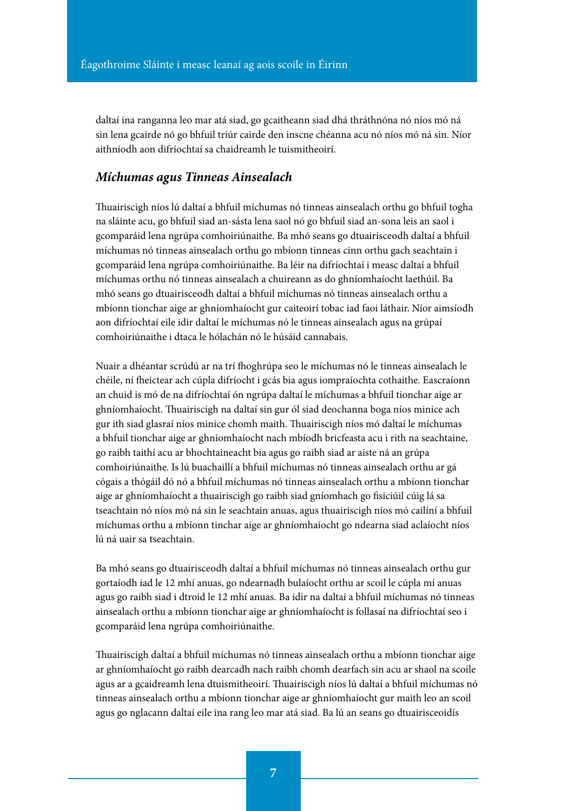daltaí ina ranganna leo mar atá siad, go gcaitheann siad dhá thráthnóna nó níos mó ná sin lena gcairde nó go bhfuil triúr cairde den inscne chéanna acu nó níos mó ná sin. Níor aithníodh aon difríochtaí sa chaidreamh le tuismitheoirí.

#### *Míchumas agus Tinneas Ainsealach*

Thuairiscigh níos lú daltaí a bhfuil míchumas nó tinneas ainsealach orthu go bhfuil togha na sláinte acu, go bhfuil siad an-sásta lena saol nó go bhfuil siad an-sona leis an saol i gcomparáid lena ngrúpa comhoiriúnaithe. Ba mhó seans go dtuairisceodh daltaí a bhfuil míchumas nó tinneas ainsealach orthu go mbíonn tinneas cinn orthu gach seachtain i gcomparáid lena ngrúpa comhoiriúnaithe. Ba léir na difríochtaí i measc daltaí a bhfuil míchumas orthu nó tinneas ainsealach a chuireann as do ghníomhaíocht laethúil. Ba mhó seans go dtuairisceodh daltaí a bhfuil míchumas nó tinneas ainsealach orthu a mbíonn tionchar aige ar ghníomhaíocht gur caiteoirí tobac iad faoi láthair. Níor aimsíodh aon difríochtaí eile idir daltaí le míchumas nó le tinneas ainsealach agus na grúpaí comhoiriúnaithe i dtaca le hólachán nó le húsáid cannabais.

Nuair a dhéantar scrúdú ar na trí fhoghrúpa seo le míchumas nó le tinneas ainsealach le chéile, ní fheictear ach cúpla difríocht i gcás bia agus iompraíochta cothaithe. Eascraíonn an chuid is mó de na difríochtaí ón ngrúpa daltaí le míchumas a bhfuil tionchar aige ar ghníomhaíocht. Thuairiscigh na daltaí sin gur ól siad deochanna boga níos minice ach gur ith siad glasraí níos minice chomh maith. Thuairiscigh níos mó daltaí le míchumas a bhfuil tionchar aige ar ghníomhaíocht nach mbíodh bricfeasta acu i rith na seachtaine, go raibh taithí acu ar bhochtaineacht bia agus go raibh siad ar aiste ná an grúpa comhoiriúnaithe. Is lú buachaillí a bhfuil míchumas nó tinneas ainsealach orthu ar gá cógais a thógáil dó nó a bhfuil míchumas nó tinneas ainsealach orthu a mbíonn tionchar aige ar ghníomhaíocht a thuairiscigh go raibh siad gníomhach go fisiciúil cúig lá sa tseachtain nó níos mó ná sin le seachtain anuas, agus thuairiscigh níos mó cailíní a bhfuil míchumas orthu a mbíonn tinchar aige ar ghníomhaíocht go ndearna siad aclaíocht níos lú ná uair sa tseachtain.

Ba mhó seans go dtuairisceodh daltaí a bhfuil míchumas nó tinneas ainsealach orthu gur gortaíodh iad le 12 mhí anuas, go ndearnadh bulaíocht orthu ar scoil le cúpla mí anuas agus go raibh siad i dtroid le 12 mhí anuas. Ba idir na daltaí a bhfuil míchumas nó tinneas ainsealach orthu a mbíonn tionchar aige ar ghníomhaíocht is follasaí na difríochtaí seo i gcomparáid lena ngrúpa comhoiriúnaithe.

Thuairiscigh daltaí a bhfuil míchumas nó tinneas ainsealach orthu a mbíonn tionchar aige ar ghníomhaíocht go raibh dearcadh nach raibh chomh dearfach sin acu ar shaol na scoile agus ar a gcaidreamh lena dtuismitheoirí. Thuairiscigh níos lú daltaí a bhfuil míchumas nó tinneas ainsealach orthu a mbíonn tionchar aige ar ghníomhaíocht gur maith leo an scoil agus go nglacann daltaí eile ina rang leo mar atá siad. Ba lú an seans go dtuairisceoidís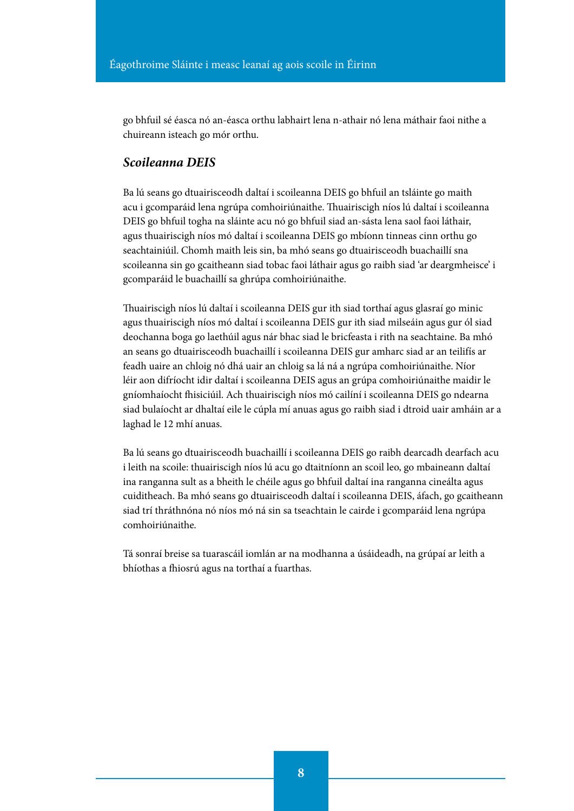go bhfuil sé éasca nó an-éasca orthu labhairt lena n-athair nó lena máthair faoi nithe a chuireann isteach go mór orthu.

## *Scoileanna DEIS*

Ba lú seans go dtuairisceodh daltaí i scoileanna DEIS go bhfuil an tsláinte go maith acu i gcomparáid lena ngrúpa comhoiriúnaithe. Thuairiscigh níos lú daltaí i scoileanna DEIS go bhfuil togha na sláinte acu nó go bhfuil siad an-sásta lena saol faoi láthair, agus thuairiscigh níos mó daltaí i scoileanna DEIS go mbíonn tinneas cinn orthu go seachtainiúil. Chomh maith leis sin, ba mhó seans go dtuairisceodh buachaillí sna scoileanna sin go gcaitheann siad tobac faoi láthair agus go raibh siad 'ar deargmheisce' i gcomparáid le buachaillí sa ghrúpa comhoiriúnaithe.

Thuairiscigh níos lú daltaí i scoileanna DEIS gur ith siad torthaí agus glasraí go minic agus thuairiscigh níos mó daltaí i scoileanna DEIS gur ith siad milseáin agus gur ól siad deochanna boga go laethúil agus nár bhac siad le bricfeasta i rith na seachtaine. Ba mhó an seans go dtuairisceodh buachaillí i scoileanna DEIS gur amharc siad ar an teilifís ar feadh uaire an chloig nó dhá uair an chloig sa lá ná a ngrúpa comhoiriúnaithe. Níor léir aon difríocht idir daltaí i scoileanna DEIS agus an grúpa comhoiriúnaithe maidir le gníomhaíocht fhisiciúil. Ach thuairiscigh níos mó cailíní i scoileanna DEIS go ndearna siad bulaíocht ar dhaltaí eile le cúpla mí anuas agus go raibh siad i dtroid uair amháin ar a laghad le 12 mhí anuas.

Ba lú seans go dtuairisceodh buachaillí i scoileanna DEIS go raibh dearcadh dearfach acu i leith na scoile: thuairiscigh níos lú acu go dtaitníonn an scoil leo, go mbaineann daltaí ina ranganna sult as a bheith le chéile agus go bhfuil daltaí ina ranganna cineálta agus cuiditheach. Ba mhó seans go dtuairisceodh daltaí i scoileanna DEIS, áfach, go gcaitheann siad trí thráthnóna nó níos mó ná sin sa tseachtain le cairde i gcomparáid lena ngrúpa comhoiriúnaithe.

Tá sonraí breise sa tuarascáil iomlán ar na modhanna a úsáideadh, na grúpaí ar leith a bhíothas a fhiosrú agus na torthaí a fuarthas.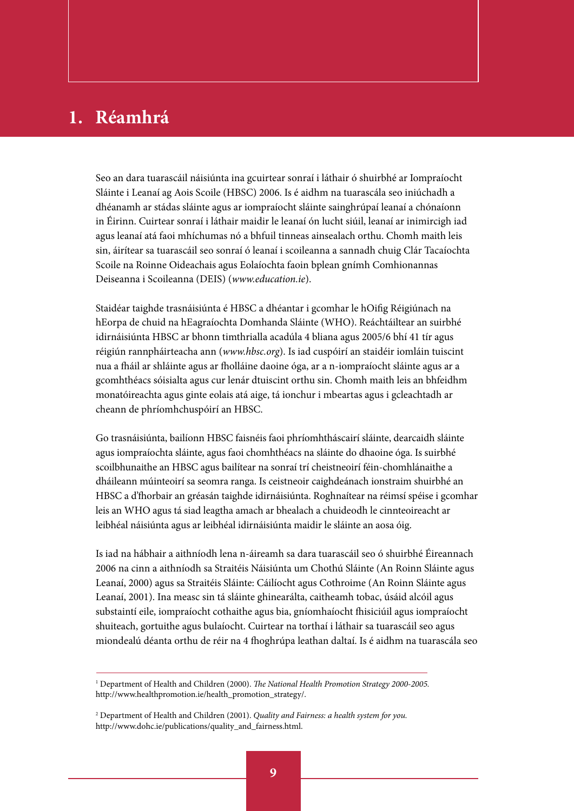# <span id="page-9-0"></span>**1. Réamhrá**

Seo an dara tuarascáil náisiúnta ina gcuirtear sonraí i láthair ó shuirbhé ar Iompraíocht Sláinte i Leanaí ag Aois Scoile (HBSC) 2006. Is é aidhm na tuarascála seo iniúchadh a dhéanamh ar stádas sláinte agus ar iompraíocht sláinte sainghrúpaí leanaí a chónaíonn in Éirinn. Cuirtear sonraí i láthair maidir le leanaí ón lucht siúil, leanaí ar inimircigh iad agus leanaí atá faoi mhíchumas nó a bhfuil tinneas ainsealach orthu. Chomh maith leis sin, áirítear sa tuarascáil seo sonraí ó leanaí i scoileanna a sannadh chuig Clár Tacaíochta Scoile na Roinne Oideachais agus Eolaíochta faoin bplean gnímh Comhionannas Deiseanna i Scoileanna (DEIS) (*[www.education.ie](http://www.education.ie)*).

Staidéar taighde trasnáisiúnta é HBSC a dhéantar i gcomhar le hOifig Réigiúnach na hEorpa de chuid na hEagraíochta Domhanda Sláinte (WHO). Reáchtáiltear an suirbhé idirnáisiúnta HBSC ar bhonn timthrialla acadúla 4 bliana agus 2005/6 bhí 41 tír agus réigiún rannpháirteacha ann (*[www.hbsc.org](http://www.hbsc.org)*). Is iad cuspóirí an staidéir iomláin tuiscint nua a fháil ar shláinte agus ar fholláine daoine óga, ar a n-iompraíocht sláinte agus ar a gcomhthéacs sóisialta agus cur lenár dtuiscint orthu sin. Chomh maith leis an bhfeidhm monatóireachta agus ginte eolais atá aige, tá ionchur i mbeartas agus i gcleachtadh ar cheann de phríomhchuspóirí an HBSC.

Go trasnáisiúnta, bailíonn HBSC faisnéis faoi phríomhtháscairí sláinte, dearcaidh sláinte agus iompraíochta sláinte, agus faoi chomhthéacs na sláinte do dhaoine óga. Is suirbhé scoilbhunaithe an HBSC agus bailítear na sonraí trí cheistneoirí féin-chomhlánaithe a dháileann múinteoirí sa seomra ranga. Is ceistneoir caighdeánach ionstraim shuirbhé an HBSC a d'fhorbair an gréasán taighde idirnáisiúnta. Roghnaítear na réimsí spéise i gcomhar leis an WHO agus tá siad leagtha amach ar bhealach a chuideodh le cinnteoireacht ar leibhéal náisiúnta agus ar leibhéal idirnáisiúnta maidir le sláinte an aosa óig.

Is iad na hábhair a aithníodh lena n-áireamh sa dara tuarascáil seo ó shuirbhé Éireannach 2006 na cinn a aithníodh sa Straitéis Náisiúnta um Chothú Sláinte (An Roinn Sláinte agus Leanaí, 2000) agus sa Straitéis Sláinte: Cáilíocht agus Cothroime (An Roinn Sláinte agus Leanaí, 2001). Ina measc sin tá sláinte ghinearálta, caitheamh tobac, úsáid alcóil agus substaintí eile, iompraíocht cothaithe agus bia, gníomhaíocht fhisiciúil agus iompraíocht shuiteach, gortuithe agus bulaíocht. Cuirtear na torthaí i láthair sa tuarascáil seo agus miondealú déanta orthu de réir na 4 fhoghrúpa leathan daltaí. Is é aidhm na tuarascála seo

<sup>1</sup> Department of Health and Children (2000). *The National Health Promotion Strategy 2000-2005.*  http://www.healthpromotion.ie/health\_promotion\_strategy/.

<sup>2</sup> Department of Health and Children (2001). *Quality and Fairness: a health system for you.*  http://www.dohc.ie/publications/quality\_and\_fairness.html.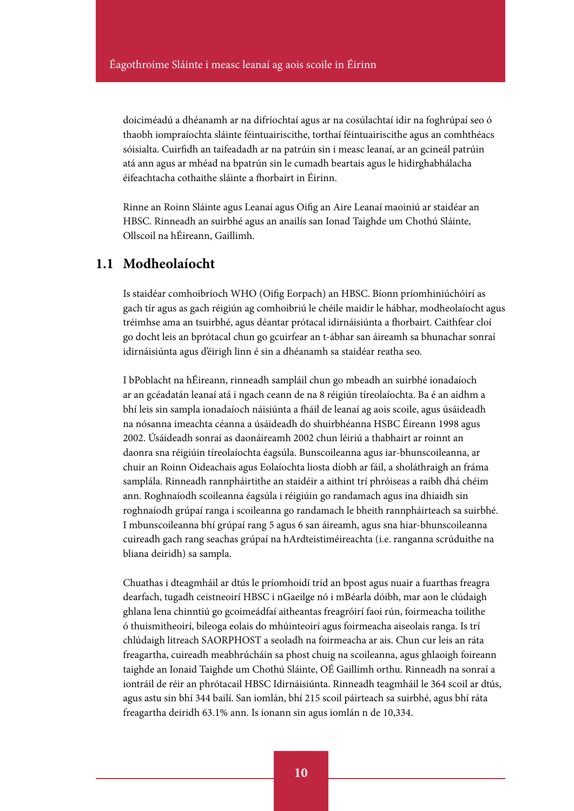<span id="page-10-0"></span>doiciméadú a dhéanamh ar na difríochtaí agus ar na cosúlachtaí idir na foghrúpaí seo ó thaobh iompraíochta sláinte féintuairiscithe, torthaí féintuairiscithe agus an comhthéacs sóisialta. Cuirfidh an taifeadadh ar na patrúin sin i measc leanaí, ar an gcineál patrúin atá ann agus ar mhéad na bpatrún sin le cumadh beartais agus le hidirghabhálacha éifeachtacha cothaithe sláinte a fhorbairt in Éirinn.

Rinne an Roinn Sláinte agus Leanaí agus Oifig an Aire Leanaí maoiniú ar staidéar an HBSC. Rinneadh an suirbhé agus an anailís san Ionad Taighde um Chothú Sláinte, Ollscoil na hÉireann, Gaillimh.

# **1.1 Modheolaíocht**

Is staidéar comhoibríoch WHO (Oifig Eorpach) an HBSC. Bíonn príomhiniúchóirí as gach tír agus as gach réigiún ag comhoibriú le chéile maidir le hábhar, modheolaíocht agus tréimhse ama an tsuirbhé, agus déantar prótacal idirnáisiúnta a fhorbairt. Caithfear cloí go docht leis an bprótacal chun go gcuirfear an t-ábhar san áireamh sa bhunachar sonraí idirnáisiúnta agus d'éirigh linn é sin a dhéanamh sa staidéar reatha seo.

I bPoblacht na hÉireann, rinneadh sampláil chun go mbeadh an suirbhé ionadaíoch ar an gcéadatán leanaí atá i ngach ceann de na 8 réigiún tíreolaíochta. Ba é an aidhm a bhí leis sin sampla ionadaíoch náisiúnta a fháil de leanaí ag aois scoile, agus úsáideadh na nósanna imeachta céanna a úsáideadh do shuirbhéanna HSBC Éireann 1998 agus 2002. Úsáideadh sonraí as daonáireamh 2002 chun léiriú a thabhairt ar roinnt an daonra sna réigiúin tíreolaíochta éagsúla. Bunscoileanna agus iar-bhunscoileanna, ar chuir an Roinn Oideachais agus Eolaíochta liosta díobh ar fáil, a sholáthraigh an fráma samplála. Rinneadh rannpháirtithe an staidéir a aithint trí phróiseas a raibh dhá chéim ann. Roghnaíodh scoileanna éagsúla i réigiúin go randamach agus ina dhiaidh sin roghnaíodh grúpaí ranga i scoileanna go randamach le bheith rannpháirteach sa suirbhé. I mbunscoileanna bhí grúpaí rang 5 agus 6 san áireamh, agus sna hiar-bhunscoileanna cuireadh gach rang seachas grúpaí na hArdteistiméireachta (i.e. ranganna scrúduithe na bliana deiridh) sa sampla.

Chuathas i dteagmháil ar dtús le príomhoidí tríd an bpost agus nuair a fuarthas freagra dearfach, tugadh ceistneoirí HBSC i nGaeilge nó i mBéarla dóibh, mar aon le clúdaigh ghlana lena chinntiú go gcoimeádfaí aitheantas freagróirí faoi rún, foirmeacha toilithe ó thuismitheoirí, bileoga eolais do mhúinteoirí agus foirmeacha aiseolais ranga. Is trí chlúdaigh litreach SAORPHOST a seoladh na foirmeacha ar ais. Chun cur leis an ráta freagartha, cuireadh meabhrúcháin sa phost chuig na scoileanna, agus ghlaoigh foireann taighde an Ionaid Taighde um Chothú Sláinte, OÉ Gaillimh orthu. Rinneadh na sonraí a iontráil de réir an phrótacail HBSC Idirnáisiúnta. Rinneadh teagmháil le 364 scoil ar dtús, agus astu sin bhí 344 bailí. San iomlán, bhí 215 scoil páirteach sa suirbhé, agus bhí ráta freagartha deiridh 63.1% ann. Is ionann sin agus iomlán n de 10,334.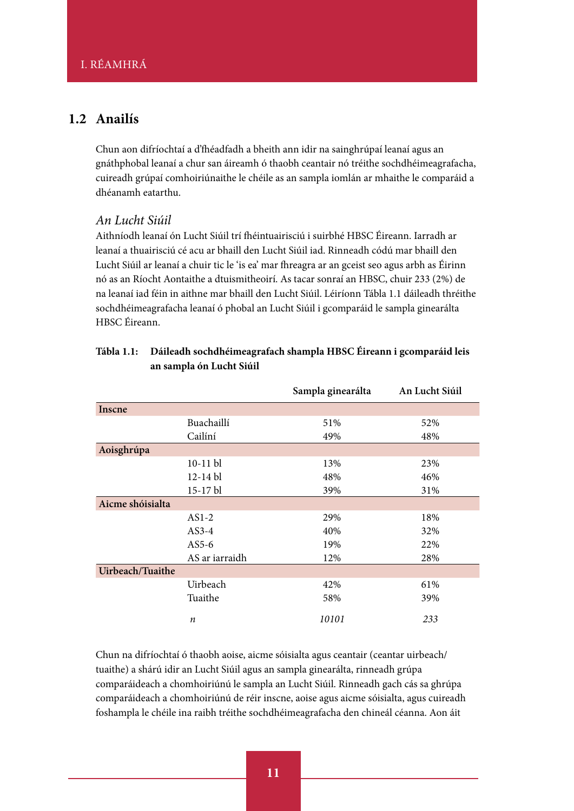# <span id="page-11-0"></span>**1.2 Anailís**

Chun aon difríochtaí a d'fhéadfadh a bheith ann idir na sainghrúpaí leanaí agus an gnáthphobal leanaí a chur san áireamh ó thaobh ceantair nó tréithe sochdhéimeagrafacha, cuireadh grúpaí comhoiriúnaithe le chéile as an sampla iomlán ar mhaithe le comparáid a dhéanamh eatarthu.

#### *An Lucht Siúil*

Aithníodh leanaí ón Lucht Siúil trí fhéintuairisciú i suirbhé HBSC Éireann. Iarradh ar leanaí a thuairisciú cé acu ar bhaill den Lucht Siúil iad. Rinneadh códú mar bhaill den Lucht Siúil ar leanaí a chuir tic le 'is ea' mar fhreagra ar an gceist seo agus arbh as Éirinn nó as an Ríocht Aontaithe a dtuismitheoirí. As tacar sonraí an HBSC, chuir 233 (2%) de na leanaí iad féin in aithne mar bhaill den Lucht Siúil. Léiríonn Tábla 1.1 dáileadh thréithe sochdhéimeagrafacha leanaí ó phobal an Lucht Siúil i gcomparáid le sampla ginearálta HBSC Éireann.

|                  |                  | Sampla ginearálta | An Lucht Siúil |
|------------------|------------------|-------------------|----------------|
| Inscne           |                  |                   |                |
|                  | Buachaillí       | 51%               | 52%            |
|                  | Cailíní          | 49%               | 48%            |
| Aoisghrúpa       |                  |                   |                |
|                  | $10-11$ bl       | 13%               | 23%            |
|                  | $12-14$ bl       | 48%               | 46%            |
|                  | 15-17 bl         | 39%               | 31%            |
| Aicme shóisialta |                  |                   |                |
|                  | $AS1-2$          | 29%               | 18%            |
|                  | $AS3-4$          | 40%               | 32%            |
|                  | AS5- $6$         | 19%               | 22%            |
|                  | AS ar iarraidh   | 12%               | 28%            |
| Uirbeach/Tuaithe |                  |                   |                |
|                  | Uirbeach         | 42%               | 61%            |
|                  | Tuaithe          | 58%               | 39%            |
|                  | $\boldsymbol{n}$ | 10101             | 233            |

#### **Tábla 1.1: Dáileadh sochdhéimeagrafach shampla HBSC Éireann i gcomparáid leis an sampla ón Lucht Siúil**

Chun na difríochtaí ó thaobh aoise, aicme sóisialta agus ceantair (ceantar uirbeach/ tuaithe) a shárú idir an Lucht Siúil agus an sampla ginearálta, rinneadh grúpa comparáideach a chomhoiriúnú le sampla an Lucht Siúil. Rinneadh gach cás sa ghrúpa comparáideach a chomhoiriúnú de réir inscne, aoise agus aicme sóisialta, agus cuireadh foshampla le chéile ina raibh tréithe sochdhéimeagrafacha den chineál céanna. Aon áit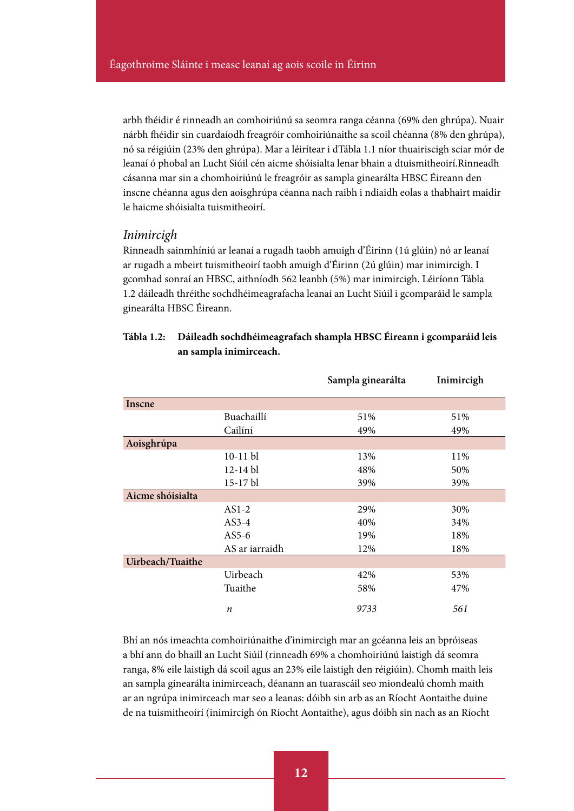arbh fhéidir é rinneadh an comhoiriúnú sa seomra ranga céanna (69% den ghrúpa). Nuair nárbh fhéidir sin cuardaíodh freagróir comhoiriúnaithe sa scoil chéanna (8% den ghrúpa), nó sa réigiúin (23% den ghrúpa). Mar a léirítear i dTábla 1.1 níor thuairiscigh sciar mór de leanaí ó phobal an Lucht Siúil cén aicme shóisialta lenar bhain a dtuismitheoirí.Rinneadh cásanna mar sin a chomhoiriúnú le freagróir as sampla ginearálta HBSC Éireann den inscne chéanna agus den aoisghrúpa céanna nach raibh i ndiaidh eolas a thabhairt maidir le haicme shóisialta tuismitheoirí.

#### *Inimircigh*

Rinneadh sainmhíniú ar leanaí a rugadh taobh amuigh d'Éirinn (1ú glúin) nó ar leanaí ar rugadh a mbeirt tuismitheoirí taobh amuigh d'Éirinn (2ú glúin) mar inimircigh. I gcomhad sonraí an HBSC, aithníodh 562 leanbh (5%) mar inimircigh. Léiríonn Tábla 1.2 dáileadh thréithe sochdhéimeagrafacha leanaí an Lucht Siúil i gcomparáid le sampla ginearálta HBSC Éireann.

|                  |                  | Sampla ginearálta | Inimircigh |
|------------------|------------------|-------------------|------------|
| Inscne           |                  |                   |            |
|                  | Buachaillí       | 51%               | 51%        |
|                  | Cailíní          | 49%               | 49%        |
| Aoisghrúpa       |                  |                   |            |
|                  | $10-11$ bl       | 13%               | 11%        |
|                  | $12 - 14$ bl     | 48%               | 50%        |
|                  | 15-17 bl         | 39%               | 39%        |
| Aicme shóisialta |                  |                   |            |
|                  | $AS1-2$          | 29%               | 30%        |
|                  | $AS3-4$          | 40%               | 34%        |
|                  | $AS5-6$          | 19%               | 18%        |
|                  | AS ar iarraidh   | 12%               | 18%        |
| Uirbeach/Tuaithe |                  |                   |            |
|                  | Uirbeach         | 42%               | 53%        |
|                  | Tuaithe          | 58%               | 47%        |
|                  | $\boldsymbol{n}$ | 9733              | 561        |

#### **Tábla 1.2: Dáileadh sochdhéimeagrafach shampla HBSC Éireann i gcomparáid leis an sampla inimirceach.**

Bhí an nós imeachta comhoiriúnaithe d'inimircigh mar an gcéanna leis an bpróiseas a bhí ann do bhaill an Lucht Siúil (rinneadh 69% a chomhoiriúnú laistigh dá seomra ranga, 8% eile laistigh dá scoil agus an 23% eile laistigh den réigiúin). Chomh maith leis an sampla ginearálta inimirceach, déanann an tuarascáil seo miondealú chomh maith ar an ngrúpa inimirceach mar seo a leanas: dóibh sin arb as an Ríocht Aontaithe duine de na tuismitheoirí (inimircigh ón Ríocht Aontaithe), agus dóibh sin nach as an Ríocht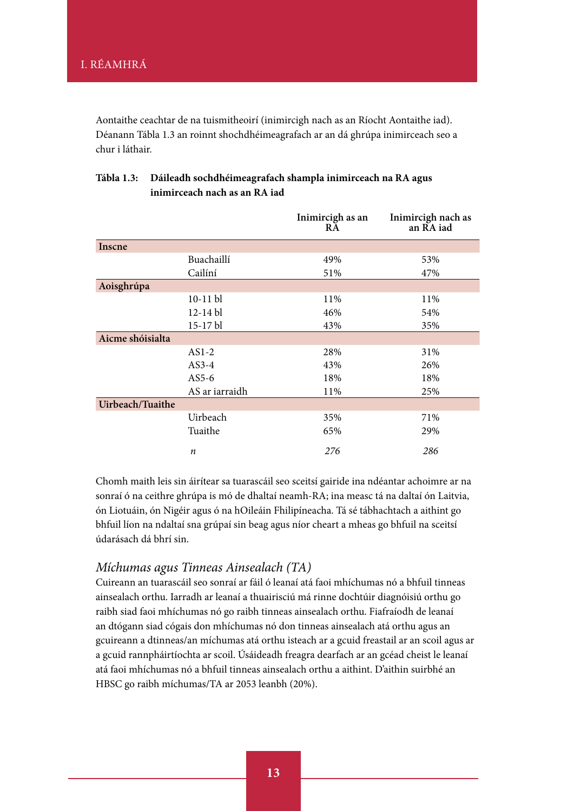Aontaithe ceachtar de na tuismitheoirí (inimircigh nach as an Ríocht Aontaithe iad). Déanann Tábla 1.3 an roinnt shochdhéimeagrafach ar an dá ghrúpa inimirceach seo a chur i láthair.

|                  |                  | Inimircigh as an<br><b>RA</b> | Inimircigh nach as<br>an RA iad |
|------------------|------------------|-------------------------------|---------------------------------|
| Inscne           |                  |                               |                                 |
|                  | Buachaillí       | 49%                           | 53%                             |
|                  | Cailíní          | 51%                           | 47%                             |
| Aoisghrúpa       |                  |                               |                                 |
|                  | $10-11$ bl       | 11%                           | 11%                             |
|                  | $12-14$ bl       | 46%                           | 54%                             |
|                  | 15-17 bl         | 43%                           | 35%                             |
| Aicme shóisialta |                  |                               |                                 |
|                  | $AS1-2$          | 28%                           | 31%                             |
|                  | $AS3-4$          | 43%                           | 26%                             |
|                  | $AS5-6$          | 18%                           | 18%                             |
|                  | AS ar iarraidh   | 11%                           | 25%                             |
| Uirbeach/Tuaithe |                  |                               |                                 |
|                  | Uirbeach         | 35%                           | 71%                             |
|                  | Tuaithe          | 65%                           | 29%                             |
|                  | $\boldsymbol{n}$ | 276                           | 286                             |

#### **Tábla 1.3: Dáileadh sochdhéimeagrafach shampla inimirceach na RA agus inimirceach nach as an RA iad**

Chomh maith leis sin áirítear sa tuarascáil seo sceitsí gairide ina ndéantar achoimre ar na sonraí ó na ceithre ghrúpa is mó de dhaltaí neamh-RA; ina measc tá na daltaí ón Laitvia, ón Liotuáin, ón Nigéir agus ó na hOileáin Fhilipíneacha. Tá sé tábhachtach a aithint go bhfuil líon na ndaltaí sna grúpaí sin beag agus níor cheart a mheas go bhfuil na sceitsí údarásach dá bhrí sin.

# *Míchumas agus Tinneas Ainsealach (TA)*

Cuireann an tuarascáil seo sonraí ar fáil ó leanaí atá faoi mhíchumas nó a bhfuil tinneas ainsealach orthu. Iarradh ar leanaí a thuairisciú má rinne dochtúir diagnóisiú orthu go raibh siad faoi mhíchumas nó go raibh tinneas ainsealach orthu. Fiafraíodh de leanaí an dtógann siad cógais don mhíchumas nó don tinneas ainsealach atá orthu agus an gcuireann a dtinneas/an míchumas atá orthu isteach ar a gcuid freastail ar an scoil agus ar a gcuid rannpháirtíochta ar scoil. Úsáideadh freagra dearfach ar an gcéad cheist le leanaí atá faoi mhíchumas nó a bhfuil tinneas ainsealach orthu a aithint. D'aithin suirbhé an HBSC go raibh míchumas/TA ar 2053 leanbh (20%).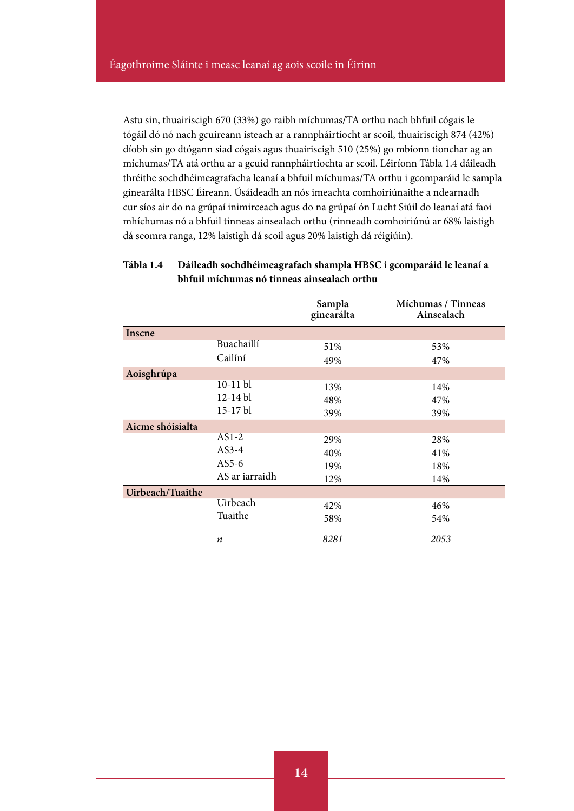Astu sin, thuairiscigh 670 (33%) go raibh míchumas/TA orthu nach bhfuil cógais le tógáil dó nó nach gcuireann isteach ar a rannpháirtíocht ar scoil, thuairiscigh 874 (42%) díobh sin go dtógann siad cógais agus thuairiscigh 510 (25%) go mbíonn tionchar ag an míchumas/TA atá orthu ar a gcuid rannpháirtíochta ar scoil. Léiríonn Tábla 1.4 dáileadh thréithe sochdhéimeagrafacha leanaí a bhfuil míchumas/TA orthu i gcomparáid le sampla ginearálta HBSC Éireann. Úsáideadh an nós imeachta comhoiriúnaithe a ndearnadh cur síos air do na grúpaí inimirceach agus do na grúpaí ón Lucht Siúil do leanaí atá faoi mhíchumas nó a bhfuil tinneas ainsealach orthu (rinneadh comhoiriúnú ar 68% laistigh dá seomra ranga, 12% laistigh dá scoil agus 20% laistigh dá réigiúin).

#### **Tábla 1.4 Dáileadh sochdhéimeagrafach shampla HBSC i gcomparáid le leanaí a bhfuil míchumas nó tinneas ainsealach orthu**

|                  |                 | Sampla<br>ginearálta | Míchumas / Tinneas<br>Ainsealach |
|------------------|-----------------|----------------------|----------------------------------|
| Inscne           |                 |                      |                                  |
|                  | Buachaillí      | 51%                  | 53%                              |
|                  | Cailíní         | 49%                  | 47%                              |
| Aoisghrúpa       |                 |                      |                                  |
|                  | $10-11$ bl      | 13%                  | 14%                              |
|                  | $12-14$ bl      | 48%                  | 47%                              |
|                  | 15-17 bl        | 39%                  | 39%                              |
| Aicme shóisialta |                 |                      |                                  |
|                  | $AS1-2$         | 29%                  | 28%                              |
|                  | $AS3-4$         | 40%                  | 41%                              |
|                  | $AS5-6$         | 19%                  | 18%                              |
|                  | AS ar iarraidh  | 12%                  | 14%                              |
| Uirbeach/Tuaithe |                 |                      |                                  |
|                  | <b>Uirbeach</b> | 42%                  | 46%                              |
|                  | Tuaithe         | 58%                  | 54%                              |
|                  | n               | 8281                 | 2053                             |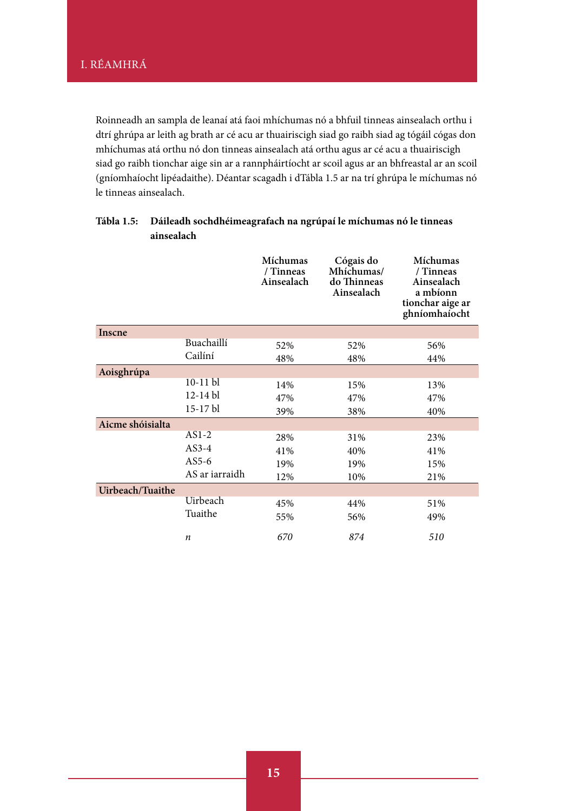Roinneadh an sampla de leanaí atá faoi mhíchumas nó a bhfuil tinneas ainsealach orthu i dtrí ghrúpa ar leith ag brath ar cé acu ar thuairiscigh siad go raibh siad ag tógáil cógas don mhíchumas atá orthu nó don tinneas ainsealach atá orthu agus ar cé acu a thuairiscigh siad go raibh tionchar aige sin ar a rannpháirtíocht ar scoil agus ar an bhfreastal ar an scoil (gníomhaíocht lipéadaithe). Déantar scagadh i dTábla 1.5 ar na trí ghrúpa le míchumas nó le tinneas ainsealach.

|                  |                 | <b>Míchumas</b><br>/ Tinneas<br>Ainsealach | Cógais do<br>Mhíchumas/<br>do Thinneas<br>Ainsealach | Míchumas<br>/ Tinneas<br>Ainsealach<br>a mbíonn<br>tionchar aige ar<br>ghníomhaíocht |
|------------------|-----------------|--------------------------------------------|------------------------------------------------------|--------------------------------------------------------------------------------------|
| Inscne           |                 |                                            |                                                      |                                                                                      |
|                  | Buachaillí      | 52%                                        | 52%                                                  | 56%                                                                                  |
|                  | Cailíní         | 48%                                        | 48%                                                  | 44%                                                                                  |
| Aoisghrúpa       |                 |                                            |                                                      |                                                                                      |
|                  | $10-11$ bl      | 14%                                        | 15%                                                  | 13%                                                                                  |
|                  | $12-14$ bl      | 47%                                        | 47%                                                  | 47%                                                                                  |
|                  | $15-17$ bl      | 39%                                        | 38%                                                  | 40%                                                                                  |
| Aicme shóisialta |                 |                                            |                                                      |                                                                                      |
|                  | $AS1-2$         | 28%                                        | 31%                                                  | 23%                                                                                  |
|                  | $AS3-4$         | 41%                                        | 40%                                                  | 41%                                                                                  |
|                  | $AS5-6$         | 19%                                        | 19%                                                  | 15%                                                                                  |
|                  | AS ar iarraidh  | 12%                                        | 10%                                                  | 21%                                                                                  |
| Uirbeach/Tuaithe |                 |                                            |                                                      |                                                                                      |
|                  | <b>Uirbeach</b> | 45%                                        | 44%                                                  | 51%                                                                                  |
|                  | Tuaithe         | 55%                                        | 56%                                                  | 49%                                                                                  |
|                  | n               | 670                                        | 874                                                  | 510                                                                                  |

#### **Tábla 1.5: Dáileadh sochdhéimeagrafach na ngrúpaí le míchumas nó le tinneas ainsealach**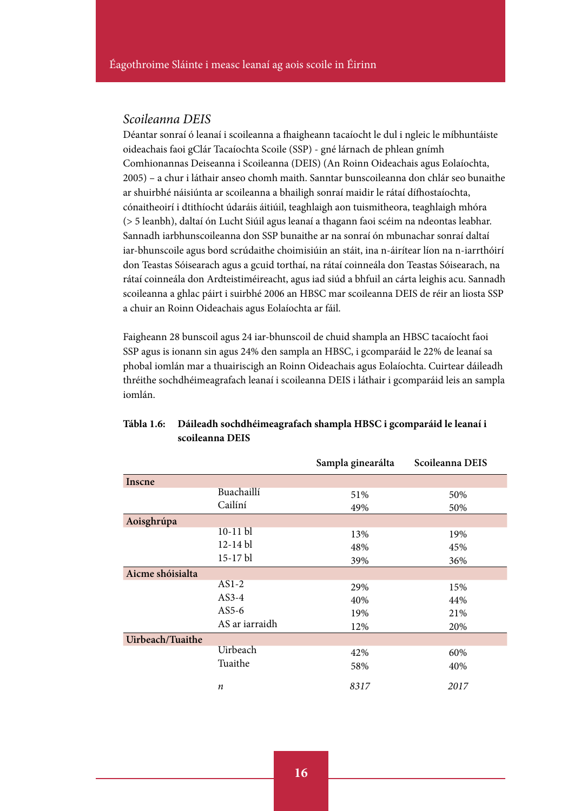#### *Scoileanna DEIS*

Déantar sonraí ó leanaí i scoileanna a fhaigheann tacaíocht le dul i ngleic le míbhuntáiste oideachais faoi gClár Tacaíochta Scoile (SSP) - gné lárnach de phlean gnímh Comhionannas Deiseanna i Scoileanna (DEIS) (An Roinn Oideachais agus Eolaíochta, 2005) – a chur i láthair anseo chomh maith. Sanntar bunscoileanna don chlár seo bunaithe ar shuirbhé náisiúnta ar scoileanna a bhailigh sonraí maidir le rátaí dífhostaíochta, cónaitheoirí i dtithíocht údaráis áitiúil, teaghlaigh aon tuismitheora, teaghlaigh mhóra (> 5 leanbh), daltaí ón Lucht Siúil agus leanaí a thagann faoi scéim na ndeontas leabhar. Sannadh iarbhunscoileanna don SSP bunaithe ar na sonraí ón mbunachar sonraí daltaí iar-bhunscoile agus bord scrúdaithe choimisiúin an stáit, ina n-áirítear líon na n-iarrthóirí don Teastas Sóisearach agus a gcuid torthaí, na rátaí coinneála don Teastas Sóisearach, na rátaí coinneála don Ardteistiméireacht, agus iad siúd a bhfuil an cárta leighis acu. Sannadh scoileanna a ghlac páirt i suirbhé 2006 an HBSC mar scoileanna DEIS de réir an liosta SSP a chuir an Roinn Oideachais agus Eolaíochta ar fáil.

Faigheann 28 bunscoil agus 24 iar-bhunscoil de chuid shampla an HBSC tacaíocht faoi SSP agus is ionann sin agus 24% den sampla an HBSC, i gcomparáid le 22% de leanaí sa phobal iomlán mar a thuairiscigh an Roinn Oideachais agus Eolaíochta. Cuirtear dáileadh thréithe sochdhéimeagrafach leanaí i scoileanna DEIS i láthair i gcomparáid leis an sampla iomlán.

|                  |                  | Sampla ginearálta | Scoileanna DEIS |
|------------------|------------------|-------------------|-----------------|
| Inscne           |                  |                   |                 |
|                  | Buachaillí       | 51%               | 50%             |
|                  | Cailíní          | 49%               | 50%             |
| Aoisghrúpa       |                  |                   |                 |
|                  | $10-11$ bl       | 13%               | 19%             |
|                  | $12 - 14$ bl     | 48%               | 45%             |
|                  | 15-17 bl         | 39%               | 36%             |
| Aicme shóisialta |                  |                   |                 |
|                  | $AS1-2$          | 29%               | 15%             |
|                  | $AS3-4$          | 40%               | 44%             |
|                  | AS5- $6$         | 19%               | 21%             |
|                  | AS ar iarraidh   | 12%               | 20%             |
| Uirbeach/Tuaithe |                  |                   |                 |
|                  | Uirbeach         | 42%               | 60%             |
|                  | Tuaithe          | 58%               | 40%             |
|                  | $\boldsymbol{n}$ | 8317              | 2017            |

#### **Tábla 1.6: Dáileadh sochdhéimeagrafach shampla HBSC i gcomparáid le leanaí i scoileanna DEIS**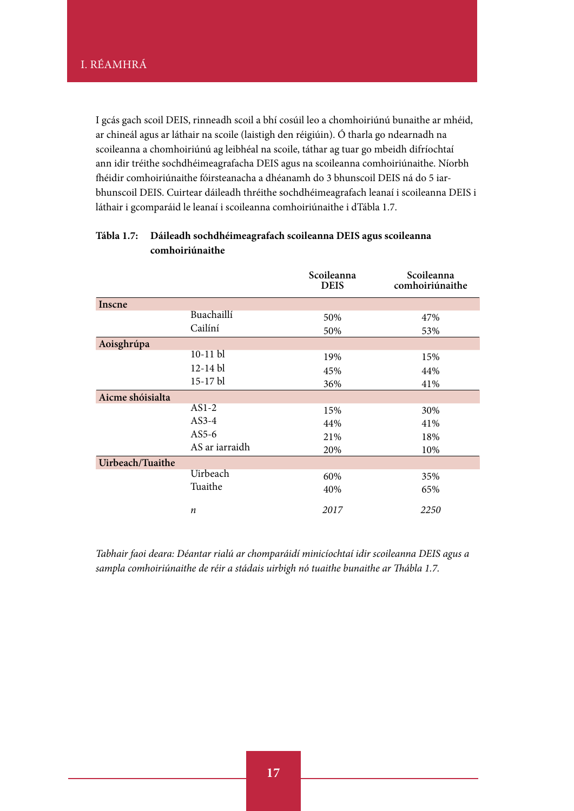I gcás gach scoil DEIS, rinneadh scoil a bhí cosúil leo a chomhoiriúnú bunaithe ar mhéid, ar chineál agus ar láthair na scoile (laistigh den réigiúin). Ó tharla go ndearnadh na scoileanna a chomhoiriúnú ag leibhéal na scoile, táthar ag tuar go mbeidh difríochtaí ann idir tréithe sochdhéimeagrafacha DEIS agus na scoileanna comhoiriúnaithe. Níorbh fhéidir comhoiriúnaithe fóirsteanacha a dhéanamh do 3 bhunscoil DEIS ná do 5 iarbhunscoil DEIS. Cuirtear dáileadh thréithe sochdhéimeagrafach leanaí i scoileanna DEIS i láthair i gcomparáid le leanaí i scoileanna comhoiriúnaithe i dTábla 1.7.

|                  |                 | Scoileanna<br><b>DEIS</b> | Scoileanna<br>comhoiriúnaithe |
|------------------|-----------------|---------------------------|-------------------------------|
| Inscne           |                 |                           |                               |
|                  | Buachaillí      | 50%                       | 47%                           |
|                  | Cailíní         | 50%                       | 53%                           |
| Aoisghrúpa       |                 |                           |                               |
|                  | $10-11$ bl      | 19%                       | 15%                           |
|                  | $12-14$ bl      | 45%                       | 44%                           |
|                  | $15-17$ bl      | 36%                       | 41%                           |
| Aicme shóisialta |                 |                           |                               |
|                  | $AS1-2$         | 15%                       | 30%                           |
|                  | $AS3-4$         | 44%                       | 41%                           |
|                  | AS5- $6$        | 21%                       | 18%                           |
|                  | AS ar iarraidh  | 20%                       | 10%                           |
| Uirbeach/Tuaithe |                 |                           |                               |
|                  | <b>Uirbeach</b> | 60%                       | 35%                           |
|                  | Tuaithe         | 40%                       | 65%                           |
|                  | n               | 2017                      | 2250                          |

#### **Tábla 1.7: Dáileadh sochdhéimeagrafach scoileanna DEIS agus scoileanna comhoiriúnaithe**

*Tabhair faoi deara: Déantar rialú ar chomparáidí minicíochtaí idir scoileanna DEIS agus a sampla comhoiriúnaithe de réir a stádais uirbigh nó tuaithe bunaithe ar Thábla 1.7.*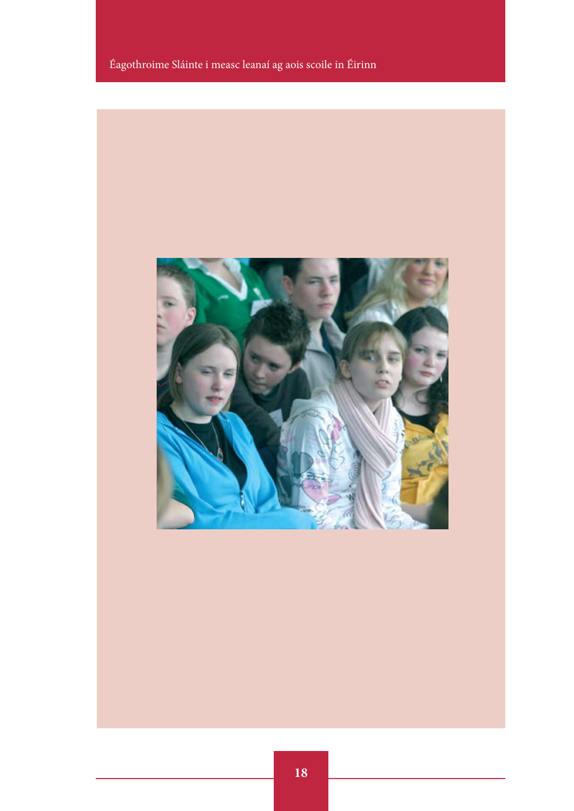# Éagothroime Sláinte i measc leanaí ag aois scoile in Éirinn

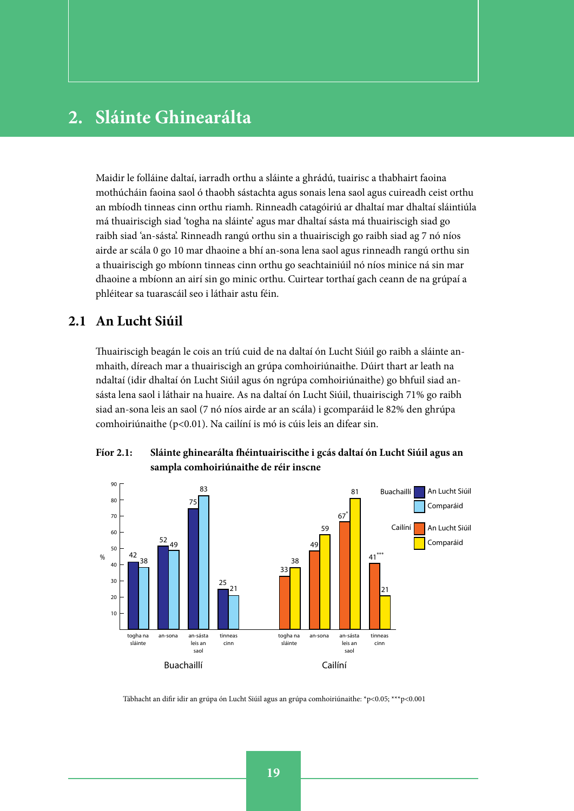# <span id="page-19-0"></span>**2. Sláinte Ghinearálta**

Maidir le folláine daltaí, iarradh orthu a sláinte a ghrádú, tuairisc a thabhairt faoina mothúcháin faoina saol ó thaobh sástachta agus sonais lena saol agus cuireadh ceist orthu an mbíodh tinneas cinn orthu riamh. Rinneadh catagóiriú ar dhaltaí mar dhaltaí sláintiúla má thuairiscigh siad 'togha na sláinte' agus mar dhaltaí sásta má thuairiscigh siad go raibh siad 'an-sásta'. Rinneadh rangú orthu sin a thuairiscigh go raibh siad ag 7 nó níos airde ar scála 0 go 10 mar dhaoine a bhí an-sona lena saol agus rinneadh rangú orthu sin a thuairiscigh go mbíonn tinneas cinn orthu go seachtainiúil nó níos minice ná sin mar dhaoine a mbíonn an airí sin go minic orthu. Cuirtear torthaí gach ceann de na grúpaí a phléitear sa tuarascáil seo i láthair astu féin.

# **2.1 An Lucht Siúil**

Thuairiscigh beagán le cois an tríú cuid de na daltaí ón Lucht Siúil go raibh a sláinte anmhaith, díreach mar a thuairiscigh an grúpa comhoiriúnaithe. Dúirt thart ar leath na ndaltaí (idir dhaltaí ón Lucht Siúil agus ón ngrúpa comhoiriúnaithe) go bhfuil siad ansásta lena saol i láthair na huaire. As na daltaí ón Lucht Siúil, thuairiscigh 71% go raibh siad an-sona leis an saol (7 nó níos airde ar an scála) i gcomparáid le 82% den ghrúpa comhoiriúnaithe (p<0.01). Na cailíní is mó is cúis leis an difear sin.





Tábhacht an difir idir an grúpa ón Lucht Siúil agus an grúpa comhoiriúnaithe: \*p<0.05; \*\*\*p<0.001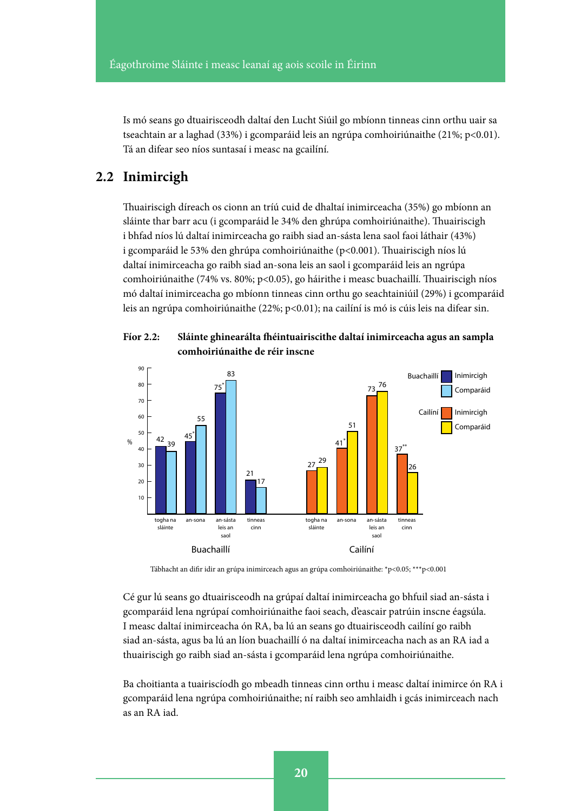<span id="page-20-0"></span>Is mó seans go dtuairisceodh daltaí den Lucht Siúil go mbíonn tinneas cinn orthu uair sa tseachtain ar a laghad (33%) i gcomparáid leis an ngrúpa comhoiriúnaithe (21%; p<0.01). Tá an difear seo níos suntasaí i measc na gcailíní.

# **2.2 Inimircigh**

Thuairiscigh díreach os cionn an tríú cuid de dhaltaí inimirceacha (35%) go mbíonn an sláinte thar barr acu (i gcomparáid le 34% den ghrúpa comhoiriúnaithe). Thuairiscigh i bhfad níos lú daltaí inimirceacha go raibh siad an-sásta lena saol faoi láthair (43%) i gcomparáid le 53% den ghrúpa comhoiriúnaithe (p<0.001). Thuairiscigh níos lú daltaí inimirceacha go raibh siad an-sona leis an saol i gcomparáid leis an ngrúpa comhoiriúnaithe (74% vs. 80%; p<0.05), go háirithe i measc buachaillí. Thuairiscigh níos mó daltaí inimirceacha go mbíonn tinneas cinn orthu go seachtainiúil (29%) i gcomparáid leis an ngrúpa comhoiriúnaithe (22%; p<0.01); na cailíní is mó is cúis leis na difear sin.





Tábhacht an difir idir an grúpa inimirceach agus an grúpa comhoiriúnaithe: \*p<0.05; \*\*\*p<0.001

Cé gur lú seans go dtuairisceodh na grúpaí daltaí inimirceacha go bhfuil siad an-sásta i gcomparáid lena ngrúpaí comhoiriúnaithe faoi seach, d'eascair patrúin inscne éagsúla. I measc daltaí inimirceacha ón RA, ba lú an seans go dtuairisceodh cailíní go raibh siad an-sásta, agus ba lú an líon buachaillí ó na daltaí inimirceacha nach as an RA iad a thuairiscigh go raibh siad an-sásta i gcomparáid lena ngrúpa comhoiriúnaithe.

Ba choitianta a tuairiscíodh go mbeadh tinneas cinn orthu i measc daltaí inimirce ón RA i gcomparáid lena ngrúpa comhoiriúnaithe; ní raibh seo amhlaidh i gcás inimirceach nach as an RA iad.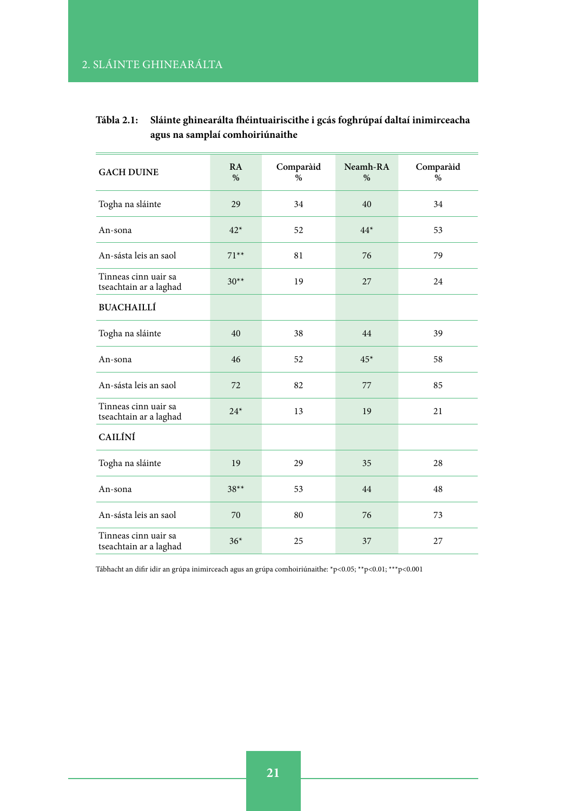| <b>GACH DUINE</b>                              | RA<br>$\%$ | Comparàid<br>$\%$ | Neamh-RA<br>$\%$ | Comparàid<br>$\%$ |
|------------------------------------------------|------------|-------------------|------------------|-------------------|
| Togha na sláinte                               | 29         | 34                | 40               | 34                |
| An-sona                                        | $42*$      | 52                | $44*$            | 53                |
| An-sásta leis an saol                          | $71**$     | 81                | 76               | 79                |
| Tinneas cinn uair sa<br>tseachtain ar a laghad | $30^{**}$  | 19                | 27               | 24                |
| <b>BUACHAILLÍ</b>                              |            |                   |                  |                   |
| Togha na sláinte                               | 40         | 38                | 44               | 39                |
| An-sona                                        | 46         | 52                | $45*$            | 58                |
| An-sásta leis an saol                          | 72         | 82                | 77               | 85                |
| Tinneas cinn uair sa<br>tseachtain ar a laghad | $24*$      | 13                | 19               | 21                |
| <b>CAILÍNÍ</b>                                 |            |                   |                  |                   |
| Togha na sláinte                               | 19         | 29                | 35               | 28                |
| An-sona                                        | $38**$     | 53                | 44               | 48                |
| An-sásta leis an saol                          | 70         | 80                | 76               | 73                |
| Tinneas cinn uair sa<br>tseachtain ar a laghad | $36*$      | 25                | 37               | 27                |

# **Tábla 2.1: Sláinte ghinearálta fhéintuairiscithe i gcás foghrúpaí daltaí inimirceacha agus na samplaí comhoiriúnaithe**

Tábhacht an difir idir an grúpa inimirceach agus an grúpa comhoiriúnaithe: \*p<0.05; \*\*p<0.01; \*\*\*p<0.001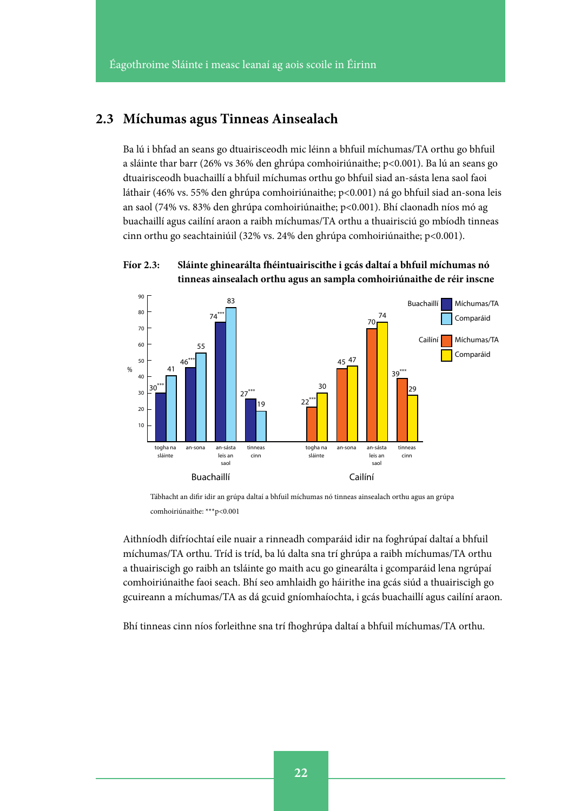# <span id="page-22-0"></span>**2.3 Míchumas agus Tinneas Ainsealach**

Ba lú i bhfad an seans go dtuairisceodh mic léinn a bhfuil míchumas/TA orthu go bhfuil a sláinte thar barr (26% vs 36% den ghrúpa comhoiriúnaithe; p<0.001). Ba lú an seans go dtuairisceodh buachaillí a bhfuil míchumas orthu go bhfuil siad an-sásta lena saol faoi láthair (46% vs. 55% den ghrúpa comhoiriúnaithe; p<0.001) ná go bhfuil siad an-sona leis an saol (74% vs. 83% den ghrúpa comhoiriúnaithe; p<0.001). Bhí claonadh níos mó ag buachaillí agus cailíní araon a raibh míchumas/TA orthu a thuairisciú go mbíodh tinneas cinn orthu go seachtainiúil (32% vs. 24% den ghrúpa comhoiriúnaithe; p<0.001).

#### **Fíor 2.3: Sláinte ghinearálta fhéintuairiscithe i gcás daltaí a bhfuil míchumas nó tinneas ainsealach orthu agus an sampla comhoiriúnaithe de réir inscne**



Tábhacht an difir idir an grúpa daltaí a bhfuil míchumas nó tinneas ainsealach orthu agus an grúpa comhoiriúnaithe: \*\*\*p<0.001

Aithníodh difríochtaí eile nuair a rinneadh comparáid idir na foghrúpaí daltaí a bhfuil míchumas/TA orthu. Tríd is tríd, ba lú dalta sna trí ghrúpa a raibh míchumas/TA orthu a thuairiscigh go raibh an tsláinte go maith acu go ginearálta i gcomparáid lena ngrúpaí comhoiriúnaithe faoi seach. Bhí seo amhlaidh go háirithe ina gcás siúd a thuairiscigh go gcuireann a míchumas/TA as dá gcuid gníomhaíochta, i gcás buachaillí agus cailíní araon.

Bhí tinneas cinn níos forleithne sna trí fhoghrúpa daltaí a bhfuil míchumas/TA orthu.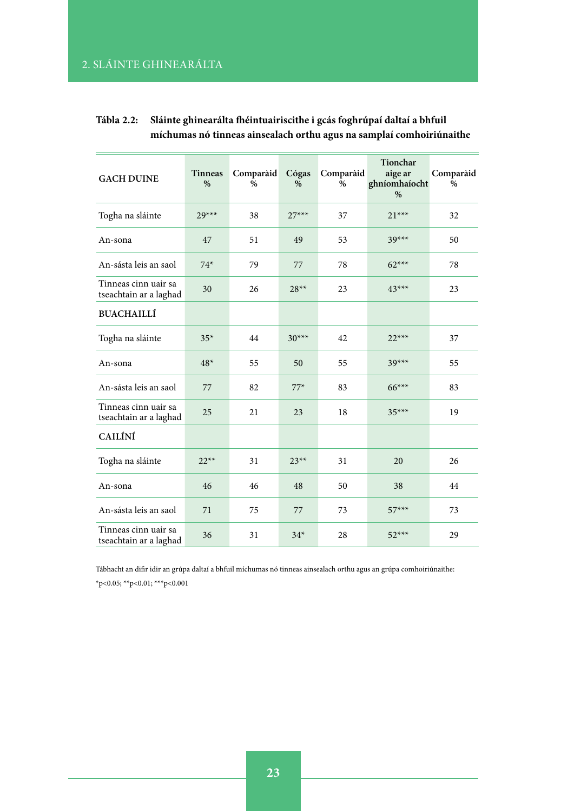| <b>GACH DUINE</b>                              | <b>Tinneas</b><br>$\%$ | Comparàid<br>$\frac{0}{0}$ | Cógas<br>$\%$ | Comparàid<br>$\%$ | Tionchar<br>aige ar<br>ghníomhaíocht<br>$\%$ | Comparàid<br>$\%$ |
|------------------------------------------------|------------------------|----------------------------|---------------|-------------------|----------------------------------------------|-------------------|
| Togha na sláinte                               | $29***$                | 38                         | $27***$       | 37                | $21***$                                      | 32                |
| An-sona                                        | 47                     | 51                         | 49            | 53                | $39***$                                      | 50                |
| An-sásta leis an saol                          | $74*$                  | 79                         | 77            | 78                | $62***$                                      | 78                |
| Tinneas cinn uair sa<br>tseachtain ar a laghad | 30                     | 26                         | $28**$        | 23                | $43***$                                      | 23                |
| <b>BUACHAILLÍ</b>                              |                        |                            |               |                   |                                              |                   |
| Togha na sláinte                               | $35*$                  | 44                         | $30***$       | 42                | $22***$                                      | 37                |
| An-sona                                        | $48*$                  | 55                         | 50            | 55                | $39***$                                      | 55                |
| An-sásta leis an saol                          | 77                     | 82                         | $77*$         | 83                | $66***$                                      | 83                |
| Tinneas cinn uair sa<br>tseachtain ar a laghad | 25                     | 21                         | 23            | 18                | $35***$                                      | 19                |
| <b>CAILÍNÍ</b>                                 |                        |                            |               |                   |                                              |                   |
| Togha na sláinte                               | $22**$                 | 31                         | $23**$        | 31                | 20                                           | 26                |
| An-sona                                        | 46                     | 46                         | 48            | 50                | 38                                           | 44                |
| An-sásta leis an saol                          | 71                     | 75                         | 77            | 73                | $57***$                                      | 73                |
| Tinneas cinn uair sa<br>tseachtain ar a laghad | 36                     | 31                         | $34*$         | 28                | $52***$                                      | 29                |

## **Tábla 2.2: Sláinte ghinearálta fhéintuairiscithe i gcás foghrúpaí daltaí a bhfuil míchumas nó tinneas ainsealach orthu agus na samplaí comhoiriúnaithe**

Tábhacht an difir idir an grúpa daltaí a bhfuil míchumas nó tinneas ainsealach orthu agus an grúpa comhoiriúnaithe: \*p<0.05; \*\*p<0.01; \*\*\*p<0.001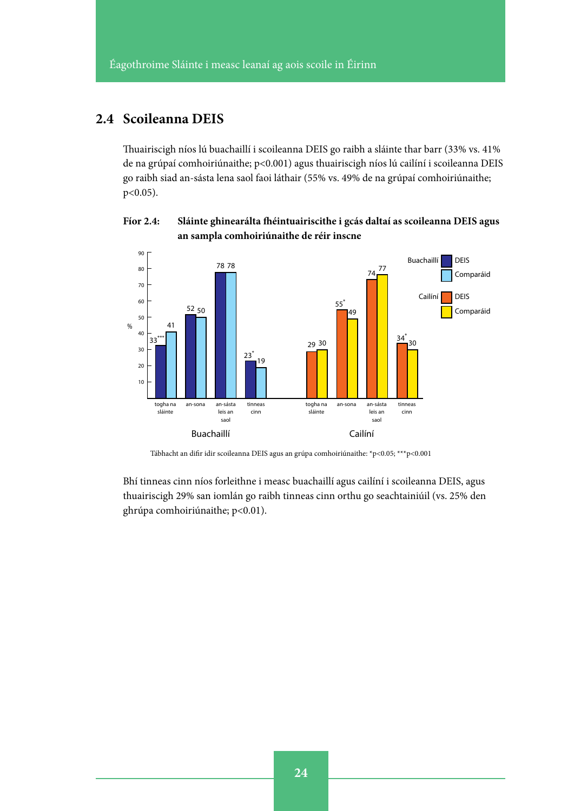# <span id="page-24-0"></span>**2.4 Scoileanna DEIS**

Thuairiscigh níos lú buachaillí i scoileanna DEIS go raibh a sláinte thar barr (33% vs. 41% de na grúpaí comhoiriúnaithe; p<0.001) agus thuairiscigh níos lú cailíní i scoileanna DEIS go raibh siad an-sásta lena saol faoi láthair (55% vs. 49% de na grúpaí comhoiriúnaithe; p<0.05).

#### **Fíor 2.4: Sláinte ghinearálta fhéintuairiscithe i gcás daltaí as scoileanna DEIS agus an sampla comhoiriúnaithe de réir inscne**



Tábhacht an difir idir scoileanna DEIS agus an grúpa comhoiriúnaithe: \*p<0.05; \*\*\*p<0.001

Bhí tinneas cinn níos forleithne i measc buachaillí agus cailíní i scoileanna DEIS, agus thuairiscigh 29% san iomlán go raibh tinneas cinn orthu go seachtainiúil (vs. 25% den ghrúpa comhoiriúnaithe; p<0.01).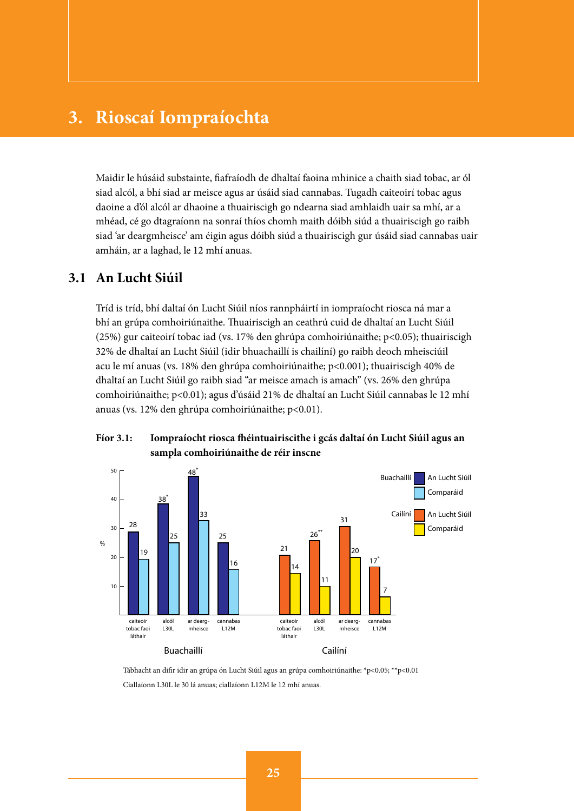# <span id="page-25-0"></span>**3. Rioscaí Iompraíochta**

Maidir le húsáid substainte, fiafraíodh de dhaltaí faoina mhinice a chaith siad tobac, ar ól siad alcól, a bhí siad ar meisce agus ar úsáid siad cannabas. Tugadh caiteoirí tobac agus daoine a d'ól alcól ar dhaoine a thuairiscigh go ndearna siad amhlaidh uair sa mhí, ar a mhéad, cé go dtagraíonn na sonraí thíos chomh maith dóibh siúd a thuairiscigh go raibh siad 'ar deargmheisce' am éigin agus dóibh siúd a thuairiscigh gur úsáid siad cannabas uair amháin, ar a laghad, le 12 mhí anuas.

## **3.1 An Lucht Siúil**

Tríd is tríd, bhí daltaí ón Lucht Siúil níos rannpháirtí in iompraíocht riosca ná mar a bhí an grúpa comhoiriúnaithe. Thuairiscigh an ceathrú cuid de dhaltaí an Lucht Siúil (25%) gur caiteoirí tobac iad (vs. 17% den ghrúpa comhoiriúnaithe; p<0.05); thuairiscigh 32% de dhaltaí an Lucht Siúil (idir bhuachaillí is chailíní) go raibh deoch mheisciúil acu le mí anuas (vs. 18% den ghrúpa comhoiriúnaithe; p<0.001); thuairiscigh 40% de dhaltaí an Lucht Siúil go raibh siad "ar meisce amach is amach" (vs. 26% den ghrúpa comhoiriúnaithe; p<0.01); agus d'úsáid 21% de dhaltaí an Lucht Siúil cannabas le 12 mhí anuas (vs. 12% den ghrúpa comhoiriúnaithe; p<0.01).

#### **Fíor 3.1: Iompraíocht riosca fhéintuairiscithe i gcás daltaí ón Lucht Siúil agus an sampla comhoiriúnaithe de réir inscne**



Tábhacht an difir idir an grúpa ón Lucht Siúil agus an grúpa comhoiriúnaithe: \*p<0.05; \*\*p<0.01 Ciallaíonn L30L le 30 lá anuas; ciallaíonn L12M le 12 mhí anuas.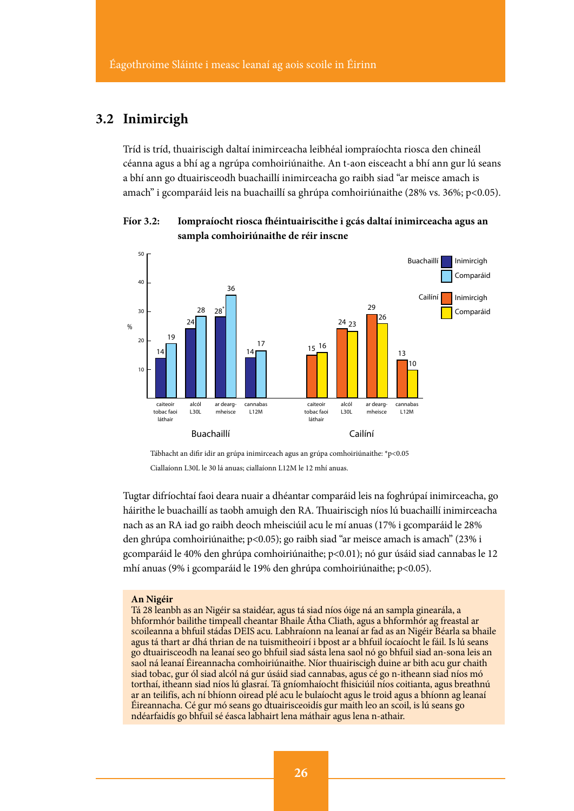# <span id="page-26-0"></span>**3.2 Inimircigh**

Tríd is tríd, thuairiscigh daltaí inimirceacha leibhéal iompraíochta riosca den chineál céanna agus a bhí ag a ngrúpa comhoiriúnaithe. An t-aon eisceacht a bhí ann gur lú seans a bhí ann go dtuairisceodh buachaillí inimirceacha go raibh siad "ar meisce amach is amach" i gcomparáid leis na buachaillí sa ghrúpa comhoiriúnaithe (28% vs. 36%; p<0.05).

**Fíor 3.2: Iompraíocht riosca fhéintuairiscithe i gcás daltaí inimirceacha agus an sampla comhoiriúnaithe de réir inscne**



Tábhacht an difir idir an grúpa inimirceach agus an grúpa comhoiriúnaithe: \*p<0.05 Ciallaíonn L30L le 30 lá anuas; ciallaíonn L12M le 12 mhí anuas.

Tugtar difríochtaí faoi deara nuair a dhéantar comparáid leis na foghrúpaí inimirceacha, go háirithe le buachaillí as taobh amuigh den RA. Thuairiscigh níos lú buachaillí inimirceacha nach as an RA iad go raibh deoch mheisciúil acu le mí anuas (17% i gcomparáid le 28% den ghrúpa comhoiriúnaithe; p<0.05); go raibh siad "ar meisce amach is amach" (23% i gcomparáid le 40% den ghrúpa comhoiriúnaithe; p<0.01); nó gur úsáid siad cannabas le 12 mhí anuas (9% i gcomparáid le 19% den ghrúpa comhoiriúnaithe; p<0.05).

#### **An Nigéir**

Tá 28 leanbh as an Nigéir sa staidéar, agus tá siad níos óige ná an sampla ginearála, a bhformhór bailithe timpeall cheantar Bhaile Átha Cliath, agus a bhformhór ag freastal ar scoileanna a bhfuil stádas DEIS acu. Labhraíonn na leanaí ar fad as an Nigéir Béarla sa bhaile agus tá thart ar dhá thrian de na tuismitheoirí i bpost ar a bhfuil íocaíocht le fáil. Is lú seans go dtuairisceodh na leanaí seo go bhfuil siad sásta lena saol nó go bhfuil siad an-sona leis an saol ná leanaí Éireannacha comhoiriúnaithe. Níor thuairiscigh duine ar bith acu gur chaith siad tobac, gur ól siad alcól ná gur úsáid siad cannabas, agus cé go n-itheann siad níos mó torthaí, itheann siad níos lú glasraí. Tá gníomhaíocht fhisiciúil níos coitianta, agus breathnú ar an teilifís, ach ní bhíonn oiread plé acu le bulaíocht agus le troid agus a bhíonn ag leanaí Éireannacha. Cé gur mó seans go dtuairisceoidís gur maith leo an scoil, is lú seans go ndéarfaidís go bhfuil sé éasca labhairt lena máthair agus lena n-athair.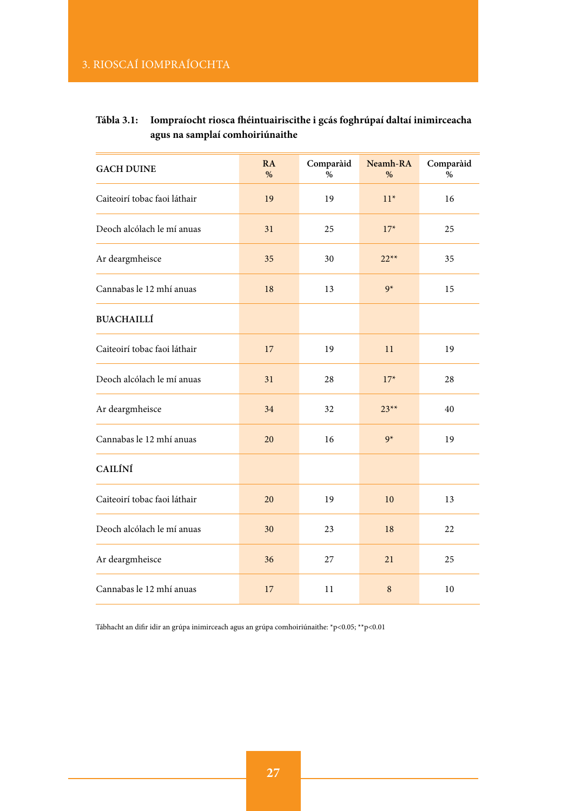| <b>GACH DUINE</b>            | RA<br>$\%$ | Comparàid<br>% | Neamh-RA<br>$\%$ | Comparàid<br>$\%$ |
|------------------------------|------------|----------------|------------------|-------------------|
| Caiteoirí tobac faoi láthair | 19         | 19             | $11*$            | 16                |
| Deoch alcólach le mí anuas   | 31         | 25             | $17*$            | 25                |
| Ar deargmheisce              | 35         | 30             | $22**$           | 35                |
| Cannabas le 12 mhí anuas     | 18         | 13             | $9*$             | 15                |
| <b>BUACHAILLÍ</b>            |            |                |                  |                   |
| Caiteoirí tobac faoi láthair | 17         | 19             | 11               | 19                |
| Deoch alcólach le mí anuas   | 31         | 28             | $17*$            | 28                |
| Ar deargmheisce              | 34         | 32             | $23**$           | 40                |
| Cannabas le 12 mhí anuas     | 20         | 16             | $9*$             | 19                |
| <b>CAILÍNÍ</b>               |            |                |                  |                   |
| Caiteoirí tobac faoi láthair | 20         | 19             | 10               | 13                |
| Deoch alcólach le mí anuas   | 30         | 23             | 18               | 22                |
| Ar deargmheisce              | 36         | 27             | 21               | 25                |
| Cannabas le 12 mhí anuas     | 17         | 11             | $\,8\,$          | 10                |

# **Tábla 3.1: Iompraíocht riosca fhéintuairiscithe i gcás foghrúpaí daltaí inimirceacha agus na samplaí comhoiriúnaithe**

Tábhacht an difir idir an grúpa inimirceach agus an grúpa comhoiriúnaithe: \*p<0.05; \*\*p<0.01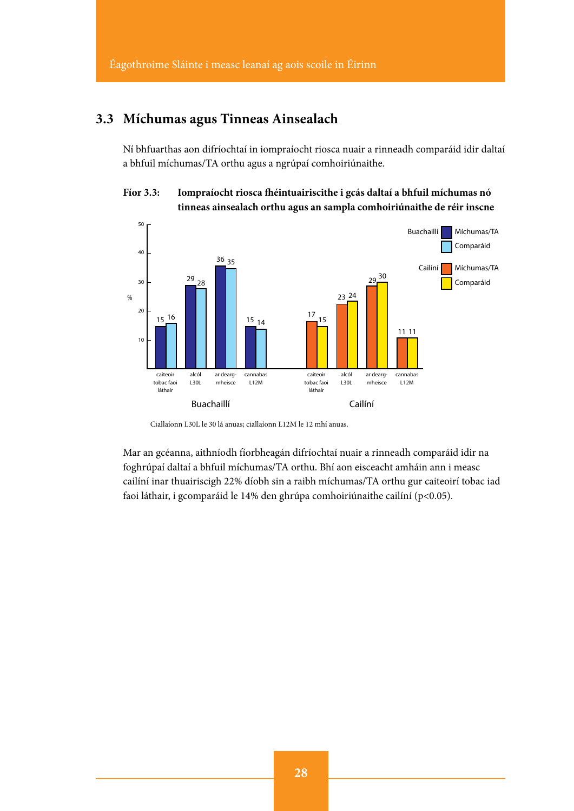# <span id="page-28-0"></span>**3.3 Míchumas agus Tinneas Ainsealach**

Ní bhfuarthas aon difríochtaí in iompraíocht riosca nuair a rinneadh comparáid idir daltaí a bhfuil míchumas/TA orthu agus a ngrúpaí comhoiriúnaithe.

#### **Fíor 3.3: Iompraíocht riosca fhéintuairiscithe i gcás daltaí a bhfuil míchumas nó tinneas ainsealach orthu agus an sampla comhoiriúnaithe de réir inscne**

![](_page_28_Figure_4.jpeg)

Ciallaíonn L30L le 30 lá anuas; ciallaíonn L12M le 12 mhí anuas.

Mar an gcéanna, aithníodh fíorbheagán difríochtaí nuair a rinneadh comparáid idir na foghrúpaí daltaí a bhfuil míchumas/TA orthu. Bhí aon eisceacht amháin ann i measc cailíní inar thuairiscigh 22% díobh sin a raibh míchumas/TA orthu gur caiteoirí tobac iad faoi láthair, i gcomparáid le 14% den ghrúpa comhoiriúnaithe cailíní (p<0.05).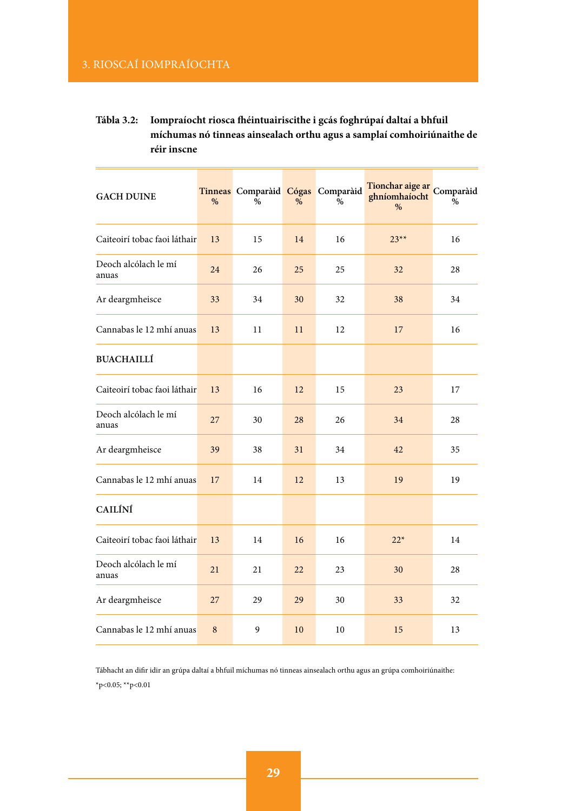| Tábla 3.2: Iompraíocht riosca fhéintuairiscithe i gcás foghrúpaí daltaí a bhfuil |
|----------------------------------------------------------------------------------|
| míchumas nó tinneas ainsealach orthu agus a samplaí comhoiriúnaithe de           |
| réir inscne                                                                      |

| <b>GACH DUINE</b>             | %       | Tinneas Comparàid Cógas Comparàid<br>$\frac{9}{6}$ | $\overline{\frac{9}{6}}$ | $\overline{\mathbf{0}}_0$ | Tionchar aige ar Comparàid<br>ghníomhaíocht<br>$\frac{9}{0}$ | $\overline{\mathbf{9}}_0$ |
|-------------------------------|---------|----------------------------------------------------|--------------------------|---------------------------|--------------------------------------------------------------|---------------------------|
| Caiteoirí tobac faoi láthair  | 13      | 15                                                 | 14                       | 16                        | $23**$                                                       | 16                        |
| Deoch alcólach le mí<br>anuas | 24      | 26                                                 | 25                       | 25                        | 32                                                           | 28                        |
| Ar deargmheisce               | 33      | 34                                                 | 30                       | 32                        | 38                                                           | 34                        |
| Cannabas le 12 mhí anuas      | 13      | 11                                                 | 11                       | 12                        | 17                                                           | 16                        |
| <b>BUACHAILLÍ</b>             |         |                                                    |                          |                           |                                                              |                           |
| Caiteoirí tobac faoi láthair  | 13      | 16                                                 | 12                       | 15                        | 23                                                           | 17                        |
| Deoch alcólach le mí<br>anuas | 27      | 30                                                 | 28                       | 26                        | 34                                                           | 28                        |
| Ar deargmheisce               | 39      | 38                                                 | 31                       | 34                        | 42                                                           | 35                        |
| Cannabas le 12 mhí anuas      | 17      | 14                                                 | 12                       | 13                        | 19                                                           | 19                        |
| <b>CAILÍNÍ</b>                |         |                                                    |                          |                           |                                                              |                           |
| Caiteoirí tobac faoi láthair  | 13      | 14                                                 | 16                       | 16                        | $22*$                                                        | 14                        |
| Deoch alcólach le mí<br>anuas | 21      | 21                                                 | 22                       | 23                        | 30                                                           | 28                        |
| Ar deargmheisce               | 27      | 29                                                 | 29                       | 30                        | 33                                                           | 32                        |
| Cannabas le 12 mhí anuas      | $\bf 8$ | 9                                                  | 10                       | 10                        | 15                                                           | 13                        |

Tábhacht an difir idir an grúpa daltaí a bhfuil míchumas nó tinneas ainsealach orthu agus an grúpa comhoiriúnaithe: \*p<0.05; \*\*p<0.01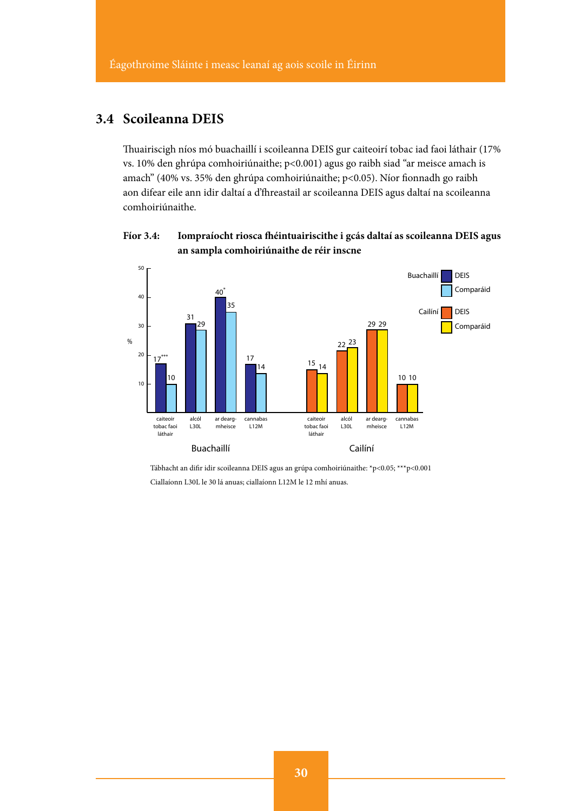## <span id="page-30-0"></span>**3.4 Scoileanna DEIS**

Thuairiscigh níos mó buachaillí i scoileanna DEIS gur caiteoirí tobac iad faoi láthair (17% vs. 10% den ghrúpa comhoiriúnaithe; p<0.001) agus go raibh siad "ar meisce amach is amach" (40% vs. 35% den ghrúpa comhoiriúnaithe; p<0.05). Níor fionnadh go raibh aon difear eile ann idir daltaí a d'fhreastail ar scoileanna DEIS agus daltaí na scoileanna comhoiriúnaithe.

#### **Fíor 3.4: Iompraíocht riosca fhéintuairiscithe i gcás daltaí as scoileanna DEIS agus an sampla comhoiriúnaithe de réir inscne**

![](_page_30_Figure_4.jpeg)

Tábhacht an difir idir scoileanna DEIS agus an grúpa comhoiriúnaithe: \*p<0.05; \*\*\*p<0.001 Ciallaíonn L30L le 30 lá anuas; ciallaíonn L12M le 12 mhí anuas.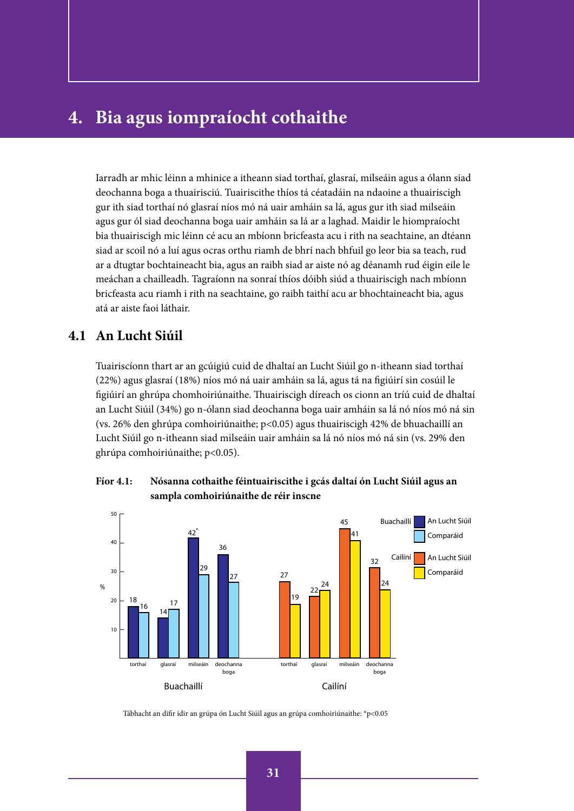# <span id="page-31-0"></span>**4. Bia agus iompraíocht cothaithe**

Iarradh ar mhic léinn a mhinice a itheann siad torthaí, glasraí, milseáin agus a ólann siad deochanna boga a thuairisciú. Tuairiscithe thíos tá céatadáin na ndaoine a thuairiscigh gur ith siad torthaí nó glasraí níos mó ná uair amháin sa lá, agus gur ith siad milseáin agus gur ól siad deochanna boga uair amháin sa lá ar a laghad. Maidir le hiompraíocht bia thuairiscigh mic léinn cé acu an mbíonn bricfeasta acu i rith na seachtaine, an dtéann siad ar scoil nó a luí agus ocras orthu riamh de bhrí nach bhfuil go leor bia sa teach, rud ar a dtugtar bochtaineacht bia, agus an raibh siad ar aiste nó ag déanamh rud éigin eile le meáchan a chailleadh. Tagraíonn na sonraí thíos dóibh siúd a thuairiscigh nach mbíonn bricfeasta acu riamh i rith na seachtaine, go raibh taithí acu ar bhochtaineacht bia, agus atá ar aiste faoi láthair.

# **4.1 An Lucht Siúil**

Tuairiscíonn thart ar an gcúigiú cuid de dhaltaí an Lucht Siúil go n-itheann siad torthaí (22%) agus glasraí (18%) níos mó ná uair amháin sa lá, agus tá na figiúirí sin cosúil le figiúirí an ghrúpa chomhoiriúnaithe. Thuairiscigh díreach os cionn an tríú cuid de dhaltaí an Lucht Siúil (34%) go n-ólann siad deochanna boga uair amháin sa lá nó níos mó ná sin (vs. 26% den ghrúpa comhoiriúnaithe; p<0.05) agus thuairiscigh 42% de bhuachaillí an Lucht Siúil go n-itheann siad milseáin uair amháin sa lá nó níos mó ná sin (vs. 29% den ghrúpa comhoiriúnaithe; p<0.05).

![](_page_31_Figure_4.jpeg)

**Fíor 4.1: Nósanna cothaithe féintuairiscithe i gcás daltaí ón Lucht Siúil agus an sampla comhoiriúnaithe de réir inscne**

Tábhacht an difir idir an grúpa ón Lucht Siúil agus an grúpa comhoiriúnaithe: \*p<0.05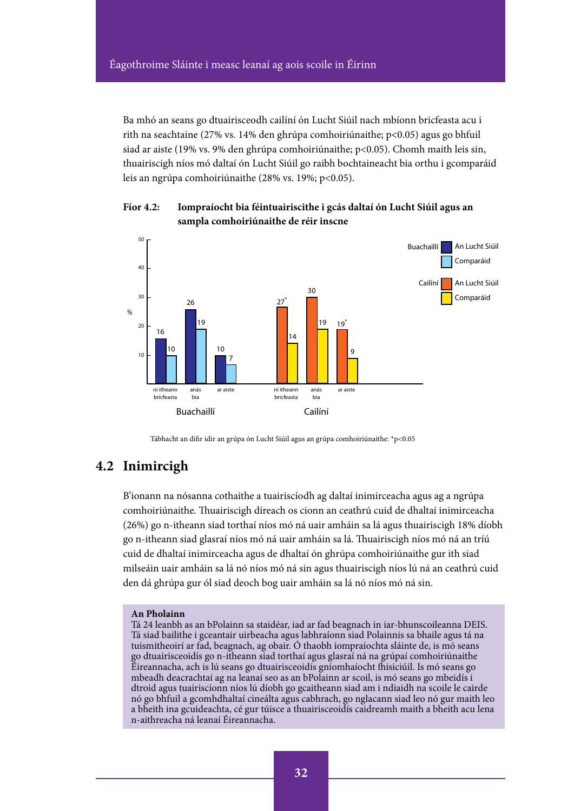<span id="page-32-0"></span>Ba mhó an seans go dtuairisceodh cailíní ón Lucht Siúil nach mbíonn bricfeasta acu i rith na seachtaine (27% vs. 14% den ghrúpa comhoiriúnaithe; p<0.05) agus go bhfuil siad ar aiste (19% vs. 9% den ghrúpa comhoiriúnaithe; p<0.05). Chomh maith leis sin, thuairiscigh níos mó daltaí ón Lucht Siúil go raibh bochtaineacht bia orthu i gcomparáid leis an ngrúpa comhoiriúnaithe (28% vs. 19%; p<0.05).

![](_page_32_Figure_2.jpeg)

![](_page_32_Figure_3.jpeg)

Tábhacht an difir idir an grúpa ón Lucht Siúil agus an grúpa comhoiriúnaithe: \*p<0.05

# **4.2 Inimircigh**

B'ionann na nósanna cothaithe a tuairiscíodh ag daltaí inimirceacha agus ag a ngrúpa comhoiriúnaithe. Thuairiscigh díreach os cionn an ceathrú cuid de dhaltaí inimirceacha (26%) go n-itheann siad torthaí níos mó ná uair amháin sa lá agus thuairiscigh 18% díobh go n-itheann siad glasraí níos mó ná uair amháin sa lá. Thuairiscigh níos mó ná an tríú cuid de dhaltaí inimirceacha agus de dhaltaí ón ghrúpa comhoiriúnaithe gur ith siad milseáin uair amháin sa lá nó níos mó ná sin agus thuairiscigh níos lú ná an ceathrú cuid den dá ghrúpa gur ól siad deoch bog uair amháin sa lá nó níos mó ná sin.

#### **An Pholainn**

Tá 24 leanbh as an bPolainn sa staidéar, iad ar fad beagnach in iar-bhunscoileanna DEIS. Tá siad bailithe i gceantair uirbeacha agus labhraíonn siad Polainnis sa bhaile agus tá na tuismitheoirí ar fad, beagnach, ag obair. Ó thaobh iompraíochta sláinte de, is mó seans go dtuairisceoidís go n-itheann siad torthaí agus glasraí ná na grúpaí comhoiriúnaithe Éireannacha, ach is lú seans go dtuairisceoidís gníomhaíocht fhisiciúil. Is mó seans go mbeadh deacrachtaí ag na leanaí seo as an bPolainn ar scoil, is mó seans go mbeidís i dtroid agus tuairiscíonn níos lú díobh go gcaitheann siad am i ndiaidh na scoile le cairde nó go bhfuil a gcomhdhaltaí cineálta agus cabhrach, go nglacann siad leo nó gur maith leo a bheith ina gcuideachta, cé gur túisce a thuairisceoidís caidreamh maith a bheith acu lena n-aithreacha ná leanaí Éireannacha.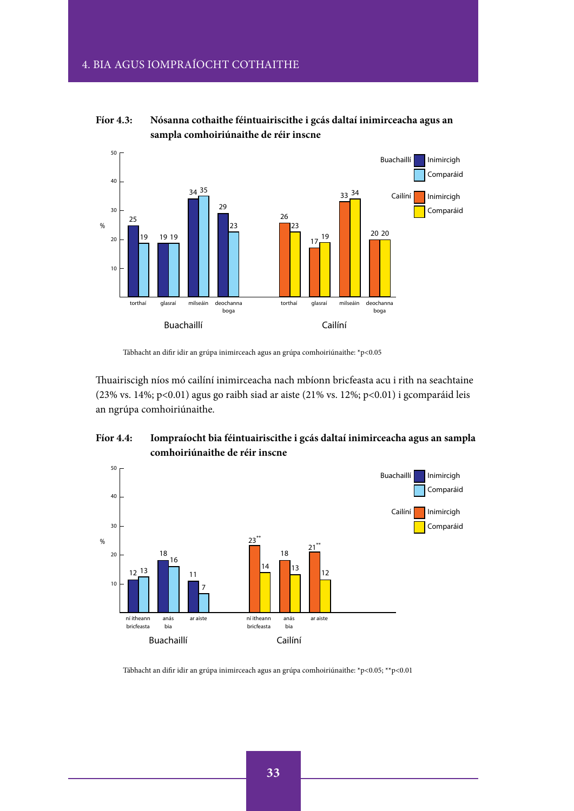![](_page_33_Figure_1.jpeg)

**Fíor 4.3: Nósanna cothaithe féintuairiscithe i gcás daltaí inimirceacha agus an sampla comhoiriúnaithe de réir inscne**

Tábhacht an difir idir an grúpa inimirceach agus an grúpa comhoiriúnaithe: \*p<0.05

Thuairiscigh níos mó cailíní inimirceacha nach mbíonn bricfeasta acu i rith na seachtaine (23% vs. 14%; p<0.01) agus go raibh siad ar aiste (21% vs. 12%; p<0.01) i gcomparáid leis an ngrúpa comhoiriúnaithe.

#### **Fíor 4.4: Iompraíocht bia féintuairiscithe i gcás daltaí inimirceacha agus an sampla comhoiriúnaithe de réir inscne**

![](_page_33_Figure_6.jpeg)

Tábhacht an difir idir an grúpa inimirceach agus an grúpa comhoiriúnaithe: \*p<0.05; \*\*p<0.01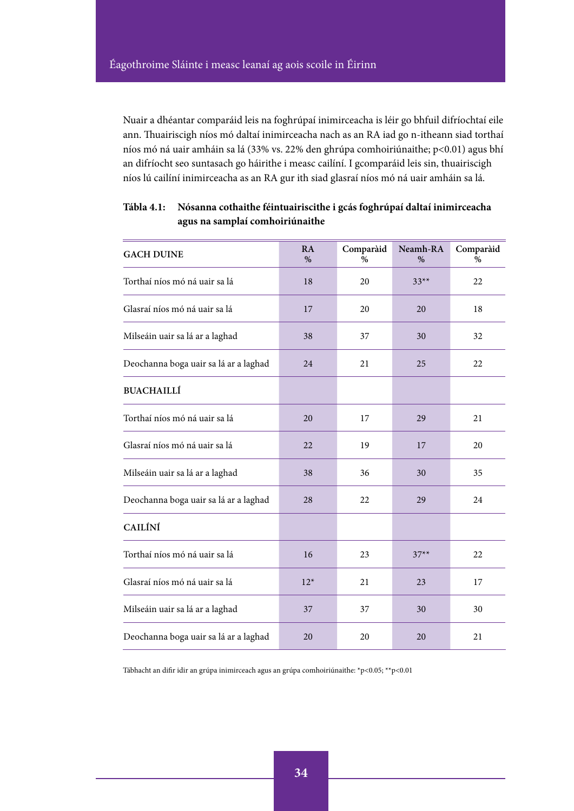Nuair a dhéantar comparáid leis na foghrúpaí inimirceacha is léir go bhfuil difríochtaí eile ann. Thuairiscigh níos mó daltaí inimirceacha nach as an RA iad go n-itheann siad torthaí níos mó ná uair amháin sa lá (33% vs. 22% den ghrúpa comhoiriúnaithe; p<0.01) agus bhí an difríocht seo suntasach go háirithe i measc cailíní. I gcomparáid leis sin, thuairiscigh níos lú cailíní inimirceacha as an RA gur ith siad glasraí níos mó ná uair amháin sa lá.

| <b>GACH DUINE</b>                     | RA<br>$\%$ | Comparàid<br>$\%$ | Neamh-RA<br>$\%$ | Comparàid<br>$\%$ |
|---------------------------------------|------------|-------------------|------------------|-------------------|
| Torthaí níos mó ná uair sa lá         | 18         | 20                | $33**$           | 22                |
| Glasraí níos mó ná uair sa lá         | 17         | 20                | 20               | 18                |
| Milseáin uair sa lá ar a laghad       | 38         | 37                | 30               | 32                |
| Deochanna boga uair sa lá ar a laghad | 24         | 21                | 25               | 22                |
| <b>BUACHAILLÍ</b>                     |            |                   |                  |                   |
| Torthaí níos mó ná uair sa lá         | 20         | 17                | 29               | 21                |
| Glasraí níos mó ná uair sa lá         | 22         | 19                | 17               | 20                |
| Milseáin uair sa lá ar a laghad       | 38         | 36                | 30               | 35                |
| Deochanna boga uair sa lá ar a laghad | 28         | 22                | 29               | 24                |
| <b>CAILÍNÍ</b>                        |            |                   |                  |                   |
| Torthaí níos mó ná uair sa lá         | 16         | 23                | $37**$           | 22                |
| Glasraí níos mó ná uair sa lá         | $12*$      | 21                | 23               | 17                |
| Milseáin uair sa lá ar a laghad       | 37         | 37                | 30               | 30                |
| Deochanna boga uair sa lá ar a laghad | 20         | 20                | 20               | 21                |

#### **Tábla 4.1: Nósanna cothaithe féintuairiscithe i gcás foghrúpaí daltaí inimirceacha agus na samplaí comhoiriúnaithe**

Tábhacht an difir idir an grúpa inimirceach agus an grúpa comhoiriúnaithe: \*p<0.05; \*\*p<0.01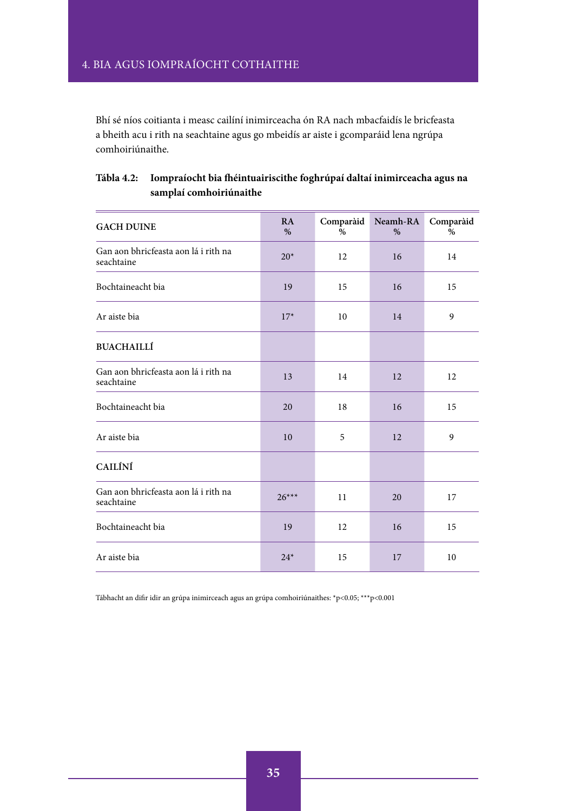Bhí sé níos coitianta i measc cailíní inimirceacha ón RA nach mbacfaidís le bricfeasta a bheith acu i rith na seachtaine agus go mbeidís ar aiste i gcomparáid lena ngrúpa comhoiriúnaithe.

| <b>Tábla 4.2:</b> | Iompraíocht bia fhéintuairiscithe foghrúpaí daltaí inimirceacha agus na |
|-------------------|-------------------------------------------------------------------------|
|                   | samplaí comhoiriúnaithe                                                 |

| <b>GACH DUINE</b>                                  | RA<br>$\%$ | Comparàid<br>$\%$ | Neamh-RA<br>$\%$ | Comparàid<br>% |
|----------------------------------------------------|------------|-------------------|------------------|----------------|
| Gan aon bhricfeasta aon lá i rith na<br>seachtaine | $20*$      | 12                | 16               | 14             |
| Bochtaineacht bia                                  | 19         | 15                | 16               | 15             |
| Ar aiste bia                                       | $17^*$     | 10                | 14               | 9              |
| <b>BUACHAILLÍ</b>                                  |            |                   |                  |                |
| Gan aon bhricfeasta aon lá i rith na<br>seachtaine | 13         | 14                | 12               | 12             |
| Bochtaineacht bia                                  | 20         | 18                | 16               | 15             |
| Ar aiste bia                                       | 10         | 5                 | 12               | 9              |
| <b>CAILÍNÍ</b>                                     |            |                   |                  |                |
| Gan aon bhricfeasta aon lá i rith na<br>seachtaine | $26***$    | 11                | 20               | 17             |
| Bochtaineacht bia                                  | 19         | 12                | 16               | 15             |
| Ar aiste bia                                       | $24*$      | 15                | 17               | 10             |

Tábhacht an difir idir an grúpa inimirceach agus an grúpa comhoiriúnaithes: \*p<0.05; \*\*\*p<0.001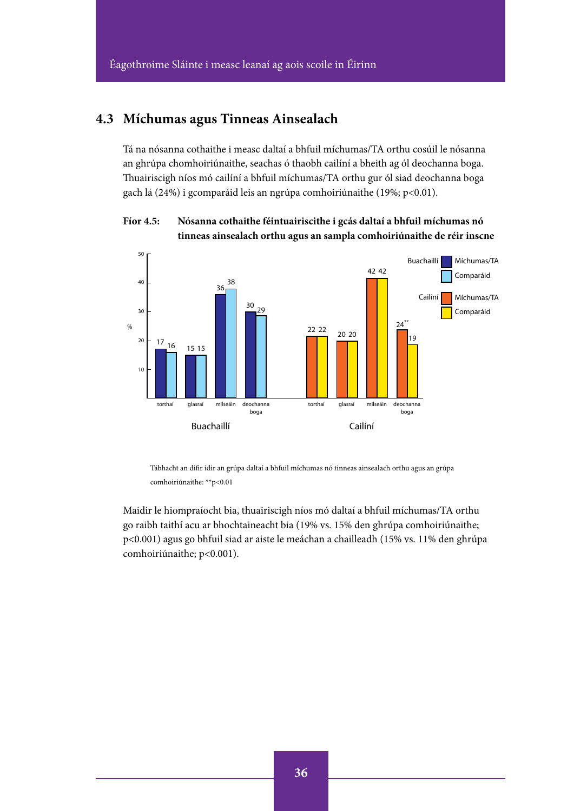# <span id="page-36-0"></span>**4.3 Míchumas agus Tinneas Ainsealach**

Tá na nósanna cothaithe i measc daltaí a bhfuil míchumas/TA orthu cosúil le nósanna an ghrúpa chomhoiriúnaithe, seachas ó thaobh cailíní a bheith ag ól deochanna boga. Thuairiscigh níos mó cailíní a bhfuil míchumas/TA orthu gur ól siad deochanna boga gach lá (24%) i gcomparáid leis an ngrúpa comhoiriúnaithe (19%; p<0.01).

#### **Fíor 4.5: Nósanna cothaithe féintuairiscithe i gcás daltaí a bhfuil míchumas nó tinneas ainsealach orthu agus an sampla comhoiriúnaithe de réir inscne**

![](_page_36_Figure_4.jpeg)

Tábhacht an difir idir an grúpa daltaí a bhfuil míchumas nó tinneas ainsealach orthu agus an grúpa comhoiriúnaithe: \*\*p<0.01

Maidir le hiompraíocht bia, thuairiscigh níos mó daltaí a bhfuil míchumas/TA orthu go raibh taithí acu ar bhochtaineacht bia (19% vs. 15% den ghrúpa comhoiriúnaithe; p<0.001) agus go bhfuil siad ar aiste le meáchan a chailleadh (15% vs. 11% den ghrúpa comhoiriúnaithe; p<0.001).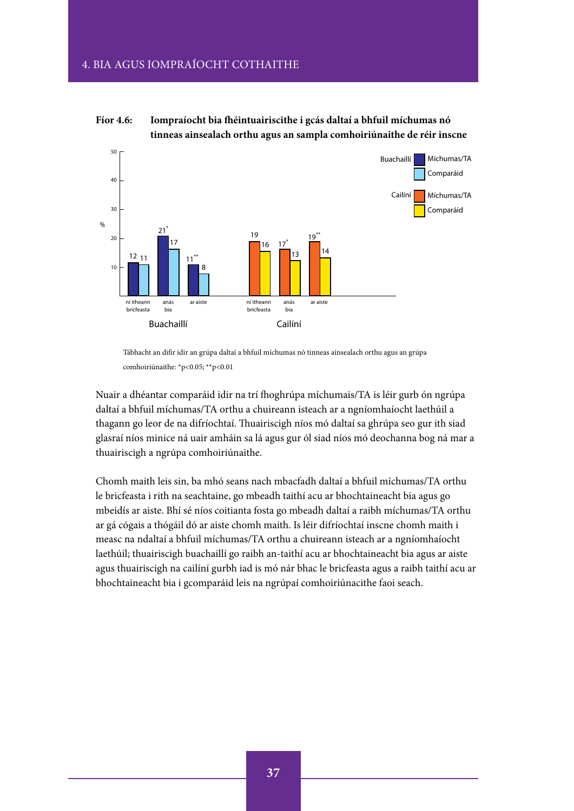![](_page_37_Figure_1.jpeg)

**Fíor 4.6: Iompraíocht bia fhéintuairiscithe i gcás daltaí a bhfuil míchumas nó tinneas ainsealach orthu agus an sampla comhoiriúnaithe de réir inscne**

Tábhacht an difir idir an grúpa daltaí a bhfuil míchumas nó tinneas ainsealach orthu agus an grúpa comhoiriúnaithe: \*p<0.05; \*\*p<0.01

Nuair a dhéantar comparáid idir na trí fhoghrúpa míchumais/TA is léir gurb ón ngrúpa daltaí a bhfuil míchumas/TA orthu a chuireann isteach ar a ngníomhaíocht laethúil a thagann go leor de na difríochtaí. Thuairiscigh níos mó daltaí sa ghrúpa seo gur ith siad glasraí níos minice ná uair amháin sa lá agus gur ól siad níos mó deochanna bog ná mar a thuairiscigh a ngrúpa comhoiriúnaithe.

Chomh maith leis sin, ba mhó seans nach mbacfadh daltaí a bhfuil míchumas/TA orthu le bricfeasta i rith na seachtaine, go mbeadh taithí acu ar bhochtaineacht bia agus go mbeidís ar aiste. Bhí sé níos coitianta fosta go mbeadh daltaí a raibh míchumas/TA orthu ar gá cógais a thógáil dó ar aiste chomh maith. Is léir difríochtaí inscne chomh maith i measc na ndaltaí a bhfuil míchumas/TA orthu a chuireann isteach ar a ngníomhaíocht laethúil; thuairiscigh buachaillí go raibh an-taithí acu ar bhochtaineacht bia agus ar aiste agus thuairiscigh na cailíní gurbh iad is mó nár bhac le bricfeasta agus a raibh taithí acu ar bhochtaineacht bia i gcomparáid leis na ngrúpaí comhoiriúnacithe faoi seach.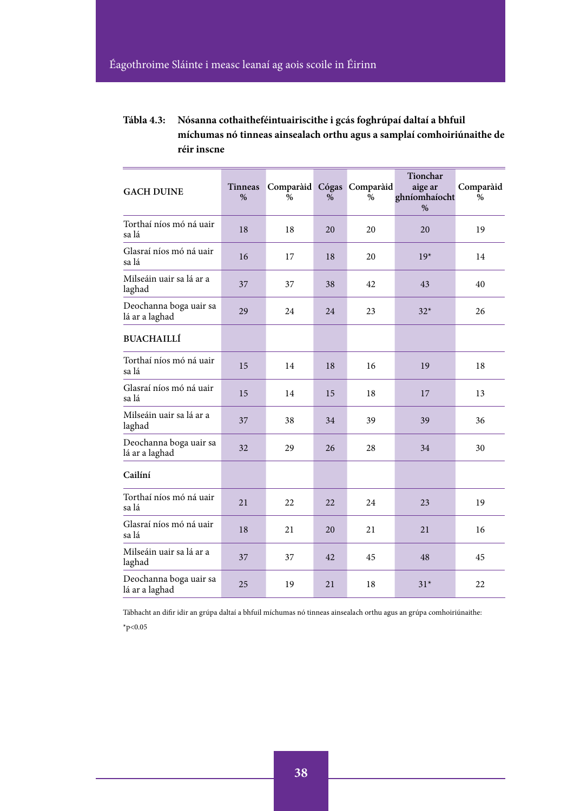| Tábla 4.3: Nósanna cothaitheféintuairiscithe i gcás foghrúpaí daltaí a bhfuil |
|-------------------------------------------------------------------------------|
| míchumas nó tinneas ainsealach orthu agus a samplaí comhoiriúnaithe de        |
| réir inscne                                                                   |

| <b>GACH DUINE</b>                        | <b>Tinneas</b><br>$\%$ | $\%$ | $\%$ | Comparàid Cógas Comparàid<br>$\%$ | Tionchar<br>aige ar<br>ghníomhaíocht<br>$\%$ | Comparàid<br>$\%$ |
|------------------------------------------|------------------------|------|------|-----------------------------------|----------------------------------------------|-------------------|
| Torthaí níos mó ná uair<br>sa lá         | 18                     | 18   | 20   | 20                                | 20                                           | 19                |
| Glasraí níos mó ná uair<br>sa lá         | 16                     | 17   | 18   | 20                                | $19*$                                        | 14                |
| Milseáin uair sa lá ar a<br>laghad       | 37                     | 37   | 38   | 42                                | 43                                           | 40                |
| Deochanna boga uair sa<br>lá ar a laghad | 29                     | 24   | 24   | 23                                | $32*$                                        | 26                |
| <b>BUACHAILLÍ</b>                        |                        |      |      |                                   |                                              |                   |
| Torthaí níos mó ná uair<br>sa lá         | 15                     | 14   | 18   | 16                                | 19                                           | 18                |
| Glasraí níos mó ná uair<br>sa lá         | 15                     | 14   | 15   | 18                                | 17                                           | 13                |
| Milseáin uair sa lá ar a<br>laghad       | 37                     | 38   | 34   | 39                                | 39                                           | 36                |
| Deochanna boga uair sa<br>lá ar a laghad | 32                     | 29   | 26   | 28                                | 34                                           | 30                |
| Cailíní                                  |                        |      |      |                                   |                                              |                   |
| Torthaí níos mó ná uair<br>sa lá         | 21                     | 22   | 22   | 24                                | 23                                           | 19                |
| Glasraí níos mó ná uair<br>sa lá         | 18                     | 21   | 20   | 21                                | 21                                           | 16                |
| Milseáin uair sa lá ar a<br>laghad       | 37                     | 37   | 42   | 45                                | 48                                           | 45                |
| Deochanna boga uair sa<br>lá ar a laghad | 25                     | 19   | 21   | 18                                | $31*$                                        | 22                |

Tábhacht an difir idir an grúpa daltaí a bhfuil míchumas nó tinneas ainsealach orthu agus an grúpa comhoiriúnaithe:  $*_{p<0.05}$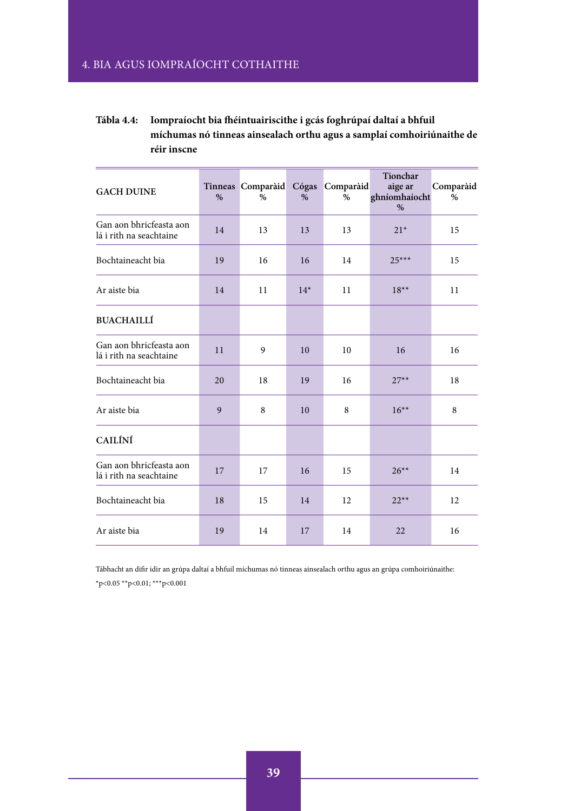## **Tábla 4.4: Iompraíocht bia fhéintuairiscithe i gcás foghrúpaí daltaí a bhfuil míchumas nó tinneas ainsealach orthu agus a samplaí comhoiriúnaithe de réir inscne**

| <b>GACH DUINE</b>                                  | $\%$ | Tinneas Comparàid<br>$\%$ | Cógas<br>$\%$ | Comparàid<br>$\%$ | Tionchar<br>aige ar<br>ghníomhaíocht<br>$\%$ | Comparàid<br>$\%$ |
|----------------------------------------------------|------|---------------------------|---------------|-------------------|----------------------------------------------|-------------------|
| Gan aon bhricfeasta aon<br>lá i rith na seachtaine | 14   | 13                        | 13            | 13                | $21*$                                        | 15                |
| Bochtaineacht bia                                  | 19   | 16                        | 16            | 14                | $25***$                                      | 15                |
| Ar aiste bia                                       | 14   | 11                        | $14*$         | 11                | $18**$                                       | 11                |
| <b>BUACHAILLÍ</b>                                  |      |                           |               |                   |                                              |                   |
| Gan aon bhricfeasta aon<br>lá i rith na seachtaine | 11   | 9                         | 10            | 10                | 16                                           | 16                |
| Bochtaineacht bia                                  | 20   | 18                        | 19            | 16                | $27**$                                       | 18                |
| Ar aiste bia                                       | 9    | 8                         | 10            | 8                 | $16***$                                      | 8                 |
| <b>CAILÍNÍ</b>                                     |      |                           |               |                   |                                              |                   |
| Gan aon bhricfeasta aon<br>lá i rith na seachtaine | 17   | 17                        | 16            | 15                | $26***$                                      | 14                |
| Bochtaineacht bia                                  | 18   | 15                        | 14            | 12                | $22**$                                       | 12                |
| Ar aiste bia                                       | 19   | 14                        | 17            | 14                | 22                                           | 16                |

Tábhacht an difir idir an grúpa daltaí a bhfuil míchumas nó tinneas ainsealach orthu agus an grúpa comhoiriúnaithe: \*p<0.05 \*\*p<0.01; \*\*\*p<0.001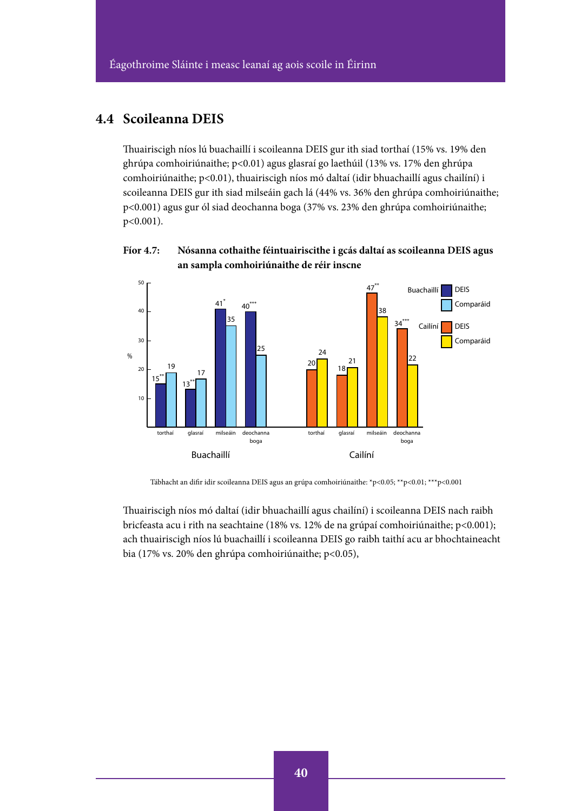## <span id="page-40-0"></span>**4.4 Scoileanna DEIS**

Thuairiscigh níos lú buachaillí i scoileanna DEIS gur ith siad torthaí (15% vs. 19% den ghrúpa comhoiriúnaithe; p<0.01) agus glasraí go laethúil (13% vs. 17% den ghrúpa comhoiriúnaithe; p<0.01), thuairiscigh níos mó daltaí (idir bhuachaillí agus chailíní) i scoileanna DEIS gur ith siad milseáin gach lá (44% vs. 36% den ghrúpa comhoiriúnaithe; p<0.001) agus gur ól siad deochanna boga (37% vs. 23% den ghrúpa comhoiriúnaithe; p<0.001).

#### **Fíor 4.7: Nósanna cothaithe féintuairiscithe i gcás daltaí as scoileanna DEIS agus an sampla comhoiriúnaithe de réir inscne**

![](_page_40_Figure_4.jpeg)

Tábhacht an difir idir scoileanna DEIS agus an grúpa comhoiriúnaithe: \*p<0.05; \*\*p<0.01; \*\*\*p<0.001

Thuairiscigh níos mó daltaí (idir bhuachaillí agus chailíní) i scoileanna DEIS nach raibh bricfeasta acu i rith na seachtaine (18% vs. 12% de na grúpaí comhoiriúnaithe; p<0.001); ach thuairiscigh níos lú buachaillí i scoileanna DEIS go raibh taithí acu ar bhochtaineacht bia (17% vs. 20% den ghrúpa comhoiriúnaithe; p<0.05),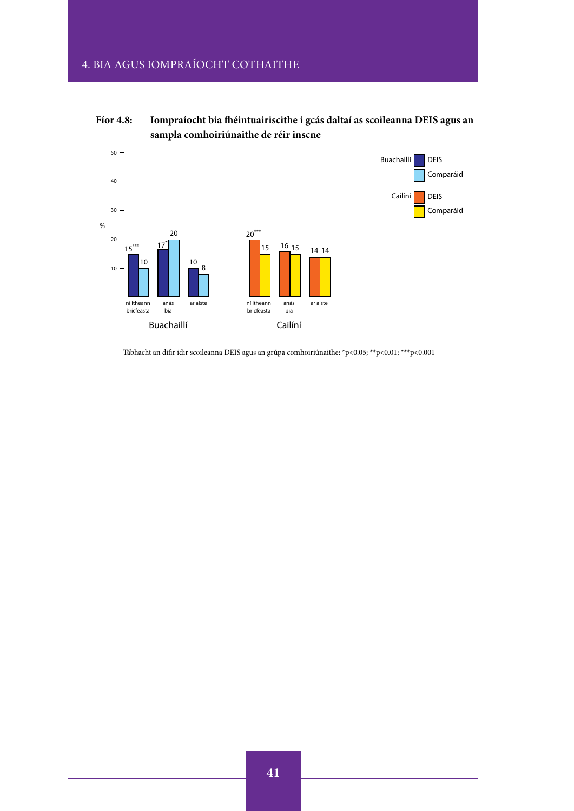![](_page_41_Figure_1.jpeg)

**Fíor 4.8: Iompraíocht bia fhéintuairiscithe i gcás daltaí as scoileanna DEIS agus an sampla comhoiriúnaithe de réir inscne**

Tábhacht an difir idir scoileanna DEIS agus an grúpa comhoiriúnaithe: \*p<0.05; \*\*p<0.01; \*\*\*p<0.001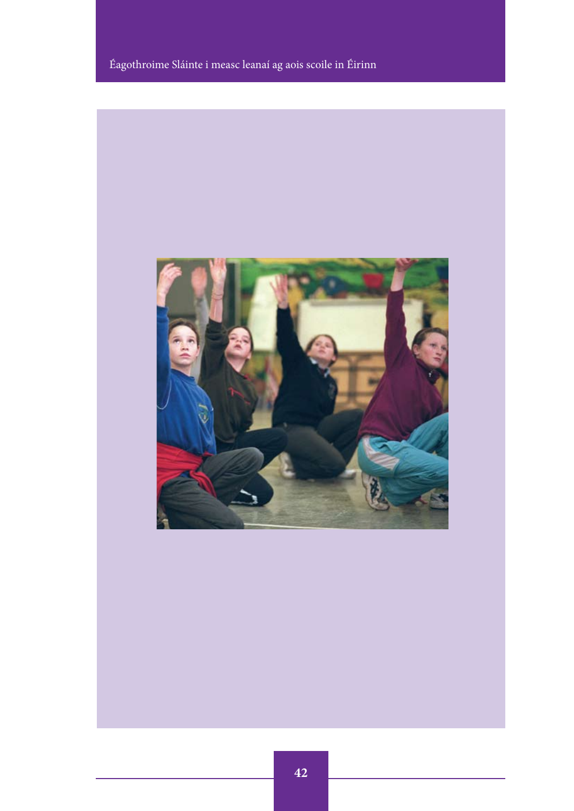# Éagothroime Sláinte i measc leanaí ag aois scoile in Éirinn

![](_page_42_Picture_1.jpeg)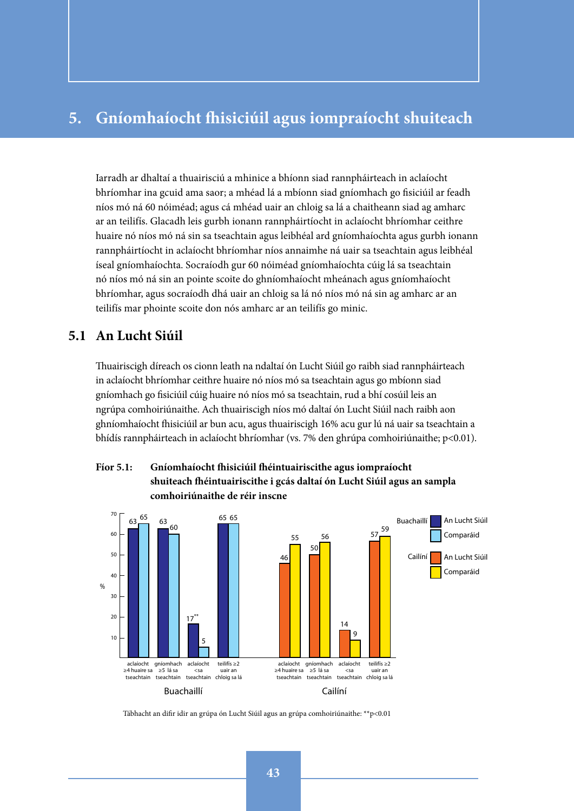# <span id="page-43-0"></span>**5. Gníomhaíocht fhisiciúil agus iompraíocht shuiteach**

Iarradh ar dhaltaí a thuairisciú a mhinice a bhíonn siad rannpháirteach in aclaíocht bhríomhar ina gcuid ama saor; a mhéad lá a mbíonn siad gníomhach go fisiciúil ar feadh níos mó ná 60 nóiméad; agus cá mhéad uair an chloig sa lá a chaitheann siad ag amharc ar an teilifís. Glacadh leis gurbh ionann rannpháirtíocht in aclaíocht bhríomhar ceithre huaire nó níos mó ná sin sa tseachtain agus leibhéal ard gníomhaíochta agus gurbh ionann rannpháirtíocht in aclaíocht bhríomhar níos annaimhe ná uair sa tseachtain agus leibhéal íseal gníomhaíochta. Socraíodh gur 60 nóiméad gníomhaíochta cúig lá sa tseachtain nó níos mó ná sin an pointe scoite do ghníomhaíocht mheánach agus gníomhaíocht bhríomhar, agus socraíodh dhá uair an chloig sa lá nó níos mó ná sin ag amharc ar an teilifís mar phointe scoite don nós amharc ar an teilifís go minic.

# **5.1 An Lucht Siúil**

Thuairiscigh díreach os cionn leath na ndaltaí ón Lucht Siúil go raibh siad rannpháirteach in aclaíocht bhríomhar ceithre huaire nó níos mó sa tseachtain agus go mbíonn siad gníomhach go fisiciúil cúig huaire nó níos mó sa tseachtain, rud a bhí cosúil leis an ngrúpa comhoiriúnaithe. Ach thuairiscigh níos mó daltaí ón Lucht Siúil nach raibh aon ghníomhaíocht fhisiciúil ar bun acu, agus thuairiscigh 16% acu gur lú ná uair sa tseachtain a bhídís rannpháirteach in aclaíocht bhríomhar (vs. 7% den ghrúpa comhoiriúnaithe; p<0.01).

#### **Fíor 5.1: Gníomhaíocht fhisiciúil fhéintuairiscithe agus iompraíocht shuiteach fhéintuairiscithe i gcás daltaí ón Lucht Siúil agus an sampla comhoiriúnaithe de réir inscne**

![](_page_43_Figure_5.jpeg)

Tábhacht an difir idir an grúpa ón Lucht Siúil agus an grúpa comhoiriúnaithe: \*\*p<0.01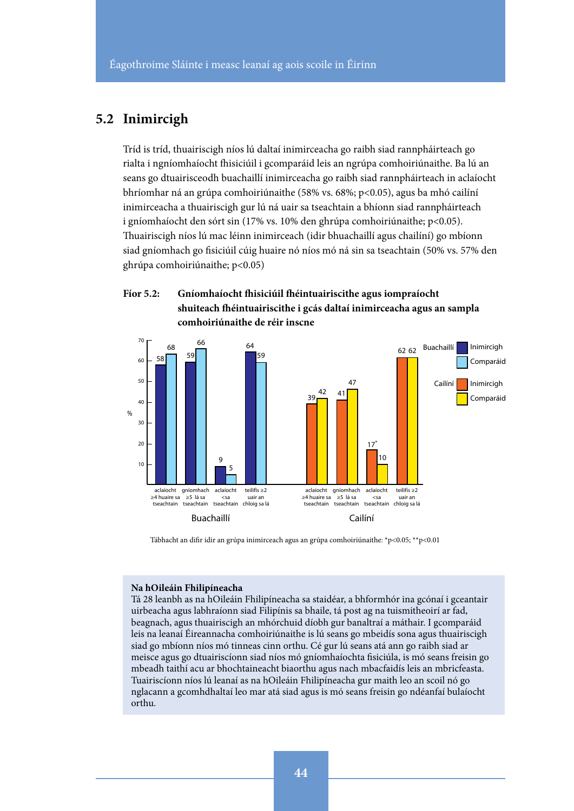# <span id="page-44-0"></span>**5.2 Inimircigh**

Tríd is tríd, thuairiscigh níos lú daltaí inimirceacha go raibh siad rannpháirteach go rialta i ngníomhaíocht fhisiciúil i gcomparáid leis an ngrúpa comhoiriúnaithe. Ba lú an seans go dtuairisceodh buachaillí inimirceacha go raibh siad rannpháirteach in aclaíocht bhríomhar ná an grúpa comhoiriúnaithe (58% vs. 68%; p<0.05), agus ba mhó cailíní inimirceacha a thuairiscigh gur lú ná uair sa tseachtain a bhíonn siad rannpháirteach i gníomhaíocht den sórt sin (17% vs. 10% den ghrúpa comhoiriúnaithe; p<0.05). Thuairiscigh níos lú mac léinn inimirceach (idir bhuachaillí agus chailíní) go mbíonn siad gníomhach go fisiciúil cúig huaire nó níos mó ná sin sa tseachtain (50% vs. 57% den ghrúpa comhoiriúnaithe; p<0.05)

# **Fíor 5.2: Gníomhaíocht fhisiciúil fhéintuairiscithe agus iompraíocht shuiteach fhéintuairiscithe i gcás daltaí inimirceacha agus an sampla comhoiriúnaithe de réir inscne**

![](_page_44_Figure_4.jpeg)

Tábhacht an difir idir an grúpa inimirceach agus an grúpa comhoiriúnaithe: \*p<0.05; \*\*p<0.01

#### **Na hOileáin Fhilipíneacha**

Tá 28 leanbh as na hOileáin Fhilipíneacha sa staidéar, a bhformhór ina gcónaí i gceantair uirbeacha agus labhraíonn siad Filipínis sa bhaile, tá post ag na tuismitheoirí ar fad, beagnach, agus thuairiscigh an mhórchuid díobh gur banaltraí a máthair. I gcomparáid leis na leanaí Éireannacha comhoiriúnaithe is lú seans go mbeidís sona agus thuairiscigh siad go mbíonn níos mó tinneas cinn orthu. Cé gur lú seans atá ann go raibh siad ar meisce agus go dtuairiscíonn siad níos mó gníomhaíochta fisiciúla, is mó seans freisin go mbeadh taithí acu ar bhochtaineacht biaorthu agus nach mbacfaidís leis an mbricfeasta. Tuairiscíonn níos lú leanaí as na hOileáin Fhilipíneacha gur maith leo an scoil nó go nglacann a gcomhdhaltaí leo mar atá siad agus is mó seans freisin go ndéanfaí bulaíocht orthu.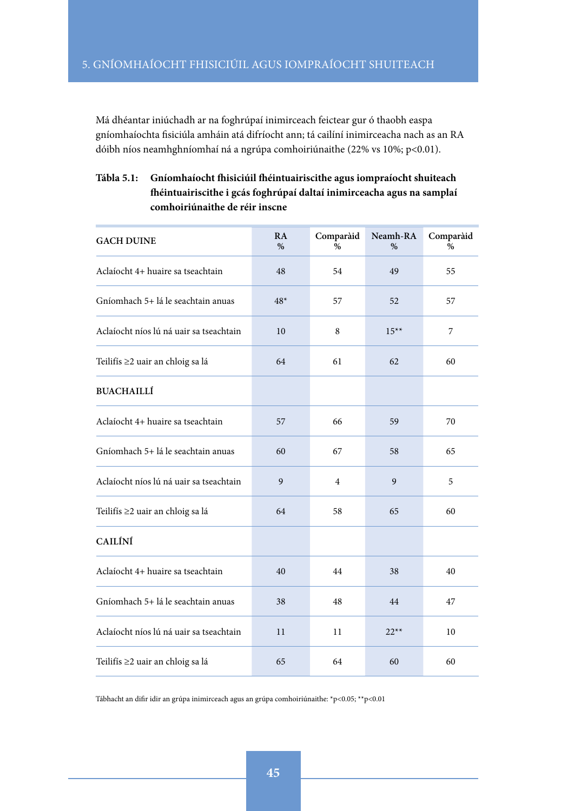Má dhéantar iniúchadh ar na foghrúpaí inimirceach feictear gur ó thaobh easpa gníomhaíochta fisiciúla amháin atá difríocht ann; tá cailíní inimirceacha nach as an RA dóibh níos neamhghníomhaí ná a ngrúpa comhoiriúnaithe (22% vs 10%; p<0.01).

#### **Tábla 5.1: Gníomhaíocht fhisiciúil fhéintuairiscithe agus iompraíocht shuiteach fhéintuairiscithe i gcás foghrúpaí daltaí inimirceacha agus na samplaí comhoiriúnaithe de réir inscne**

| <b>GACH DUINE</b>                       | <b>RA</b><br>$\%$ | Comparàid<br>$\%$       | Neamh-RA<br>$\%$ | Comparàid<br>% |
|-----------------------------------------|-------------------|-------------------------|------------------|----------------|
| Aclaíocht 4+ huaire sa tseachtain       | 48                | 54                      | 49               | 55             |
| Gníomhach 5+ lá le seachtain anuas      | $48*$             | 57                      | 52               | 57             |
| Aclaíocht níos lú ná uair sa tseachtain | 10                | 8                       | $15***$          | 7              |
| Teilifís ≥2 uair an chloig sa lá        | 64                | 61                      | 62               | 60             |
| <b>BUACHAILLÍ</b>                       |                   |                         |                  |                |
| Aclaíocht 4+ huaire sa tseachtain       | 57                | 66                      | 59               | 70             |
| Gníomhach 5+ lá le seachtain anuas      | 60                | 67                      | 58               | 65             |
| Aclaíocht níos lú ná uair sa tseachtain | 9                 | $\overline{\mathbf{4}}$ | 9                | 5              |
| Teilifís ≥2 uair an chloig sa lá        | 64                | 58                      | 65               | 60             |
| <b>CAILÍNÍ</b>                          |                   |                         |                  |                |
| Aclaíocht 4+ huaire sa tseachtain       | 40                | 44                      | 38               | 40             |
| Gníomhach 5+ lá le seachtain anuas      | 38                | 48                      | 44               | 47             |
| Aclaíocht níos lú ná uair sa tseachtain | 11                | 11                      | $22**$           | 10             |
| Teilifís ≥2 uair an chloig sa lá        | 65                | 64                      | 60               | 60             |

Tábhacht an difir idir an grúpa inimirceach agus an grúpa comhoiriúnaithe: \*p<0.05; \*\*p<0.01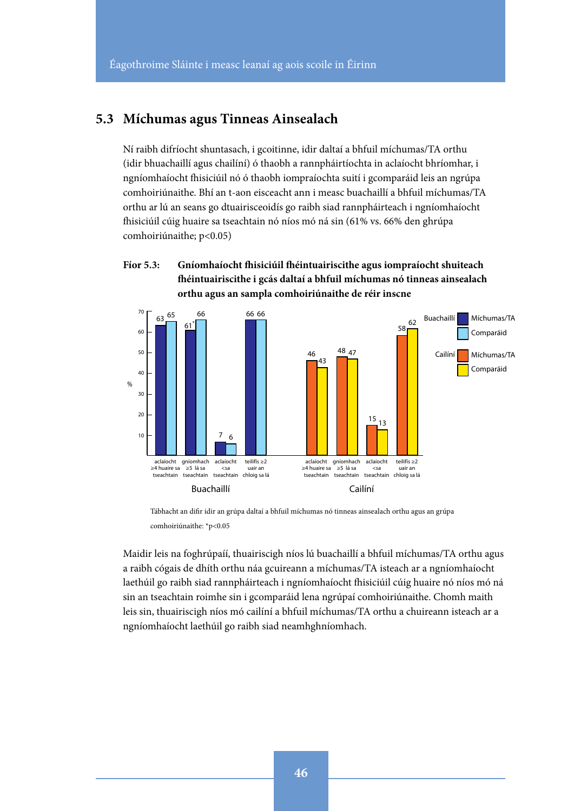# <span id="page-46-0"></span>**5.3 Míchumas agus Tinneas Ainsealach**

Ní raibh difríocht shuntasach, i gcoitinne, idir daltaí a bhfuil míchumas/TA orthu (idir bhuachaillí agus chailíní) ó thaobh a rannpháirtíochta in aclaíocht bhríomhar, i ngníomhaíocht fhisiciúil nó ó thaobh iompraíochta suití i gcomparáid leis an ngrúpa comhoiriúnaithe. Bhí an t-aon eisceacht ann i measc buachaillí a bhfuil míchumas/TA orthu ar lú an seans go dtuairisceoidís go raibh siad rannpháirteach i ngníomhaíocht fhisiciúil cúig huaire sa tseachtain nó níos mó ná sin (61% vs. 66% den ghrúpa comhoiriúnaithe; p<0.05)

#### **Fíor 5.3: Gníomhaíocht fhisiciúil fhéintuairiscithe agus iompraíocht shuiteach fhéintuairiscithe i gcás daltaí a bhfuil míchumas nó tinneas ainsealach orthu agus an sampla comhoiriúnaithe de réir inscne**

![](_page_46_Figure_4.jpeg)

Tábhacht an difir idir an grúpa daltaí a bhfuil míchumas nó tinneas ainsealach orthu agus an grúpa comhoiriúnaithe: \*p<0.05

Maidir leis na foghrúpaíí, thuairiscigh níos lú buachaillí a bhfuil míchumas/TA orthu agus a raibh cógais de dhíth orthu náa gcuireann a míchumas/TA isteach ar a ngníomhaíocht laethúil go raibh siad rannpháirteach i ngníomhaíocht fhisiciúil cúig huaire nó níos mó ná sin an tseachtain roimhe sin i gcomparáid lena ngrúpaí comhoiriúnaithe. Chomh maith leis sin, thuairiscigh níos mó cailíní a bhfuil míchumas/TA orthu a chuireann isteach ar a ngníomhaíocht laethúil go raibh siad neamhghníomhach.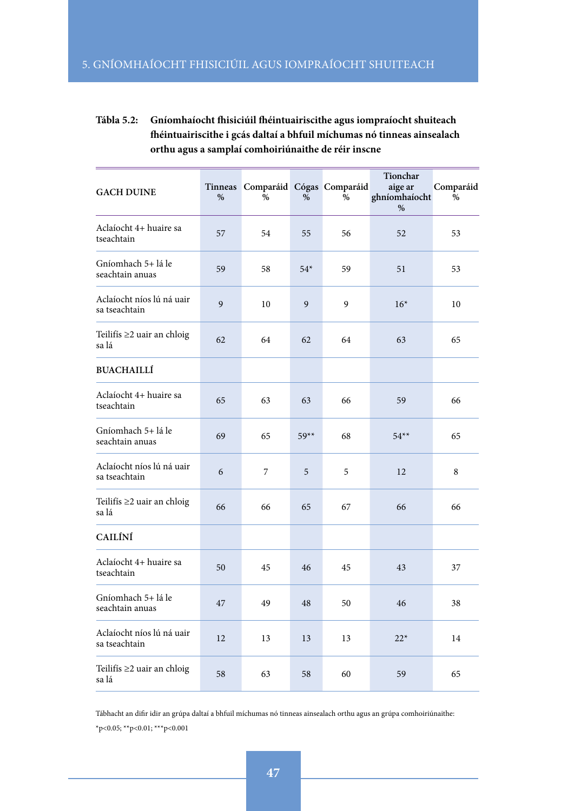## **Tábla 5.2: Gníomhaíocht fhisiciúil fhéintuairiscithe agus iompraíocht shuiteach fhéintuairiscithe i gcás daltaí a bhfuil míchumas nó tinneas ainsealach orthu agus a samplaí comhoiriúnaithe de réir inscne**

| <b>GACH DUINE</b>                          | $\%$   | Tinneas Comparáid Cógas Comparáid<br>$\%$ | $\%$        | $\%$   | Tionchar<br>aige ar<br>ghníomhaíocht<br>$\%$ | Comparáid<br>$\%$ |
|--------------------------------------------|--------|-------------------------------------------|-------------|--------|----------------------------------------------|-------------------|
| Aclaíocht 4+ huaire sa<br>tseachtain       | 57     | 54                                        | 55          | 56     | 52                                           | 53                |
| Gníomhach 5+ lá le<br>seachtain anuas      | 59     | 58                                        | $54*$       | 59     | 51                                           | 53                |
| Aclaíocht níos lú ná uair<br>sa tseachtain | 9      | 10                                        | 9           | 9      | $16*$                                        | 10                |
| Teilifís $\geq$ 2 uair an chloig<br>sa lá  | 62     | 64                                        | 62          | 64     | 63                                           | 65                |
| <b>BUACHAILLÍ</b>                          |        |                                           |             |        |                                              |                   |
| Aclaíocht 4+ huaire sa<br>tseachtain       | 65     | 63                                        | 63          | 66     | 59                                           | 66                |
| Gníomhach 5+ lá le<br>seachtain anuas      | 69     | 65                                        | $59**$      | 68     | $54**$                                       | 65                |
| Aclaíocht níos lú ná uair<br>sa tseachtain | 6      | 7                                         | 5           | 5      | 12                                           | 8                 |
| Teilifís ≥2 uair an chloig<br>sa lá        | 66     | 66                                        | 65          | 67     | 66                                           | 66                |
| <b>CAILÍNÍ</b>                             |        |                                           |             |        |                                              |                   |
| Aclaíocht 4+ huaire sa<br>tseachtain       | 50     | 45                                        | 46          | 45     | 43                                           | 37                |
| Gníomhach 5+ lá le<br>seachtain anuas      | $47\,$ | 49                                        | $\sqrt{48}$ | $50\,$ | 46                                           | 38                |
| Aclaíocht níos lú ná uair<br>sa tseachtain | 12     | 13                                        | 13          | 13     | $22^{\star}$                                 | $14\,$            |
| Teilifís ≥2 uair an chloig<br>sa lá        | 58     | 63                                        | 58          | 60     | 59                                           | 65                |

Tábhacht an difir idir an grúpa daltaí a bhfuil míchumas nó tinneas ainsealach orthu agus an grúpa comhoiriúnaithe: \*p<0.05; \*\*p<0.01; \*\*\*p<0.001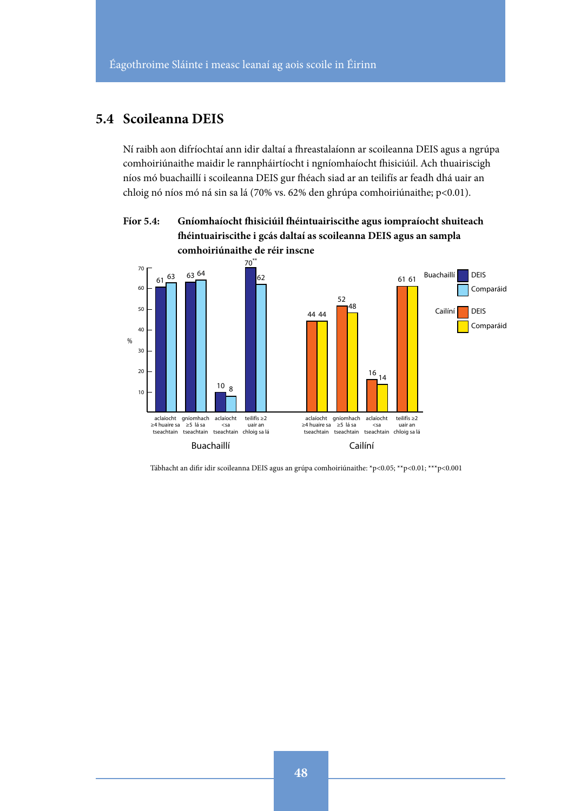# <span id="page-48-0"></span>**5.4 Scoileanna DEIS**

Ní raibh aon difríochtaí ann idir daltaí a fhreastalaíonn ar scoileanna DEIS agus a ngrúpa comhoiriúnaithe maidir le rannpháirtíocht i ngníomhaíocht fhisiciúil. Ach thuairiscigh níos mó buachaillí i scoileanna DEIS gur fhéach siad ar an teilifís ar feadh dhá uair an chloig nó níos mó ná sin sa lá (70% vs. 62% den ghrúpa comhoiriúnaithe; p<0.01).

![](_page_48_Figure_3.jpeg)

![](_page_48_Figure_4.jpeg)

Tábhacht an difir idir scoileanna DEIS agus an grúpa comhoiriúnaithe: \*p<0.05; \*\*p<0.01; \*\*\*p<0.001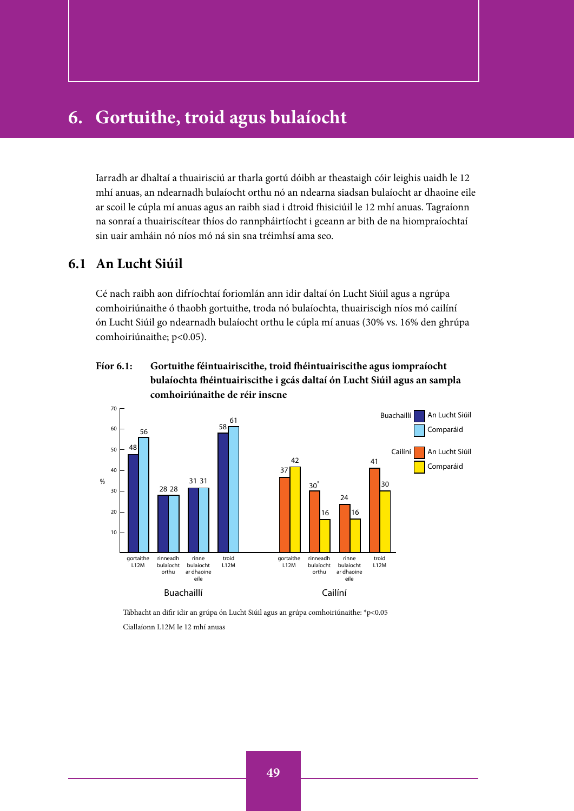# <span id="page-49-0"></span>**6. Gortuithe, troid agus bulaíocht**

Iarradh ar dhaltaí a thuairisciú ar tharla gortú dóibh ar theastaigh cóir leighis uaidh le 12 mhí anuas, an ndearnadh bulaíocht orthu nó an ndearna siadsan bulaíocht ar dhaoine eile ar scoil le cúpla mí anuas agus an raibh siad i dtroid fhisiciúil le 12 mhí anuas. Tagraíonn na sonraí a thuairiscítear thíos do rannpháirtíocht i gceann ar bith de na hiompraíochtaí sin uair amháin nó níos mó ná sin sna tréimhsí ama seo.

# **6.1 An Lucht Siúil**

Cé nach raibh aon difríochtaí foriomlán ann idir daltaí ón Lucht Siúil agus a ngrúpa comhoiriúnaithe ó thaobh gortuithe, troda nó bulaíochta, thuairiscigh níos mó cailíní ón Lucht Siúil go ndearnadh bulaíocht orthu le cúpla mí anuas (30% vs. 16% den ghrúpa comhoiriúnaithe; p<0.05).

## **Fíor 6.1: Gortuithe féintuairiscithe, troid fhéintuairiscithe agus iompraíocht bulaíochta fhéintuairiscithe i gcás daltaí ón Lucht Siúil agus an sampla comhoiriúnaithe de réir inscne**

![](_page_49_Figure_5.jpeg)

Tábhacht an difir idir an grúpa ón Lucht Siúil agus an grúpa comhoiriúnaithe: \*p<0.05 Ciallaíonn L12M le 12 mhí anuas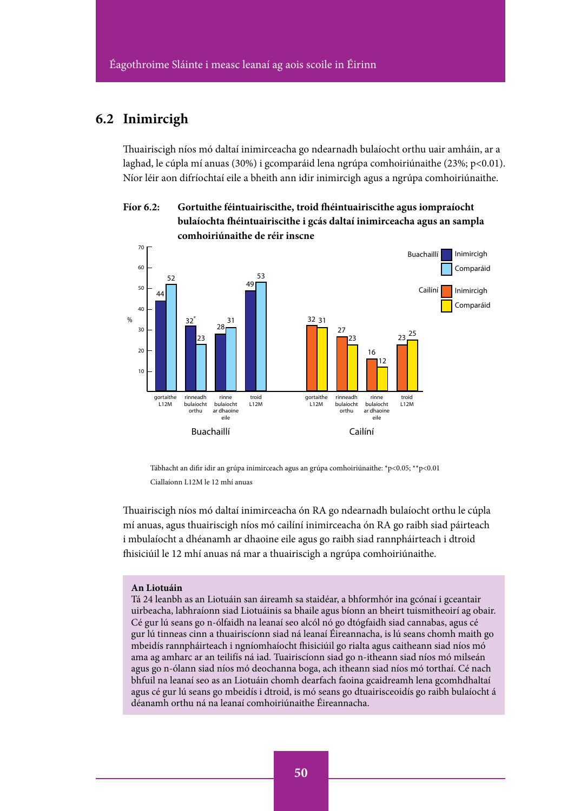# <span id="page-50-0"></span>**6.2 Inimircigh**

Thuairiscigh níos mó daltaí inimirceacha go ndearnadh bulaíocht orthu uair amháin, ar a laghad, le cúpla mí anuas (30%) i gcomparáid lena ngrúpa comhoiriúnaithe (23%; p<0.01). Níor léir aon difríochtaí eile a bheith ann idir inimircigh agus a ngrúpa comhoiriúnaithe.

## **Fíor 6.2: Gortuithe féintuairiscithe, troid fhéintuairiscithe agus iompraíocht bulaíochta fhéintuairiscithe i gcás daltaí inimirceacha agus an sampla comhoiriúnaithe de réir inscne**

![](_page_50_Figure_4.jpeg)

Tábhacht an difir idir an grúpa inimirceach agus an grúpa comhoiriúnaithe: \*p<0.05; \*\*p<0.01 Ciallaíonn L12M le 12 mhí anuas

Thuairiscigh níos mó daltaí inimirceacha ón RA go ndearnadh bulaíocht orthu le cúpla mí anuas, agus thuairiscigh níos mó cailíní inimirceacha ón RA go raibh siad páirteach i mbulaíocht a dhéanamh ar dhaoine eile agus go raibh siad rannpháirteach i dtroid fhisiciúil le 12 mhí anuas ná mar a thuairiscigh a ngrúpa comhoiriúnaithe.

#### **An Liotuáin**

Tá 24 leanbh as an Liotuáin san áireamh sa staidéar, a bhformhór ina gcónaí i gceantair uirbeacha, labhraíonn siad Liotuáinis sa bhaile agus bíonn an bheirt tuismitheoirí ag obair. Cé gur lú seans go n-ólfaidh na leanaí seo alcól nó go dtógfaidh siad cannabas, agus cé gur lú tinneas cinn a thuairiscíonn siad ná leanaí Éireannacha, is lú seans chomh maith go mbeidís rannpháirteach i ngníomhaíocht fhisiciúil go rialta agus caitheann siad níos mó ama ag amharc ar an teilifís ná iad. Tuairiscíonn siad go n-itheann siad níos mó milseán agus go n-ólann siad níos mó deochanna boga, ach itheann siad níos mó torthaí. Cé nach bhfuil na leanaí seo as an Liotuáin chomh dearfach faoina gcaidreamh lena gcomhdhaltaí agus cé gur lú seans go mbeidís i dtroid, is mó seans go dtuairisceoidís go raibh bulaíocht á déanamh orthu ná na leanaí comhoiriúnaithe Éireannacha.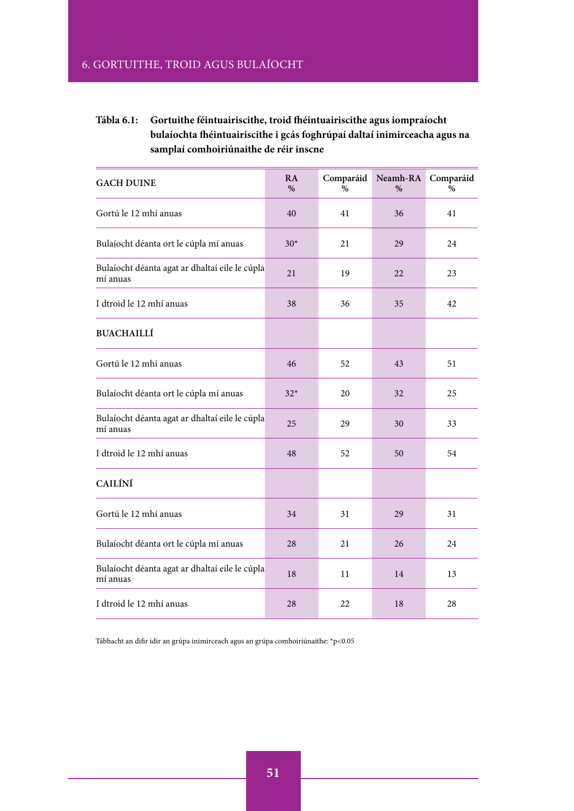## **Tábla 6.1: Gortuithe féintuairiscithe, troid fhéintuairiscithe agus iompraíocht bulaíochta fhéintuairiscithe i gcás foghrúpaí daltaí inimirceacha agus na samplaí comhoiriúnaithe de réir inscne**

| <b>GACH DUINE</b>                                          | RA<br>$\%$ | Comparáid<br>$\%$ | Neamh-RA Comparáid<br>$\frac{0}{0}$ | $\%$ |
|------------------------------------------------------------|------------|-------------------|-------------------------------------|------|
| Gortú le 12 mhí anuas                                      | 40         | 41                | 36                                  | 41   |
| Bulaíocht déanta ort le cúpla mí anuas                     | $30*$      | 21                | 29                                  | 24   |
| Bulaíocht déanta agat ar dhaltaí eile le cúpla<br>mí anuas | 21         | 19                | 22                                  | 23   |
| I dtroid le 12 mhí anuas                                   | 38         | 36                | 35                                  | 42   |
| <b>BUACHAILLÍ</b>                                          |            |                   |                                     |      |
| Gortú le 12 mhí anuas                                      | 46         | 52                | 43                                  | 51   |
| Bulaíocht déanta ort le cúpla mí anuas                     | $32*$      | 20                | 32                                  | 25   |
| Bulaíocht déanta agat ar dhaltaí eile le cúpla<br>mí anuas | 25         | 29                | 30                                  | 33   |
| I dtroid le 12 mhí anuas                                   | 48         | 52                | 50                                  | 54   |
| <b>CAILÍNÍ</b>                                             |            |                   |                                     |      |
| Gortú le 12 mhí anuas                                      | 34         | 31                | 29                                  | 31   |
| Bulaíocht déanta ort le cúpla mí anuas                     | 28         | 21                | 26                                  | 24   |
| Bulaíocht déanta agat ar dhaltaí eile le cúpla<br>mí anuas | 18         | 11                | 14                                  | 13   |
| I dtroid le 12 mhí anuas                                   | 28         | 22                | 18                                  | 28   |

Tábhacht an difir idir an grúpa inimirceach agus an grúpa comhoiriúnaithe: \*p<0.05  $\,$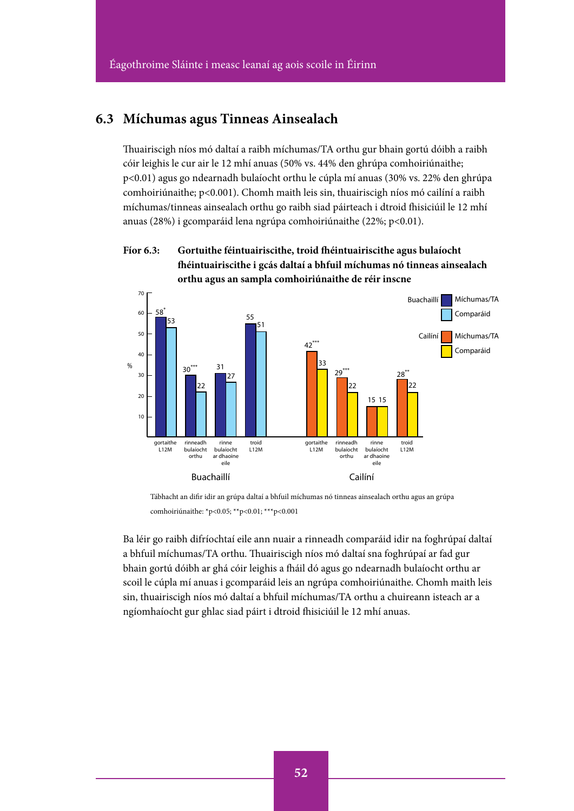# <span id="page-52-0"></span>**6.3 Míchumas agus Tinneas Ainsealach**

Thuairiscigh níos mó daltaí a raibh míchumas/TA orthu gur bhain gortú dóibh a raibh cóir leighis le cur air le 12 mhí anuas (50% vs. 44% den ghrúpa comhoiriúnaithe; p<0.01) agus go ndearnadh bulaíocht orthu le cúpla mí anuas (30% vs. 22% den ghrúpa comhoiriúnaithe; p<0.001). Chomh maith leis sin, thuairiscigh níos mó cailíní a raibh míchumas/tinneas ainsealach orthu go raibh siad páirteach i dtroid fhisiciúil le 12 mhí anuas (28%) i gcomparáid lena ngrúpa comhoiriúnaithe (22%; p<0.01).

![](_page_52_Figure_3.jpeg)

![](_page_52_Figure_4.jpeg)

Tábhacht an difir idir an grúpa daltaí a bhfuil míchumas nó tinneas ainsealach orthu agus an grúpa comhoiriúnaithe: \*p<0.05; \*\*p<0.01; \*\*\*p<0.001

Ba léir go raibh difríochtaí eile ann nuair a rinneadh comparáid idir na foghrúpaí daltaí a bhfuil míchumas/TA orthu. Thuairiscigh níos mó daltaí sna foghrúpaí ar fad gur bhain gortú dóibh ar ghá cóir leighis a fháil dó agus go ndearnadh bulaíocht orthu ar scoil le cúpla mí anuas i gcomparáid leis an ngrúpa comhoiriúnaithe. Chomh maith leis sin, thuairiscigh níos mó daltaí a bhfuil míchumas/TA orthu a chuireann isteach ar a ngíomhaíocht gur ghlac siad páirt i dtroid fhisiciúil le 12 mhí anuas.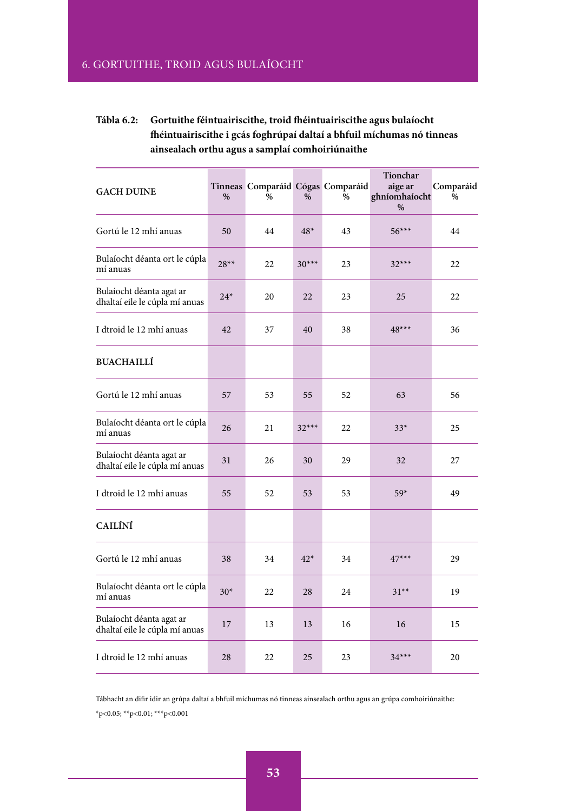## **Tábla 6.2: Gortuithe féintuairiscithe, troid fhéintuairiscithe agus bulaíocht fhéintuairiscithe i gcás foghrúpaí daltaí a bhfuil míchumas nó tinneas ainsealach orthu agus a samplaí comhoiriúnaithe**

| <b>GACH DUINE</b>                                          | %      | Tinneas Comparáid Cógas Comparáid<br>$\%$ | $\%$    | %  | Tionchar<br>aige ar<br>ghníomhaíocht<br>$\%$ | Comparáid<br>$\%$ |
|------------------------------------------------------------|--------|-------------------------------------------|---------|----|----------------------------------------------|-------------------|
| Gortú le 12 mhí anuas                                      | 50     | 44                                        | $48*$   | 43 | $56***$                                      | 44                |
| Bulaíocht déanta ort le cúpla<br>mí anuas                  | $28**$ | 22                                        | $30***$ | 23 | $32***$                                      | 22                |
| Bulaíocht déanta agat ar<br>dhaltaí eile le cúpla mí anuas | $24*$  | 20                                        | 22      | 23 | 25                                           | 22                |
| I dtroid le 12 mhí anuas                                   | 42     | 37                                        | 40      | 38 | $48***$                                      | 36                |
| <b>BUACHAILLÍ</b>                                          |        |                                           |         |    |                                              |                   |
| Gortú le 12 mhí anuas                                      | 57     | 53                                        | 55      | 52 | 63                                           | 56                |
| Bulaíocht déanta ort le cúpla<br>mí anuas                  | 26     | 21                                        | $32***$ | 22 | $33*$                                        | 25                |
| Bulaíocht déanta agat ar<br>dhaltaí eile le cúpla mí anuas | 31     | 26                                        | 30      | 29 | 32                                           | 27                |
| I dtroid le 12 mhí anuas                                   | 55     | 52                                        | 53      | 53 | $59*$                                        | 49                |
| <b>CAILÍNÍ</b>                                             |        |                                           |         |    |                                              |                   |
| Gortú le 12 mhí anuas                                      | 38     | 34                                        | $42*$   | 34 | $47***$                                      | 29                |
| Bulaíocht déanta ort le cúpla<br>mí anuas                  | $30*$  | 22                                        | 28      | 24 | $31**$                                       | 19                |
| Bulaíocht déanta agat ar<br>dhaltaí eile le cúpla mí anuas | 17     | 13                                        | 13      | 16 | 16                                           | 15                |
| I dtroid le 12 mhí anuas                                   | 28     | 22                                        | 25      | 23 | $34***$                                      | 20                |

Tábhacht an difir idir an grúpa daltaí a bhfuil míchumas nó tinneas ainsealach orthu agus an grúpa comhoiriúnaithe: \*p<0.05; \*\*p<0.01; \*\*\*p<0.001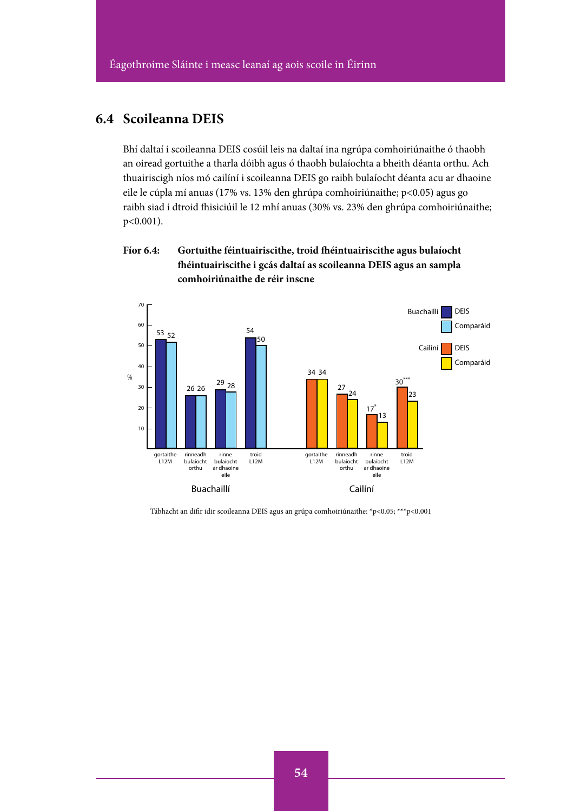# <span id="page-54-0"></span>**6.4 Scoileanna DEIS**

Bhí daltaí i scoileanna DEIS cosúil leis na daltaí ina ngrúpa comhoiriúnaithe ó thaobh an oiread gortuithe a tharla dóibh agus ó thaobh bulaíochta a bheith déanta orthu. Ach thuairiscigh níos mó cailíní i scoileanna DEIS go raibh bulaíocht déanta acu ar dhaoine eile le cúpla mí anuas (17% vs. 13% den ghrúpa comhoiriúnaithe; p<0.05) agus go raibh siad i dtroid fhisiciúil le 12 mhí anuas (30% vs. 23% den ghrúpa comhoiriúnaithe; p<0.001).

#### **Fíor 6.4: Gortuithe féintuairiscithe, troid fhéintuairiscithe agus bulaíocht fhéintuairiscithe i gcás daltaí as scoileanna DEIS agus an sampla comhoiriúnaithe de réir inscne**

![](_page_54_Figure_4.jpeg)

Tábhacht an difir idir scoileanna DEIS agus an grúpa comhoiriúnaithe: \*p<0.05; \*\*\*p<0.001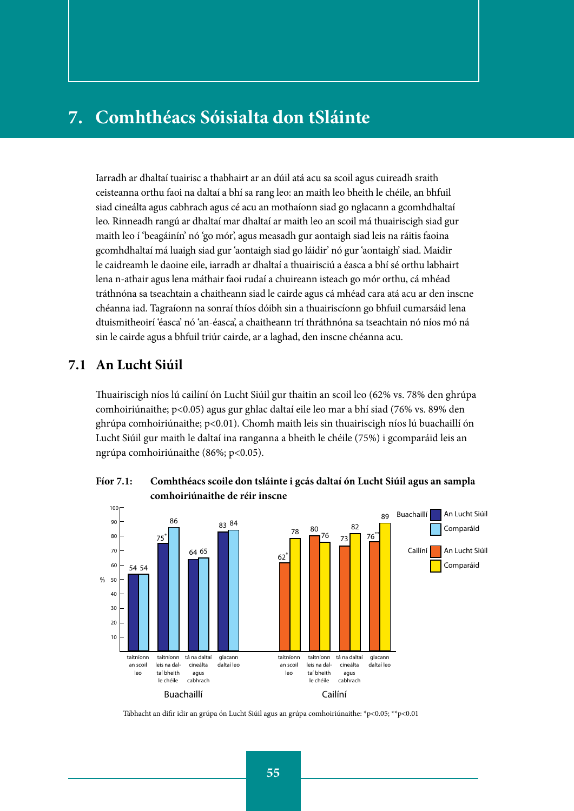# <span id="page-55-0"></span>**7. Comhthéacs Sóisialta don tSláinte**

Iarradh ar dhaltaí tuairisc a thabhairt ar an dúil atá acu sa scoil agus cuireadh sraith ceisteanna orthu faoi na daltaí a bhí sa rang leo: an maith leo bheith le chéile, an bhfuil siad cineálta agus cabhrach agus cé acu an mothaíonn siad go nglacann a gcomhdhaltaí leo. Rinneadh rangú ar dhaltaí mar dhaltaí ar maith leo an scoil má thuairiscigh siad gur maith leo í 'beagáinín' nó 'go mór', agus measadh gur aontaigh siad leis na ráitis faoina gcomhdhaltaí má luaigh siad gur 'aontaigh siad go láidir' nó gur 'aontaigh' siad. Maidir le caidreamh le daoine eile, iarradh ar dhaltaí a thuairisciú a éasca a bhí sé orthu labhairt lena n-athair agus lena máthair faoi rudaí a chuireann isteach go mór orthu, cá mhéad tráthnóna sa tseachtain a chaitheann siad le cairde agus cá mhéad cara atá acu ar den inscne chéanna iad. Tagraíonn na sonraí thíos dóibh sin a thuairiscíonn go bhfuil cumarsáid lena dtuismitheoirí 'éasca' nó 'an-éasca', a chaitheann trí thráthnóna sa tseachtain nó níos mó ná sin le cairde agus a bhfuil triúr cairde, ar a laghad, den inscne chéanna acu.

# **7.1 An Lucht Siúil**

Thuairiscigh níos lú cailíní ón Lucht Siúil gur thaitin an scoil leo (62% vs. 78% den ghrúpa comhoiriúnaithe; p<0.05) agus gur ghlac daltaí eile leo mar a bhí siad (76% vs. 89% den ghrúpa comhoiriúnaithe; p<0.01). Chomh maith leis sin thuairiscigh níos lú buachaillí ón Lucht Siúil gur maith le daltaí ina ranganna a bheith le chéile (75%) i gcomparáid leis an ngrúpa comhoiriúnaithe (86%; p<0.05).

![](_page_55_Figure_4.jpeg)

#### **Fíor 7.1: Comhthéacs scoile don tsláinte i gcás daltaí ón Lucht Siúil agus an sampla comhoiriúnaithe de réir inscne**

Tábhacht an difir idir an grúpa ón Lucht Siúil agus an grúpa comhoiriúnaithe: \*p<0.05; \*\*p<0.01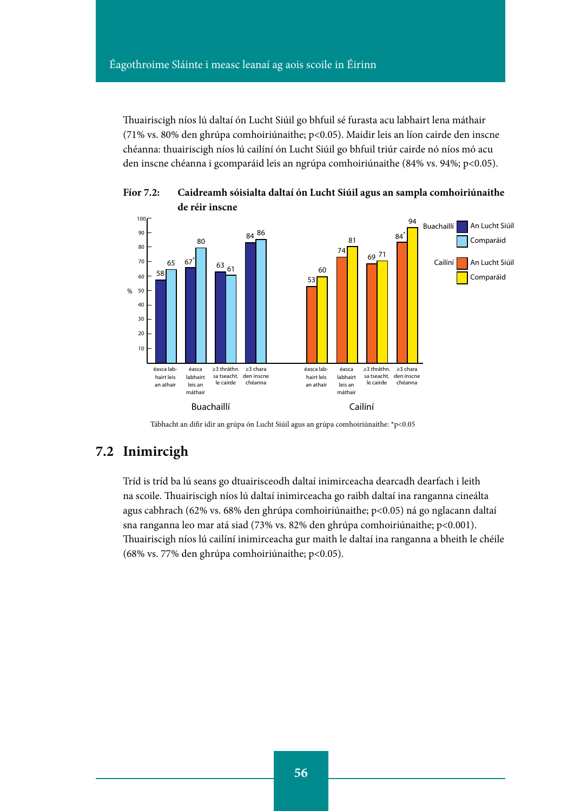<span id="page-56-0"></span>Thuairiscigh níos lú daltaí ón Lucht Siúil go bhfuil sé furasta acu labhairt lena máthair (71% vs. 80% den ghrúpa comhoiriúnaithe; p<0.05). Maidir leis an líon cairde den inscne chéanna: thuairiscigh níos lú cailíní ón Lucht Siúil go bhfuil triúr cairde nó níos mó acu den inscne chéanna i gcomparáid leis an ngrúpa comhoiriúnaithe (84% vs. 94%; p<0.05).

![](_page_56_Figure_2.jpeg)

![](_page_56_Figure_3.jpeg)

# **7.2 Inimircigh**

Tríd is tríd ba lú seans go dtuairisceodh daltaí inimirceacha dearcadh dearfach i leith na scoile. Thuairiscigh níos lú daltaí inimirceacha go raibh daltaí ina ranganna cineálta agus cabhrach (62% vs. 68% den ghrúpa comhoiriúnaithe; p<0.05) ná go nglacann daltaí sna ranganna leo mar atá siad (73% vs. 82% den ghrúpa comhoiriúnaithe; p<0.001). Thuairiscigh níos lú cailíní inimirceacha gur maith le daltaí ina ranganna a bheith le chéile (68% vs. 77% den ghrúpa comhoiriúnaithe; p<0.05).

Tábhacht an difir idir an grúpa ón Lucht Siúil agus an grúpa comhoiriúnaithe: \*p<0.05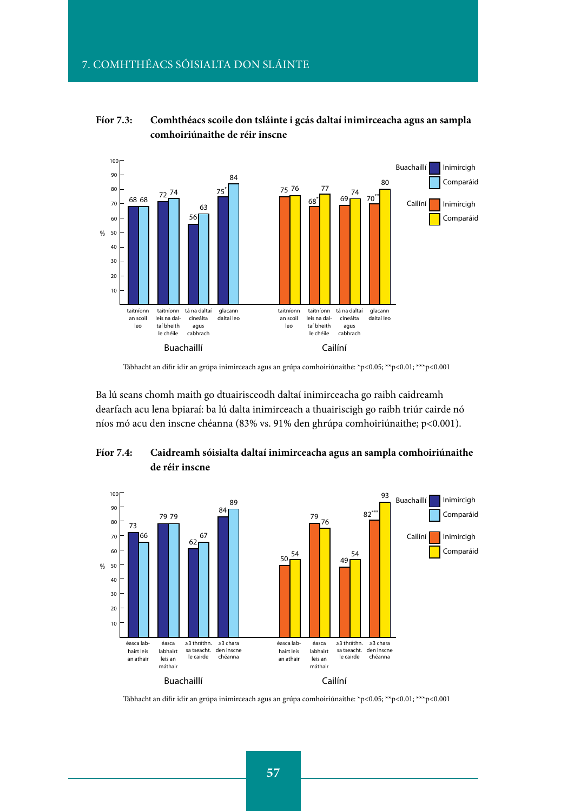![](_page_57_Figure_1.jpeg)

**Fíor 7.3: Comhthéacs scoile don tsláinte i gcás daltaí inimirceacha agus an sampla comhoiriúnaithe de réir inscne**

Ba lú seans chomh maith go dtuairisceodh daltaí inimirceacha go raibh caidreamh dearfach acu lena bpiaraí: ba lú dalta inimirceach a thuairiscigh go raibh triúr cairde nó níos mó acu den inscne chéanna (83% vs. 91% den ghrúpa comhoiriúnaithe; p<0.001).

![](_page_57_Figure_5.jpeg)

![](_page_57_Figure_6.jpeg)

Tábhacht an difir idir an grúpa inimirceach agus an grúpa comhoiriúnaithe: \*p<0.05; \*\*p<0.01; \*\*\*p<0.001

Tábhacht an difir idir an grúpa inimirceach agus an grúpa comhoiriúnaithe: \*p<0.05; \*\*p<0.01; \*\*\*p<0.001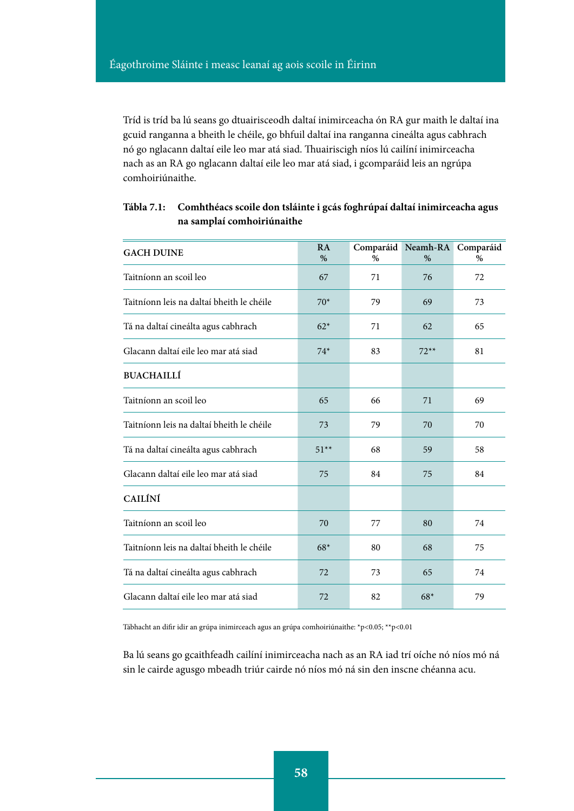Tríd is tríd ba lú seans go dtuairisceodh daltaí inimirceacha ón RA gur maith le daltaí ina gcuid ranganna a bheith le chéile, go bhfuil daltaí ina ranganna cineálta agus cabhrach nó go nglacann daltaí eile leo mar atá siad. Thuairiscigh níos lú cailíní inimirceacha nach as an RA go nglacann daltaí eile leo mar atá siad, i gcomparáid leis an ngrúpa comhoiriúnaithe.

| <b>GACH DUINE</b>                         | RA<br>$\%$ | $\%$ | Comparáid Neamh-RA Comparáid<br>$\%$ | $\frac{0}{0}$ |
|-------------------------------------------|------------|------|--------------------------------------|---------------|
| Taitníonn an scoil leo                    | 67         | 71   | 76                                   | 72            |
| Taitníonn leis na daltaí bheith le chéile | $70*$      | 79   | 69                                   | 73            |
| Tá na daltaí cineálta agus cabhrach       | $62*$      | 71   | 62                                   | 65            |
| Glacann daltaí eile leo mar atá siad      | $74*$      | 83   | $72**$                               | 81            |
| <b>BUACHAILLÍ</b>                         |            |      |                                      |               |
| Taitníonn an scoil leo                    | 65         | 66   | 71                                   | 69            |
| Taitníonn leis na daltaí bheith le chéile | 73         | 79   | 70                                   | 70            |
| Tá na daltaí cineálta agus cabhrach       | $51**$     | 68   | 59                                   | 58            |
| Glacann daltaí eile leo mar atá siad      | 75         | 84   | 75                                   | 84            |
| <b>CAILÍNÍ</b>                            |            |      |                                      |               |
| Taitníonn an scoil leo                    | 70         | 77   | 80                                   | 74            |
| Taitníonn leis na daltaí bheith le chéile | $68*$      | 80   | 68                                   | 75            |
| Tá na daltaí cineálta agus cabhrach       | 72         | 73   | 65                                   | 74            |
| Glacann daltaí eile leo mar atá siad      | 72         | 82   | $68*$                                | 79            |

#### **Tábla 7.1: Comhthéacs scoile don tsláinte i gcás foghrúpaí daltaí inimirceacha agus na samplaí comhoiriúnaithe**

Tábhacht an difir idir an grúpa inimirceach agus an grúpa comhoiriúnaithe: \*p<0.05; \*\*p<0.01

Ba lú seans go gcaithfeadh cailíní inimirceacha nach as an RA iad trí oíche nó níos mó ná sin le cairde agusgo mbeadh triúr cairde nó níos mó ná sin den inscne chéanna acu.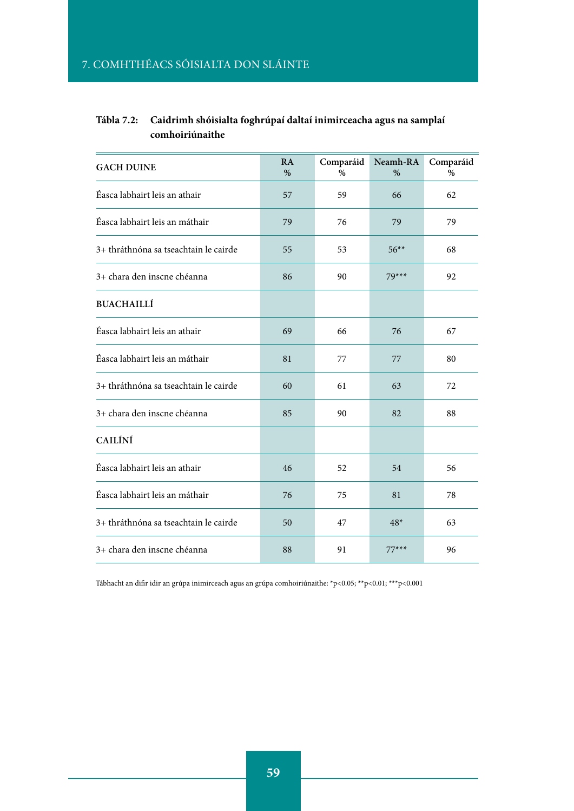| <b>GACH DUINE</b>                     | RA<br>$\%$ | Comparáid<br>$\%$ | Neamh-RA<br>$\%$ | Comparáid<br>$\%$ |
|---------------------------------------|------------|-------------------|------------------|-------------------|
| Éasca labhairt leis an athair         | 57         | 59                | 66               | 62                |
| Éasca labhairt leis an máthair        | 79         | 76                | 79               | 79                |
| 3+ thráthnóna sa tseachtain le cairde | 55         | 53                | $56***$          | 68                |
| 3+ chara den inscne chéanna           | 86         | 90                | 79***            | 92                |
| <b>BUACHAILLÍ</b>                     |            |                   |                  |                   |
| Éasca labhairt leis an athair         | 69         | 66                | 76               | 67                |
| Éasca labhairt leis an máthair        | 81         | 77                | 77               | 80                |
| 3+ thráthnóna sa tseachtain le cairde | 60         | 61                | 63               | 72                |
| 3+ chara den inscne chéanna           | 85         | 90                | 82               | 88                |
| <b>CAILÍNÍ</b>                        |            |                   |                  |                   |
| Éasca labhairt leis an athair         | 46         | 52                | 54               | 56                |
| Éasca labhairt leis an máthair        | 76         | 75                | 81               | 78                |
| 3+ thráthnóna sa tseachtain le cairde | 50         | 47                | $48*$            | 63                |
| 3+ chara den inscne chéanna           | 88         | 91                | $77***$          | 96                |

# **Tábla 7.2: Caidrimh shóisialta foghrúpaí daltaí inimirceacha agus na samplaí comhoiriúnaithe**

Tábhacht an difir idir an grúpa inimirceach agus an grúpa comhoiriúnaithe: \*p<0.05; \*\*p<0.01; \*\*\*p<0.001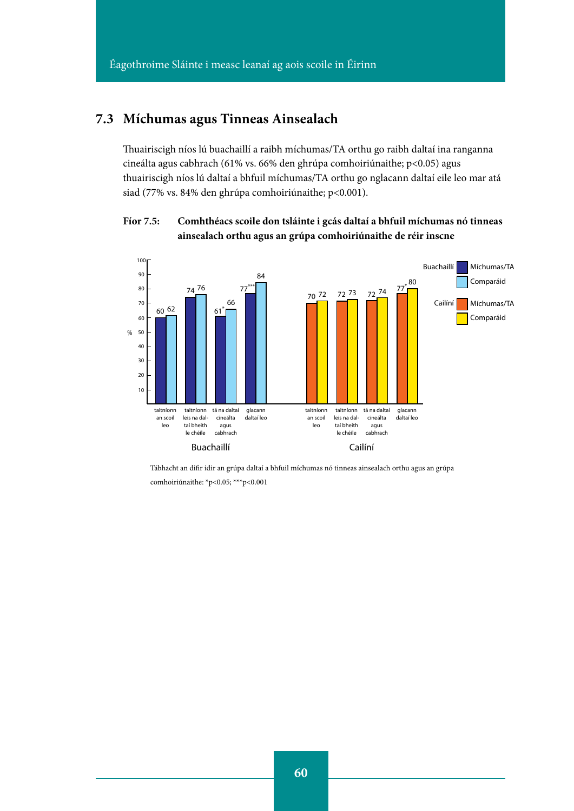# <span id="page-60-0"></span>**7.3 Míchumas agus Tinneas Ainsealach**

Thuairiscigh níos lú buachaillí a raibh míchumas/TA orthu go raibh daltaí ina ranganna cineálta agus cabhrach (61% vs. 66% den ghrúpa comhoiriúnaithe; p<0.05) agus thuairiscigh níos lú daltaí a bhfuil míchumas/TA orthu go nglacann daltaí eile leo mar atá siad (77% vs. 84% den ghrúpa comhoiriúnaithe; p<0.001).

#### **Fíor 7.5: Comhthéacs scoile don tsláinte i gcás daltaí a bhfuil míchumas nó tinneas ainsealach orthu agus an grúpa comhoiriúnaithe de réir inscne**

![](_page_60_Figure_4.jpeg)

Tábhacht an difir idir an grúpa daltaí a bhfuil míchumas nó tinneas ainsealach orthu agus an grúpa comhoiriúnaithe: \*p<0.05; \*\*\*p<0.001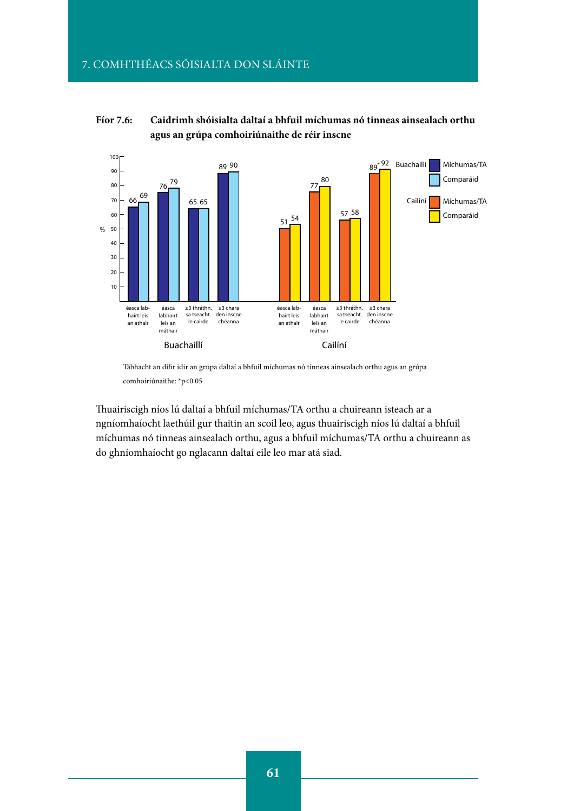![](_page_61_Figure_1.jpeg)

**Fíor 7.6: Caidrimh shóisialta daltaí a bhfuil míchumas nó tinneas ainsealach orthu agus an grúpa comhoiriúnaithe de réir inscne**

Tábhacht an difir idir an grúpa daltaí a bhfuil míchumas nó tinneas ainsealach orthu agus an grúpa comhoiriúnaithe: \*p<0.05

Thuairiscigh níos lú daltaí a bhfuil míchumas/TA orthu a chuireann isteach ar a ngníomhaíocht laethúil gur thaitin an scoil leo, agus thuairiscigh níos lú daltaí a bhfuil míchumas nó tinneas ainsealach orthu, agus a bhfuil míchumas/TA orthu a chuireann as do ghníomhaíocht go nglacann daltaí eile leo mar atá siad.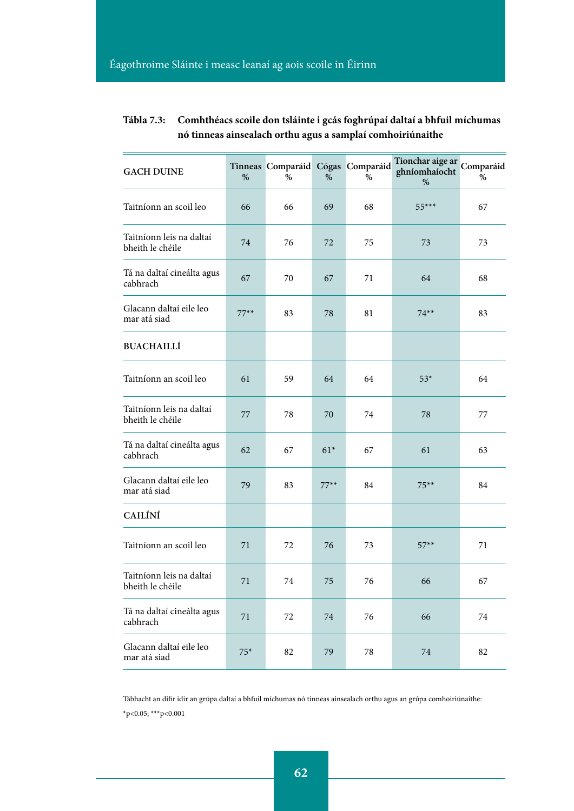| <b>GACH DUINE</b>                            | %       | Tinneas Comparáid Cógas Comparáid<br>$\%$ | $\%$    | $\%$   | Tionchar aige ar Comparáid<br>ghníomhaíocht<br>% | $\%$ |
|----------------------------------------------|---------|-------------------------------------------|---------|--------|--------------------------------------------------|------|
| Taitníonn an scoil leo                       | 66      | 66                                        | 69      | 68     | $55***$                                          | 67   |
| Taitníonn leis na daltaí<br>bheith le chéile | 74      | 76                                        | 72      | 75     | 73                                               | 73   |
| Tá na daltaí cineálta agus<br>cabhrach       | 67      | 70                                        | 67      | 71     | 64                                               | 68   |
| Glacann daltaí eile leo<br>mar atá siad      | $77***$ | 83                                        | 78      | 81     | $74**$                                           | 83   |
| <b>BUACHAILLÍ</b>                            |         |                                           |         |        |                                                  |      |
| Taitníonn an scoil leo                       | 61      | 59                                        | 64      | 64     | $53*$                                            | 64   |
| Taitníonn leis na daltaí<br>bheith le chéile | 77      | 78                                        | 70      | 74     | 78                                               | 77   |
| Tá na daltaí cineálta agus<br>cabhrach       | 62      | 67                                        | $61*$   | 67     | 61                                               | 63   |
| Glacann daltaí eile leo<br>mar atá siad      | 79      | 83                                        | $77***$ | 84     | $75***$                                          | 84   |
| <b>CAILÍNÍ</b>                               |         |                                           |         |        |                                                  |      |
| Taitníonn an scoil leo                       | 71      | 72                                        | 76      | 73     | $57**$                                           | 71   |
| Taitníonn leis na daltaí<br>bheith le chéile | 71      | 74                                        | 75      | 76     | 66                                               | 67   |
| Tá na daltaí cineálta agus<br>cabhrach       | $71\,$  | $72\,$                                    | $74\,$  | 76     | 66                                               | 74   |
| Glacann daltaí eile leo<br>mar atá siad      | $75*$   | 82                                        | 79      | $78\,$ | $74\,$                                           | 82   |

#### **Tábla 7.3: Comhthéacs scoile don tsláinte i gcás foghrúpaí daltaí a bhfuil míchumas nó tinneas ainsealach orthu agus a samplaí comhoiriúnaithe**

Tábhacht an difir idir an grúpa daltaí a bhfuil míchumas nó tinneas ainsealach orthu agus an grúpa comhoiriúnaithe:  $*p<0.05$ ;  $***p<0.001$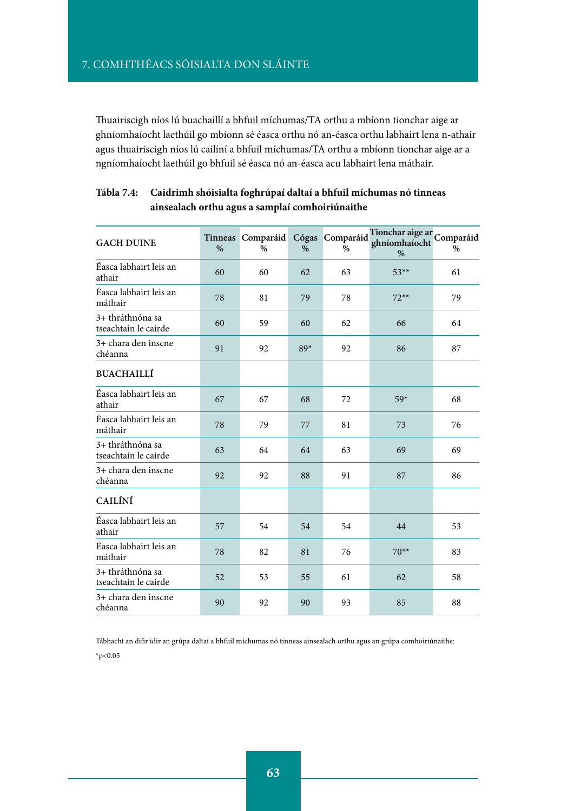Thuairiscigh níos lú buachaillí a bhfuil míchumas/TA orthu a mbíonn tionchar aige ar ghníomhaíocht laethúil go mbíonn sé éasca orthu nó an-éasca orthu labhairt lena n-athair agus thuairiscigh níos lú cailíní a bhfuil míchumas/TA orthu a mbíonn tionchar aige ar a ngníomhaíocht laethúil go bhfuil sé éasca nó an-éasca acu labhairt lena máthair.

| <b>GACH DUINE</b>                        | $\%$ | Tinneas Comparáid Cógas Comparáid<br>$\%$ | $\%$  | $\%$ | Tionchar aige ar Comparáid<br>ghníomhaíocht<br>% | %  |
|------------------------------------------|------|-------------------------------------------|-------|------|--------------------------------------------------|----|
| Éasca labhairt leis an<br>athair         | 60   | 60                                        | 62    | 63   | $53**$                                           | 61 |
| Éasca labhairt leis an<br>máthair        | 78   | 81                                        | 79    | 78   | $72**$                                           | 79 |
| 3+ thráthnóna sa<br>tseachtain le cairde | 60   | 59                                        | 60    | 62   | 66                                               | 64 |
| 3+ chara den inscne<br>chéanna           | 91   | 92                                        | $89*$ | 92   | 86                                               | 87 |
| <b>BUACHAILLÍ</b>                        |      |                                           |       |      |                                                  |    |
| Éasca labhairt leis an<br>athair         | 67   | 67                                        | 68    | 72   | $59*$                                            | 68 |
| Éasca labhairt leis an<br>máthair        | 78   | 79                                        | 77    | 81   | 73                                               | 76 |
| 3+ thráthnóna sa<br>tseachtain le cairde | 63   | 64                                        | 64    | 63   | 69                                               | 69 |
| 3+ chara den inscne<br>chéanna           | 92   | 92                                        | 88    | 91   | 87                                               | 86 |
| <b>CAILÍNÍ</b>                           |      |                                           |       |      |                                                  |    |
| Éasca labhairt leis an<br>athair         | 57   | 54                                        | 54    | 54   | 44                                               | 53 |
| Éasca labhairt leis an<br>máthair        | 78   | 82                                        | 81    | 76   | $70^{**}$                                        | 83 |
| 3+ thráthnóna sa<br>tseachtain le cairde | 52   | 53                                        | 55    | 61   | 62                                               | 58 |
| 3+ chara den inscne<br>chéanna           | 90   | 92                                        | 90    | 93   | 85                                               | 88 |

#### **Tábla 7.4: Caidrimh shóisialta foghrúpaí daltaí a bhfuil míchumas nó tinneas ainsealach orthu agus a samplaí comhoiriúnaithe**

Tábhacht an difir idir an grúpa daltaí a bhfuil míchumas nó tinneas ainsealach orthu agus an grúpa comhoiriúnaithe:  $*_{p<0.05}$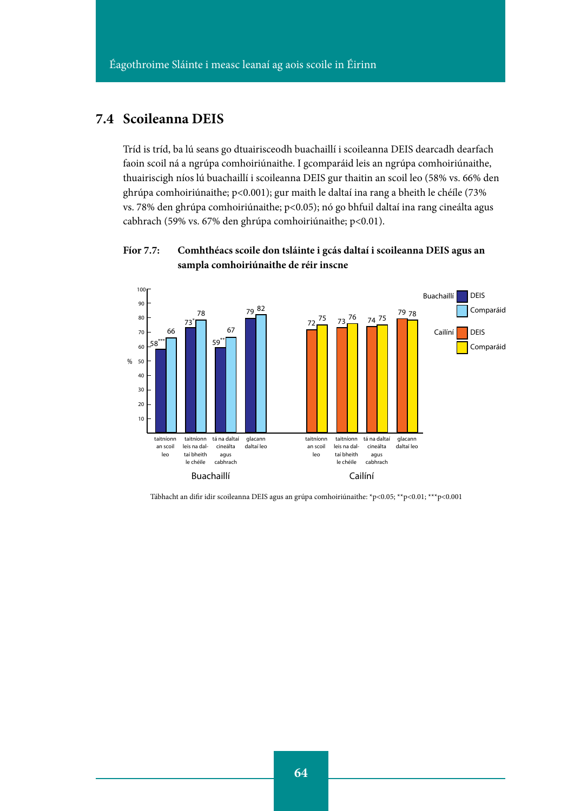# <span id="page-64-0"></span>**7.4 Scoileanna DEIS**

Tríd is tríd, ba lú seans go dtuairisceodh buachaillí i scoileanna DEIS dearcadh dearfach faoin scoil ná a ngrúpa comhoiriúnaithe. I gcomparáid leis an ngrúpa comhoiriúnaithe, thuairiscigh níos lú buachaillí i scoileanna DEIS gur thaitin an scoil leo (58% vs. 66% den ghrúpa comhoiriúnaithe; p<0.001); gur maith le daltaí ina rang a bheith le chéíle (73% vs. 78% den ghrúpa comhoiriúnaithe; p<0.05); nó go bhfuil daltaí ina rang cineálta agus cabhrach (59% vs. 67% den ghrúpa comhoiriúnaithe; p<0.01).

#### **Fíor 7.7: Comhthéacs scoile don tsláinte i gcás daltaí i scoileanna DEIS agus an sampla comhoiriúnaithe de réir inscne**

![](_page_64_Figure_4.jpeg)

Tábhacht an difir idir scoileanna DEIS agus an grúpa comhoiriúnaithe: \*p<0.05; \*\*p<0.01; \*\*\*p<0.001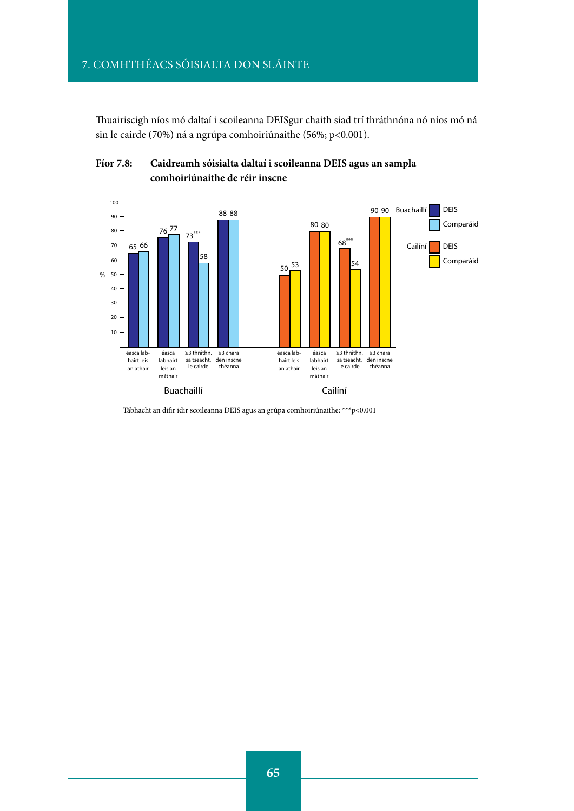Thuairiscigh níos mó daltaí i scoileanna DEISgur chaith siad trí thráthnóna nó níos mó ná sin le cairde (70%) ná a ngrúpa comhoiriúnaithe (56%; p<0.001).

![](_page_65_Figure_2.jpeg)

**Fíor 7.8: Caidreamh sóisialta daltaí i scoileanna DEIS agus an sampla comhoiriúnaithe de réir inscne**

Tábhacht an difir idir scoileanna DEIS agus an grúpa comhoiriúnaithe: \*\*\*p<0.001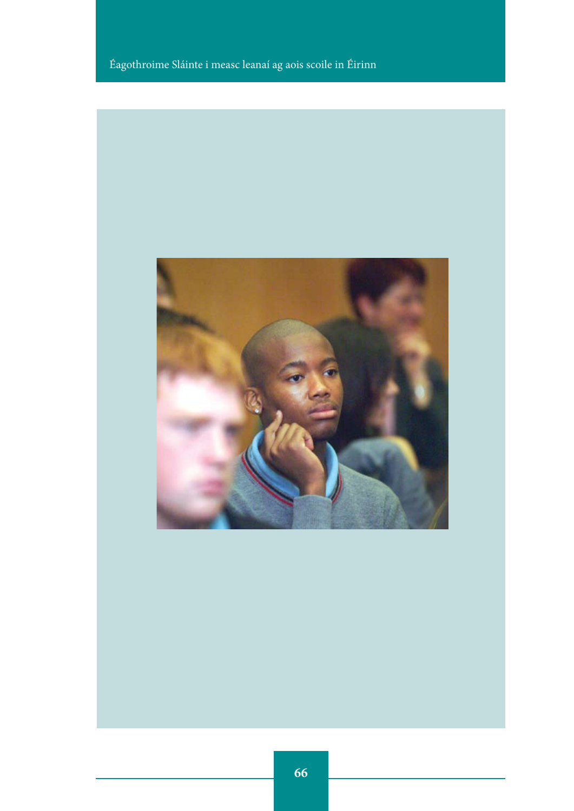![](_page_66_Picture_1.jpeg)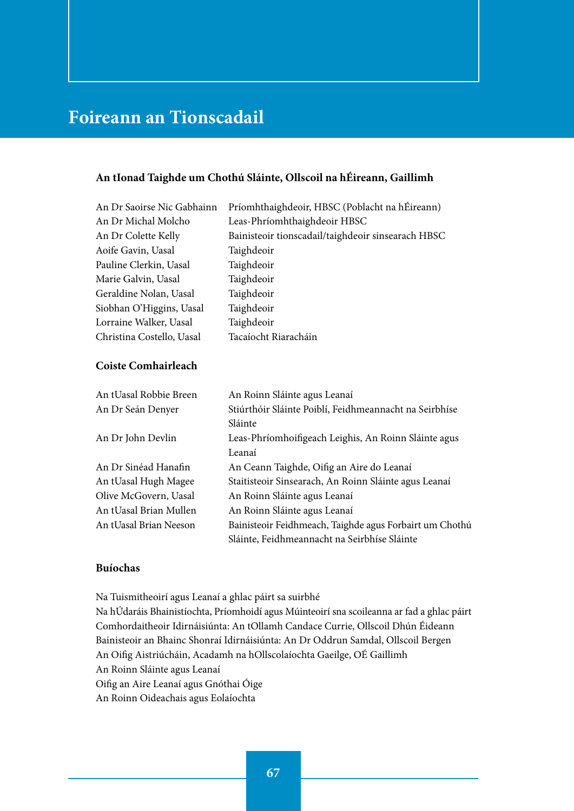# <span id="page-67-0"></span>**Foireann an Tionscadail**

#### **An tIonad Taighde um Chothú Sláinte, Ollscoil na hÉireann, Gaillimh**

| An Dr Saoirse Nic Gabhainn | Príomhthaighdeoir, HBSC (Poblacht na hÉireann)                    |
|----------------------------|-------------------------------------------------------------------|
| An Dr Michal Molcho        | Leas-Phríomhthaighdeoir HBSC                                      |
| An Dr Colette Kelly        | Bainisteoir tionscadail/taighdeoir sinsearach HBSC                |
| Aoife Gavin, Uasal         | Taighdeoir                                                        |
| Pauline Clerkin, Uasal     | Taighdeoir                                                        |
| Marie Galvin, Uasal        | Taighdeoir                                                        |
| Geraldine Nolan, Uasal     | Taighdeoir                                                        |
| Siobhan O'Higgins, Uasal   | Taighdeoir                                                        |
| Lorraine Walker, Uasal     | Taighdeoir                                                        |
| Christina Costello, Uasal  | Tacaíocht Riaracháin                                              |
| <b>Coiste Comhairleach</b> |                                                                   |
| An tUasal Robbie Breen     | An Roinn Sláinte agus Leanaí                                      |
| An Dr Seán Denyer          | Stiúrthóir Sláinte Poiblí, Feidhmeannacht na Seirbhíse<br>Sláinte |
| An Dr John Devlin          | Leas-Phríomhoifigeach Leighis, An Roinn Sláinte agus<br>Leanaí    |
| An Dr Sinéad Hanafin       | An Ceann Taighde, Oifig an Aire do Leanaí                         |
| An tUasal Hugh Magee       | Staitisteoir Sinsearach, An Roinn Sláinte agus Leanaí             |
| Olive McGovern, Uasal      | An Roinn Sláinte agus Leanaí                                      |
| An tUasal Brian Mullen     | An Roinn Sláinte agus Leanaí                                      |
| An tUasal Brian Neeson     | Bainisteoir Feidhmeach, Taighde agus Forbairt um Chothú           |
|                            | Sláinte, Feidhmeannacht na Seirbhíse Sláinte                      |

#### **Buíochas**

Na Tuismitheoirí agus Leanaí a ghlac páirt sa suirbhé

Na hÚdaráis Bhainistíochta, Príomhoidí agus Múinteoirí sna scoileanna ar fad a ghlac páirt Comhordaitheoir Idirnáisiúnta: An tOllamh Candace Currie, Ollscoil Dhún Éideann Bainisteoir an Bhainc Shonraí Idirnáisiúnta: An Dr Oddrun Samdal, Ollscoil Bergen An Oifig Aistriúcháin, Acadamh na hOllscolaíochta Gaeilge, OÉ Gaillimh An Roinn Sláinte agus Leanaí Oifig an Aire Leanaí agus Gnóthai Óige An Roinn Oideachais agus Eolaíochta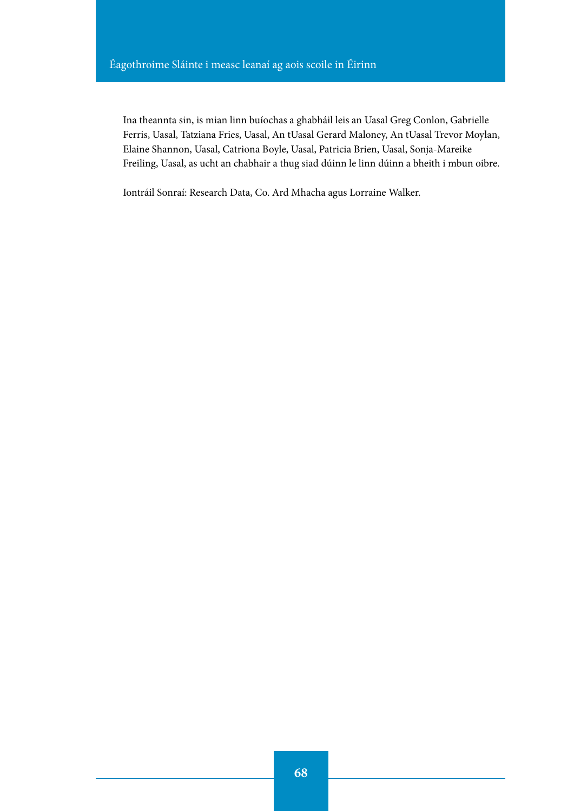# Éagothroime Sláinte i measc leanaí ag aois scoile in Éirinn

Ina theannta sin, is mian linn buíochas a ghabháil leis an Uasal Greg Conlon, Gabrielle Ferris, Uasal, Tatziana Fries, Uasal, An tUasal Gerard Maloney, An tUasal Trevor Moylan, Elaine Shannon, Uasal, Catriona Boyle, Uasal, Patricia Brien, Uasal, Sonja-Mareike Freiling, Uasal, as ucht an chabhair a thug siad dúinn le linn dúinn a bheith i mbun oibre.

Iontráil Sonraí: Research Data, Co. Ard Mhacha agus Lorraine Walker.